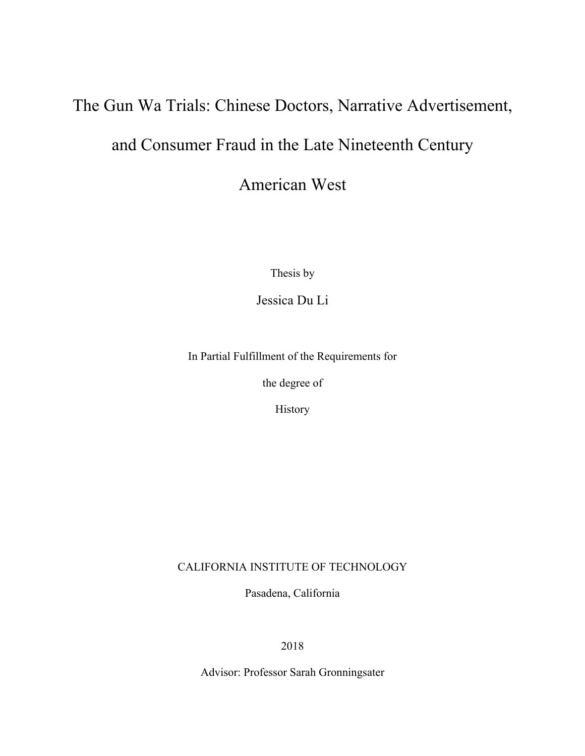# The Gun Wa Trials: Chinese Doctors, Narrative Advertisement, and Consumer Fraud in the Late Nineteenth Century

American West

Thesis by

Jessica Du Li

In Partial Fulfillment of the Requirements for

the degree of

History

## CALIFORNIA INSTITUTE OF TECHNOLOGY

Pasadena, California

2018

Advisor: Professor Sarah Gronningsater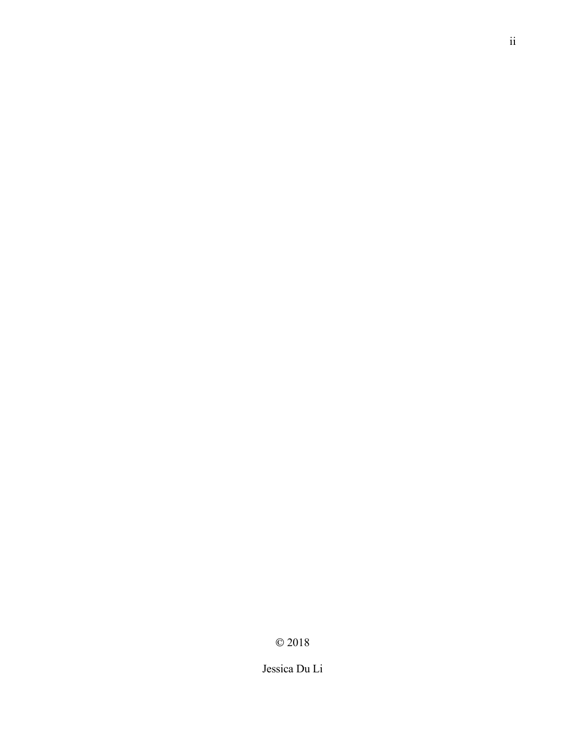$\odot$  2018

Jessica Du Li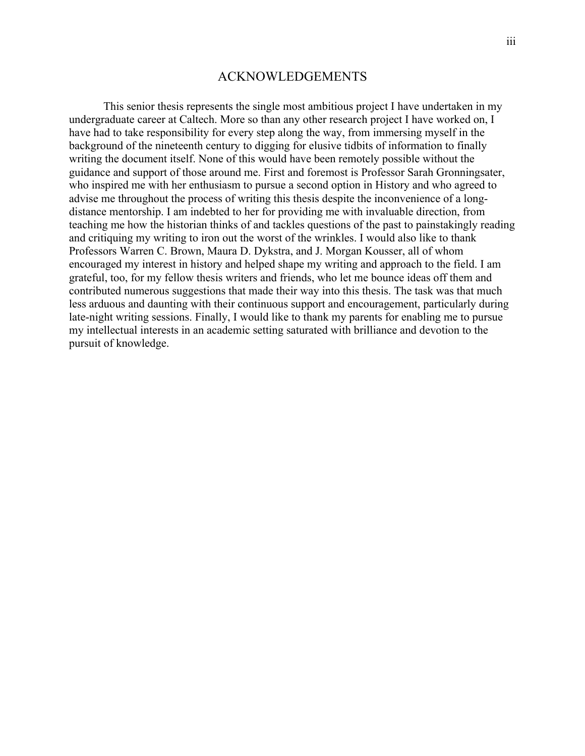## ACKNOWLEDGEMENTS

This senior thesis represents the single most ambitious project I have undertaken in my undergraduate career at Caltech. More so than any other research project I have worked on, I have had to take responsibility for every step along the way, from immersing myself in the background of the nineteenth century to digging for elusive tidbits of information to finally writing the document itself. None of this would have been remotely possible without the guidance and support of those around me. First and foremost is Professor Sarah Gronningsater, who inspired me with her enthusiasm to pursue a second option in History and who agreed to advise me throughout the process of writing this thesis despite the inconvenience of a longdistance mentorship. I am indebted to her for providing me with invaluable direction, from teaching me how the historian thinks of and tackles questions of the past to painstakingly reading and critiquing my writing to iron out the worst of the wrinkles. I would also like to thank Professors Warren C. Brown, Maura D. Dykstra, and J. Morgan Kousser, all of whom encouraged my interest in history and helped shape my writing and approach to the field. I am grateful, too, for my fellow thesis writers and friends, who let me bounce ideas off them and contributed numerous suggestions that made their way into this thesis. The task was that much less arduous and daunting with their continuous support and encouragement, particularly during late-night writing sessions. Finally, I would like to thank my parents for enabling me to pursue my intellectual interests in an academic setting saturated with brilliance and devotion to the pursuit of knowledge.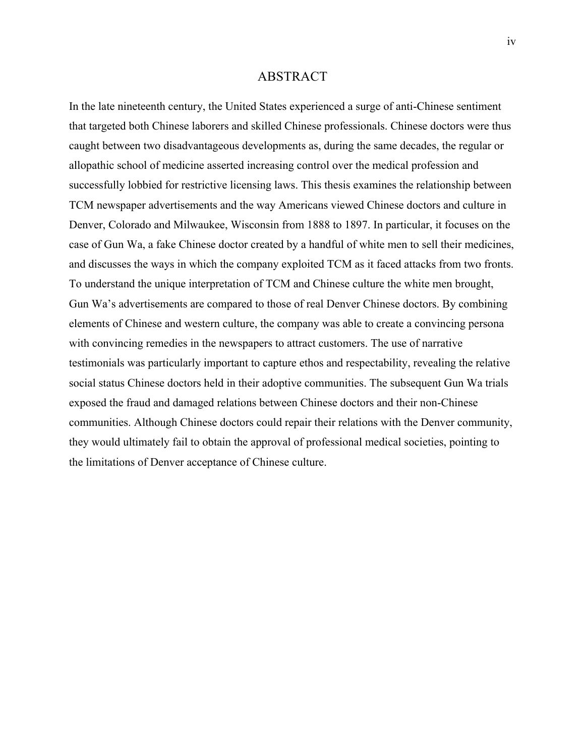## ABSTRACT

In the late nineteenth century, the United States experienced a surge of anti-Chinese sentiment that targeted both Chinese laborers and skilled Chinese professionals. Chinese doctors were thus caught between two disadvantageous developments as, during the same decades, the regular or allopathic school of medicine asserted increasing control over the medical profession and successfully lobbied for restrictive licensing laws. This thesis examines the relationship between TCM newspaper advertisements and the way Americans viewed Chinese doctors and culture in Denver, Colorado and Milwaukee, Wisconsin from 1888 to 1897. In particular, it focuses on the case of Gun Wa, a fake Chinese doctor created by a handful of white men to sell their medicines, and discusses the ways in which the company exploited TCM as it faced attacks from two fronts. To understand the unique interpretation of TCM and Chinese culture the white men brought, Gun Wa's advertisements are compared to those of real Denver Chinese doctors. By combining elements of Chinese and western culture, the company was able to create a convincing persona with convincing remedies in the newspapers to attract customers. The use of narrative testimonials was particularly important to capture ethos and respectability, revealing the relative social status Chinese doctors held in their adoptive communities. The subsequent Gun Wa trials exposed the fraud and damaged relations between Chinese doctors and their non-Chinese communities. Although Chinese doctors could repair their relations with the Denver community, they would ultimately fail to obtain the approval of professional medical societies, pointing to the limitations of Denver acceptance of Chinese culture.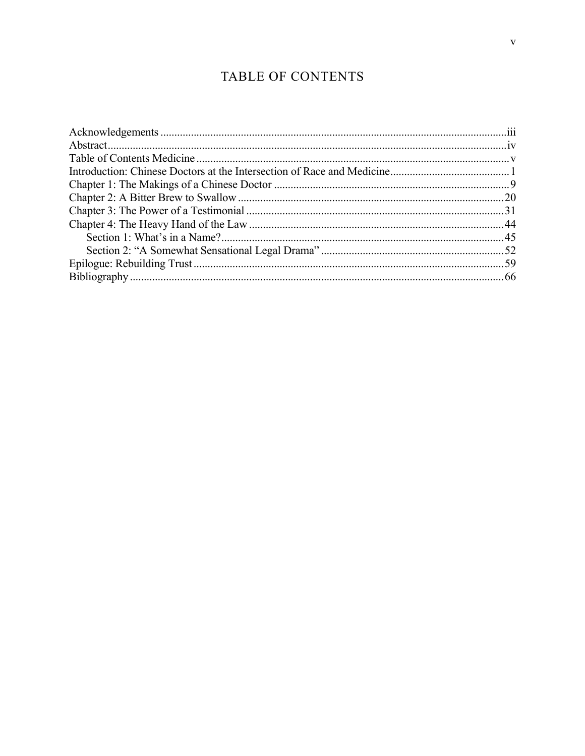# TABLE OF CONTENTS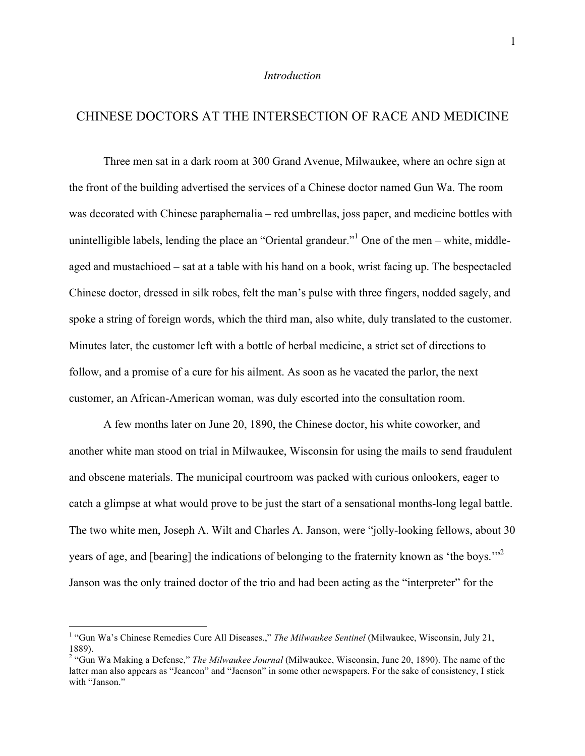## *Introduction*

## CHINESE DOCTORS AT THE INTERSECTION OF RACE AND MEDICINE

Three men sat in a dark room at 300 Grand Avenue, Milwaukee, where an ochre sign at the front of the building advertised the services of a Chinese doctor named Gun Wa. The room was decorated with Chinese paraphernalia – red umbrellas, joss paper, and medicine bottles with unintelligible labels, lending the place an "Oriental grandeur." One of the men – white, middleaged and mustachioed – sat at a table with his hand on a book, wrist facing up. The bespectacled Chinese doctor, dressed in silk robes, felt the man's pulse with three fingers, nodded sagely, and spoke a string of foreign words, which the third man, also white, duly translated to the customer. Minutes later, the customer left with a bottle of herbal medicine, a strict set of directions to follow, and a promise of a cure for his ailment. As soon as he vacated the parlor, the next customer, an African-American woman, was duly escorted into the consultation room.

A few months later on June 20, 1890, the Chinese doctor, his white coworker, and another white man stood on trial in Milwaukee, Wisconsin for using the mails to send fraudulent and obscene materials. The municipal courtroom was packed with curious onlookers, eager to catch a glimpse at what would prove to be just the start of a sensational months-long legal battle. The two white men, Joseph A. Wilt and Charles A. Janson, were "jolly-looking fellows, about 30 years of age, and [bearing] the indications of belonging to the fraternity known as 'the boys.'"2 Janson was the only trained doctor of the trio and had been acting as the "interpreter" for the

 <sup>1</sup> "Gun Wa's Chinese Remedies Cure All Diseases.," *The Milwaukee Sentinel* (Milwaukee, Wisconsin, July 21, 1889).

<sup>&</sup>lt;sup>2</sup> "Gun Wa Making a Defense," *The Milwaukee Journal* (Milwaukee, Wisconsin, June 20, 1890). The name of the latter man also appears as "Jeancon" and "Jaenson" in some other newspapers. For the sake of consistency, I stick with "Janson."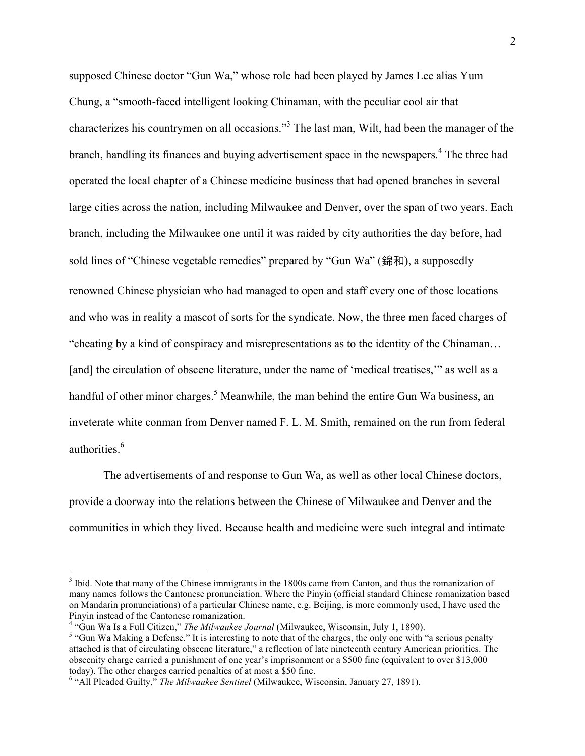supposed Chinese doctor "Gun Wa," whose role had been played by James Lee alias Yum Chung, a "smooth-faced intelligent looking Chinaman, with the peculiar cool air that characterizes his countrymen on all occasions."<sup>3</sup> The last man, Wilt, had been the manager of the branch, handling its finances and buying advertisement space in the newspapers.<sup>4</sup> The three had operated the local chapter of a Chinese medicine business that had opened branches in several large cities across the nation, including Milwaukee and Denver, over the span of two years. Each branch, including the Milwaukee one until it was raided by city authorities the day before, had sold lines of "Chinese vegetable remedies" prepared by "Gun Wa" (錦和), a supposedly renowned Chinese physician who had managed to open and staff every one of those locations and who was in reality a mascot of sorts for the syndicate. Now, the three men faced charges of "cheating by a kind of conspiracy and misrepresentations as to the identity of the Chinaman… [and] the circulation of obscene literature, under the name of 'medical treatises,'" as well as a handful of other minor charges.<sup>5</sup> Meanwhile, the man behind the entire Gun Wa business, an inveterate white conman from Denver named F. L. M. Smith, remained on the run from federal authorities. 6

The advertisements of and response to Gun Wa, as well as other local Chinese doctors, provide a doorway into the relations between the Chinese of Milwaukee and Denver and the communities in which they lived. Because health and medicine were such integral and intimate

<sup>&</sup>lt;sup>3</sup> Ibid. Note that many of the Chinese immigrants in the 1800s came from Canton, and thus the romanization of many names follows the Cantonese pronunciation. Where the Pinyin (official standard Chinese romanization based on Mandarin pronunciations) of a particular Chinese name, e.g. Beijing, is more commonly used, I have used the Pinyin instead of the Cantonese romanization.<br><sup>4</sup> "Gun Wa Is a Full Citizen," *The Milwaukee Journal* (Milwaukee, Wisconsin, July 1, 1890).

<sup>&</sup>lt;sup>5</sup> "Gun Wa Making a Defense." It is interesting to note that of the charges, the only one with "a serious penalty attached is that of circulating obscene literature," a reflection of late nineteenth century American priorities. The obscenity charge carried a punishment of one year's imprisonment or a \$500 fine (equivalent to over \$13,000 today). The other charges carried penalties of at most a \$50 fine.

<sup>6</sup> "All Pleaded Guilty," *The Milwaukee Sentinel* (Milwaukee, Wisconsin, January 27, 1891).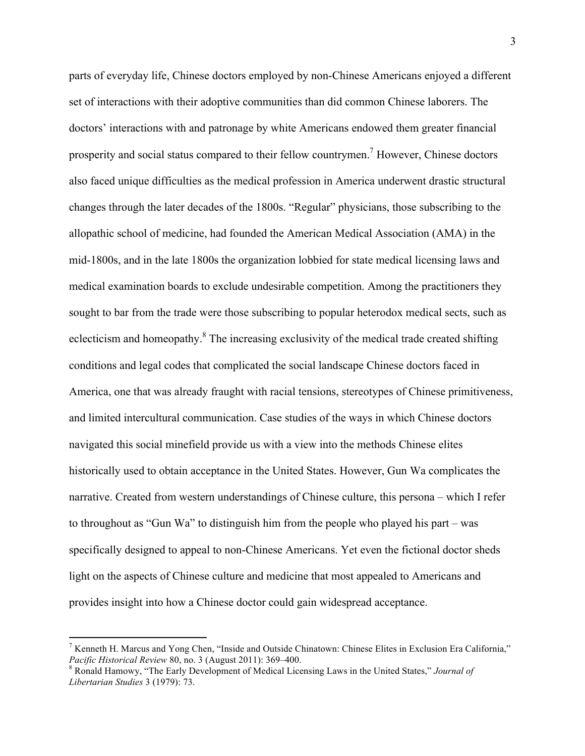parts of everyday life, Chinese doctors employed by non-Chinese Americans enjoyed a different set of interactions with their adoptive communities than did common Chinese laborers. The doctors' interactions with and patronage by white Americans endowed them greater financial prosperity and social status compared to their fellow countrymen.<sup>7</sup> However, Chinese doctors also faced unique difficulties as the medical profession in America underwent drastic structural changes through the later decades of the 1800s. "Regular" physicians, those subscribing to the allopathic school of medicine, had founded the American Medical Association (AMA) in the mid-1800s, and in the late 1800s the organization lobbied for state medical licensing laws and medical examination boards to exclude undesirable competition. Among the practitioners they sought to bar from the trade were those subscribing to popular heterodox medical sects, such as eclecticism and homeopathy.<sup>8</sup> The increasing exclusivity of the medical trade created shifting conditions and legal codes that complicated the social landscape Chinese doctors faced in America, one that was already fraught with racial tensions, stereotypes of Chinese primitiveness, and limited intercultural communication. Case studies of the ways in which Chinese doctors navigated this social minefield provide us with a view into the methods Chinese elites historically used to obtain acceptance in the United States. However, Gun Wa complicates the narrative. Created from western understandings of Chinese culture, this persona – which I refer to throughout as "Gun Wa" to distinguish him from the people who played his part – was specifically designed to appeal to non-Chinese Americans. Yet even the fictional doctor sheds light on the aspects of Chinese culture and medicine that most appealed to Americans and provides insight into how a Chinese doctor could gain widespread acceptance.

<sup>&</sup>lt;sup>7</sup> Kenneth H. Marcus and Yong Chen, "Inside and Outside Chinatown: Chinese Elites in Exclusion Era California," *Pacific Historical Review* 80, no. 3 (August 2011): 369–400.<br><sup>8</sup> Ronald Hamowy, "The Early Development of Medical Licensing Laws in the United States," *Journal of* 

*Libertarian Studies* 3 (1979): 73.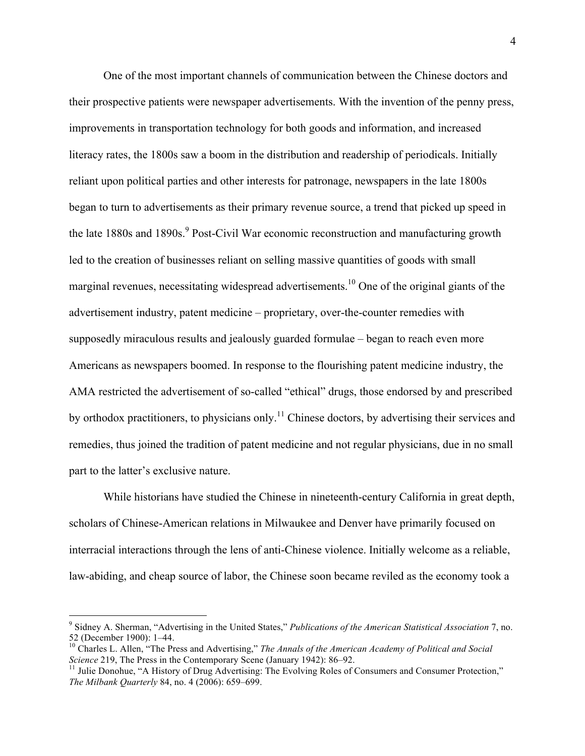One of the most important channels of communication between the Chinese doctors and their prospective patients were newspaper advertisements. With the invention of the penny press, improvements in transportation technology for both goods and information, and increased literacy rates, the 1800s saw a boom in the distribution and readership of periodicals. Initially reliant upon political parties and other interests for patronage, newspapers in the late 1800s began to turn to advertisements as their primary revenue source, a trend that picked up speed in the late 1880s and 1890s.<sup>9</sup> Post-Civil War economic reconstruction and manufacturing growth led to the creation of businesses reliant on selling massive quantities of goods with small marginal revenues, necessitating widespread advertisements.<sup>10</sup> One of the original giants of the advertisement industry, patent medicine – proprietary, over-the-counter remedies with supposedly miraculous results and jealously guarded formulae – began to reach even more Americans as newspapers boomed. In response to the flourishing patent medicine industry, the AMA restricted the advertisement of so-called "ethical" drugs, those endorsed by and prescribed by orthodox practitioners, to physicians only.<sup>11</sup> Chinese doctors, by advertising their services and remedies, thus joined the tradition of patent medicine and not regular physicians, due in no small part to the latter's exclusive nature.

While historians have studied the Chinese in nineteenth-century California in great depth, scholars of Chinese-American relations in Milwaukee and Denver have primarily focused on interracial interactions through the lens of anti-Chinese violence. Initially welcome as a reliable, law-abiding, and cheap source of labor, the Chinese soon became reviled as the economy took a

 

<sup>9</sup> Sidney A. Sherman, "Advertising in the United States," *Publications of the American Statistical Association* 7, no.

<sup>52 (</sup>December 1900): 1–44.<br><sup>10</sup> Charles L. Allen, "The Press and Advertising," *The Annals of the American Academy of Political and Social Science* 219, The Press in the Contemporary Scene (January 1942): 86–92.

<sup>&</sup>lt;sup>11</sup> Julie Donohue, "A History of Drug Advertising: The Evolving Roles of Consumers and Consumer Protection," *The Milbank Quarterly* 84, no. 4 (2006): 659–699.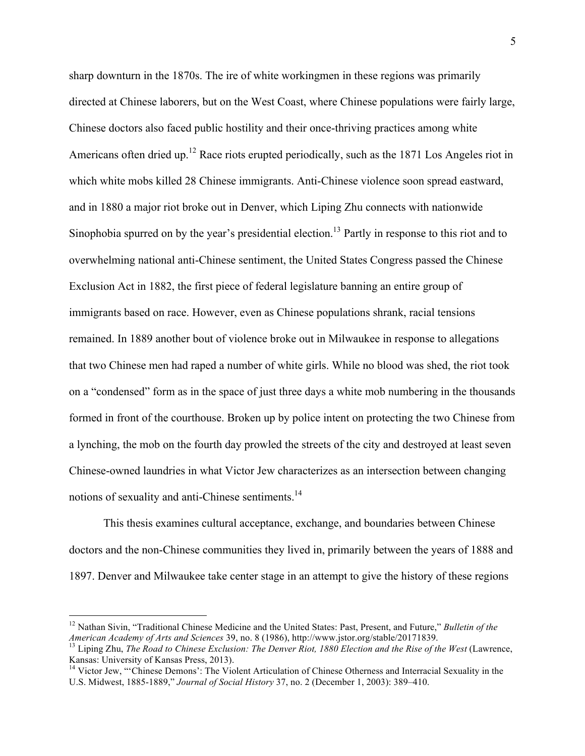sharp downturn in the 1870s. The ire of white workingmen in these regions was primarily directed at Chinese laborers, but on the West Coast, where Chinese populations were fairly large, Chinese doctors also faced public hostility and their once-thriving practices among white Americans often dried up.<sup>12</sup> Race riots erupted periodically, such as the 1871 Los Angeles riot in which white mobs killed 28 Chinese immigrants. Anti-Chinese violence soon spread eastward, and in 1880 a major riot broke out in Denver, which Liping Zhu connects with nationwide Sinophobia spurred on by the year's presidential election.<sup>13</sup> Partly in response to this riot and to overwhelming national anti-Chinese sentiment, the United States Congress passed the Chinese Exclusion Act in 1882, the first piece of federal legislature banning an entire group of immigrants based on race. However, even as Chinese populations shrank, racial tensions remained. In 1889 another bout of violence broke out in Milwaukee in response to allegations that two Chinese men had raped a number of white girls. While no blood was shed, the riot took on a "condensed" form as in the space of just three days a white mob numbering in the thousands formed in front of the courthouse. Broken up by police intent on protecting the two Chinese from a lynching, the mob on the fourth day prowled the streets of the city and destroyed at least seven Chinese-owned laundries in what Victor Jew characterizes as an intersection between changing notions of sexuality and anti-Chinese sentiments.<sup>14</sup>

This thesis examines cultural acceptance, exchange, and boundaries between Chinese doctors and the non-Chinese communities they lived in, primarily between the years of 1888 and 1897. Denver and Milwaukee take center stage in an attempt to give the history of these regions

 

<sup>&</sup>lt;sup>12</sup> Nathan Sivin, "Traditional Chinese Medicine and the United States: Past, Present, and Future," *Bulletin of the American Academy of Arts and Sciences* 39, no. 8 (1986), http://www.jstor.org/stable/20171839.

<sup>&</sup>lt;sup>13</sup> Liping Zhu, *The Road to Chinese Exclusion: The Denver Riot, 1880 Election and the Rise of the West* (Lawrence, Kansas: University of Kansas Press, 2013).

<sup>&</sup>lt;sup>14</sup> Victor Jew, "'Chinese Demons': The Violent Articulation of Chinese Otherness and Interracial Sexuality in the U.S. Midwest, 1885-1889," *Journal of Social History* 37, no. 2 (December 1, 2003): 389–410.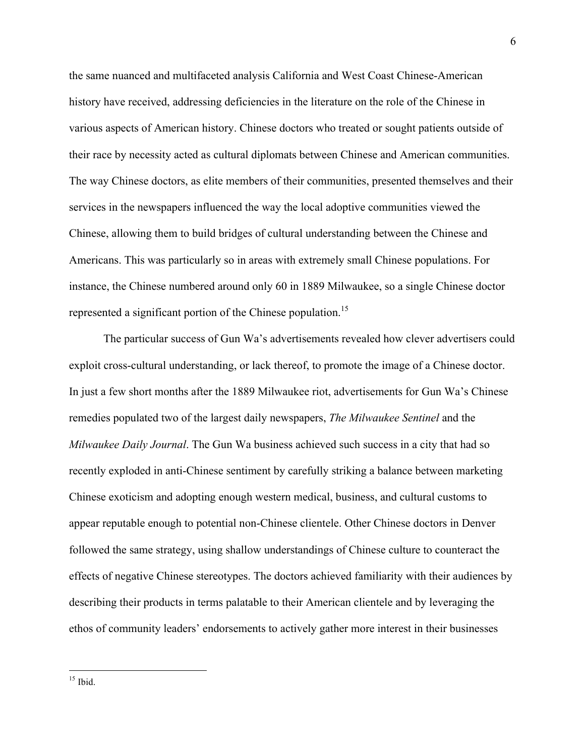the same nuanced and multifaceted analysis California and West Coast Chinese-American history have received, addressing deficiencies in the literature on the role of the Chinese in various aspects of American history. Chinese doctors who treated or sought patients outside of their race by necessity acted as cultural diplomats between Chinese and American communities. The way Chinese doctors, as elite members of their communities, presented themselves and their services in the newspapers influenced the way the local adoptive communities viewed the Chinese, allowing them to build bridges of cultural understanding between the Chinese and Americans. This was particularly so in areas with extremely small Chinese populations. For instance, the Chinese numbered around only 60 in 1889 Milwaukee, so a single Chinese doctor represented a significant portion of the Chinese population.<sup>15</sup>

The particular success of Gun Wa's advertisements revealed how clever advertisers could exploit cross-cultural understanding, or lack thereof, to promote the image of a Chinese doctor. In just a few short months after the 1889 Milwaukee riot, advertisements for Gun Wa's Chinese remedies populated two of the largest daily newspapers, *The Milwaukee Sentinel* and the *Milwaukee Daily Journal*. The Gun Wa business achieved such success in a city that had so recently exploded in anti-Chinese sentiment by carefully striking a balance between marketing Chinese exoticism and adopting enough western medical, business, and cultural customs to appear reputable enough to potential non-Chinese clientele. Other Chinese doctors in Denver followed the same strategy, using shallow understandings of Chinese culture to counteract the effects of negative Chinese stereotypes. The doctors achieved familiarity with their audiences by describing their products in terms palatable to their American clientele and by leveraging the ethos of community leaders' endorsements to actively gather more interest in their businesses

 $15$  Ibid.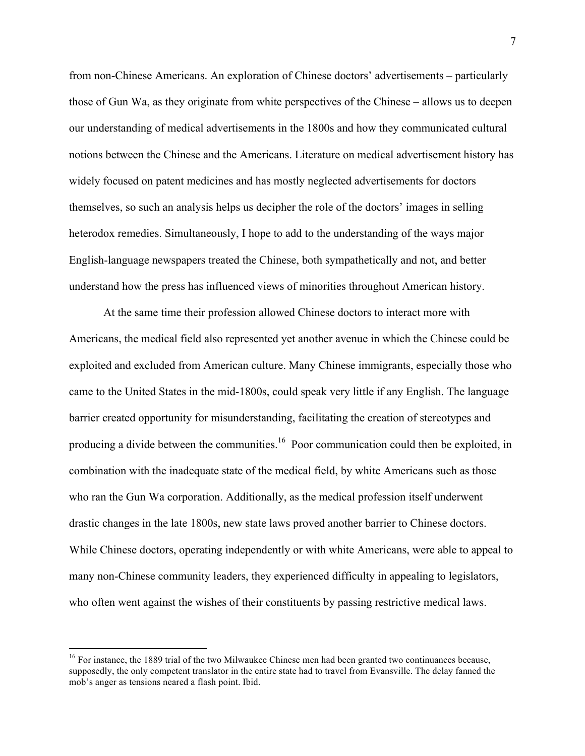from non-Chinese Americans. An exploration of Chinese doctors' advertisements – particularly those of Gun Wa, as they originate from white perspectives of the Chinese – allows us to deepen our understanding of medical advertisements in the 1800s and how they communicated cultural notions between the Chinese and the Americans. Literature on medical advertisement history has widely focused on patent medicines and has mostly neglected advertisements for doctors themselves, so such an analysis helps us decipher the role of the doctors' images in selling heterodox remedies. Simultaneously, I hope to add to the understanding of the ways major English-language newspapers treated the Chinese, both sympathetically and not, and better understand how the press has influenced views of minorities throughout American history.

At the same time their profession allowed Chinese doctors to interact more with Americans, the medical field also represented yet another avenue in which the Chinese could be exploited and excluded from American culture. Many Chinese immigrants, especially those who came to the United States in the mid-1800s, could speak very little if any English. The language barrier created opportunity for misunderstanding, facilitating the creation of stereotypes and producing a divide between the communities.<sup>16</sup> Poor communication could then be exploited, in combination with the inadequate state of the medical field, by white Americans such as those who ran the Gun Wa corporation. Additionally, as the medical profession itself underwent drastic changes in the late 1800s, new state laws proved another barrier to Chinese doctors. While Chinese doctors, operating independently or with white Americans, were able to appeal to many non-Chinese community leaders, they experienced difficulty in appealing to legislators, who often went against the wishes of their constituents by passing restrictive medical laws.

<sup>&</sup>lt;sup>16</sup> For instance, the 1889 trial of the two Milwaukee Chinese men had been granted two continuances because, supposedly, the only competent translator in the entire state had to travel from Evansville. The delay fanned the mob's anger as tensions neared a flash point. Ibid.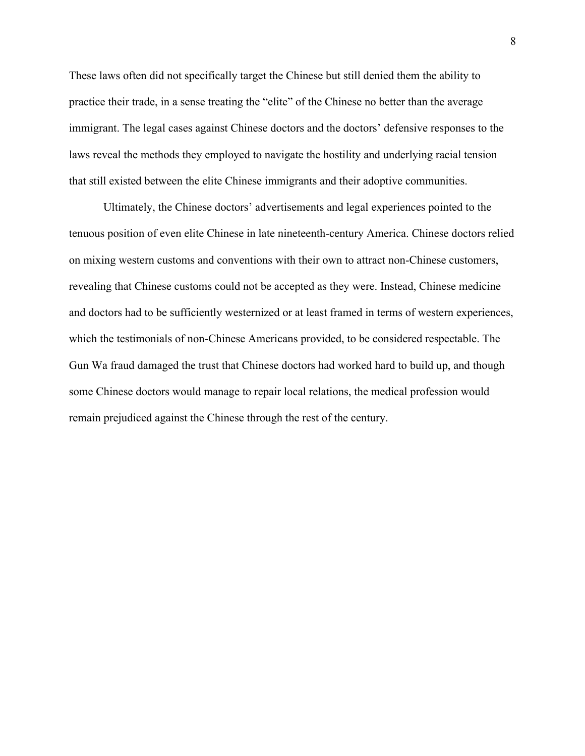These laws often did not specifically target the Chinese but still denied them the ability to practice their trade, in a sense treating the "elite" of the Chinese no better than the average immigrant. The legal cases against Chinese doctors and the doctors' defensive responses to the laws reveal the methods they employed to navigate the hostility and underlying racial tension that still existed between the elite Chinese immigrants and their adoptive communities.

Ultimately, the Chinese doctors' advertisements and legal experiences pointed to the tenuous position of even elite Chinese in late nineteenth-century America. Chinese doctors relied on mixing western customs and conventions with their own to attract non-Chinese customers, revealing that Chinese customs could not be accepted as they were. Instead, Chinese medicine and doctors had to be sufficiently westernized or at least framed in terms of western experiences, which the testimonials of non-Chinese Americans provided, to be considered respectable. The Gun Wa fraud damaged the trust that Chinese doctors had worked hard to build up, and though some Chinese doctors would manage to repair local relations, the medical profession would remain prejudiced against the Chinese through the rest of the century.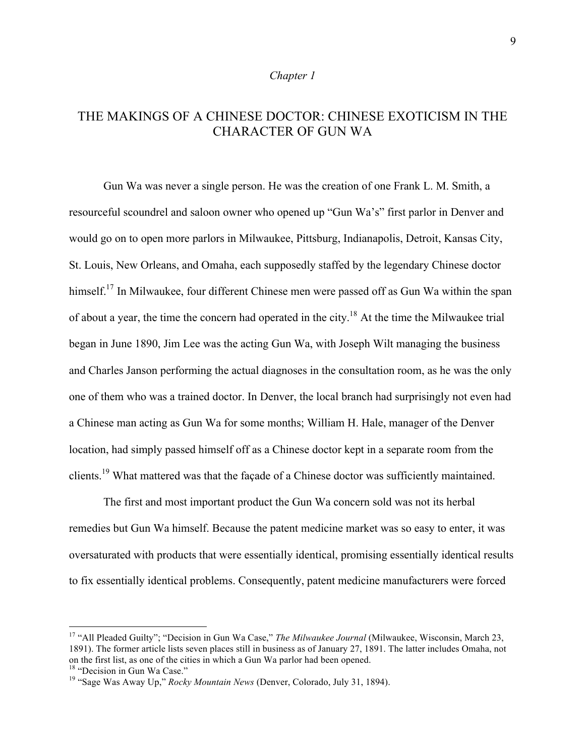#### *Chapter 1*

# THE MAKINGS OF A CHINESE DOCTOR: CHINESE EXOTICISM IN THE CHARACTER OF GUN WA

Gun Wa was never a single person. He was the creation of one Frank L. M. Smith, a resourceful scoundrel and saloon owner who opened up "Gun Wa's" first parlor in Denver and would go on to open more parlors in Milwaukee, Pittsburg, Indianapolis, Detroit, Kansas City, St. Louis, New Orleans, and Omaha, each supposedly staffed by the legendary Chinese doctor himself.<sup>17</sup> In Milwaukee, four different Chinese men were passed off as Gun Wa within the span of about a year, the time the concern had operated in the city.<sup>18</sup> At the time the Milwaukee trial began in June 1890, Jim Lee was the acting Gun Wa, with Joseph Wilt managing the business and Charles Janson performing the actual diagnoses in the consultation room, as he was the only one of them who was a trained doctor. In Denver, the local branch had surprisingly not even had a Chinese man acting as Gun Wa for some months; William H. Hale, manager of the Denver location, had simply passed himself off as a Chinese doctor kept in a separate room from the clients.<sup>19</sup> What mattered was that the façade of a Chinese doctor was sufficiently maintained.

The first and most important product the Gun Wa concern sold was not its herbal remedies but Gun Wa himself. Because the patent medicine market was so easy to enter, it was oversaturated with products that were essentially identical, promising essentially identical results to fix essentially identical problems. Consequently, patent medicine manufacturers were forced

<sup>&</sup>lt;sup>17</sup> "All Pleaded Guilty"; "Decision in Gun Wa Case," *The Milwaukee Journal* (Milwaukee, Wisconsin, March 23, 1891). The former article lists seven places still in business as of January 27, 1891. The latter includes Omaha, not on the first list, as one of the cities in which a Gun Wa parlor had been opened.<br><sup>18</sup> "Decision in Gun Wa Case."

<sup>&</sup>lt;sup>19</sup> "Sage Was Away Up," *Rocky Mountain News* (Denver, Colorado, July 31, 1894).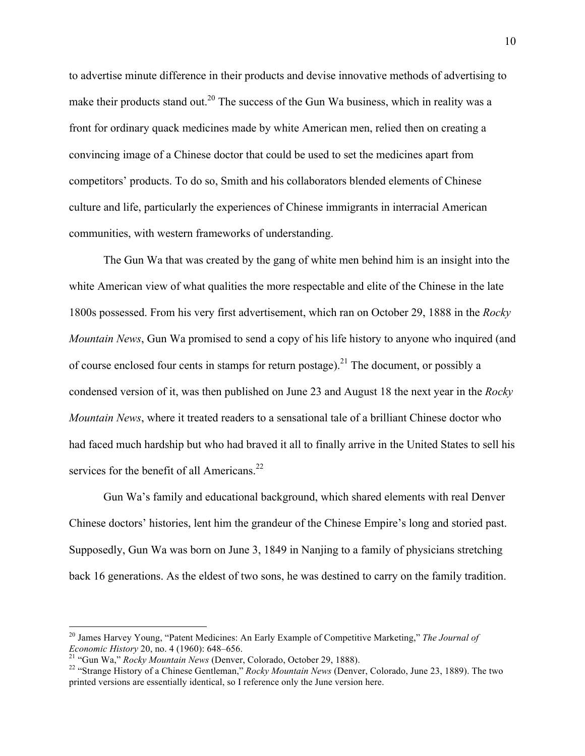to advertise minute difference in their products and devise innovative methods of advertising to make their products stand out.<sup>20</sup> The success of the Gun Wa business, which in reality was a front for ordinary quack medicines made by white American men, relied then on creating a convincing image of a Chinese doctor that could be used to set the medicines apart from competitors' products. To do so, Smith and his collaborators blended elements of Chinese culture and life, particularly the experiences of Chinese immigrants in interracial American communities, with western frameworks of understanding.

The Gun Wa that was created by the gang of white men behind him is an insight into the white American view of what qualities the more respectable and elite of the Chinese in the late 1800s possessed. From his very first advertisement, which ran on October 29, 1888 in the *Rocky Mountain News*, Gun Wa promised to send a copy of his life history to anyone who inquired (and of course enclosed four cents in stamps for return postage).<sup>21</sup> The document, or possibly a condensed version of it, was then published on June 23 and August 18 the next year in the *Rocky Mountain News*, where it treated readers to a sensational tale of a brilliant Chinese doctor who had faced much hardship but who had braved it all to finally arrive in the United States to sell his services for the benefit of all Americans.<sup>22</sup>

Gun Wa's family and educational background, which shared elements with real Denver Chinese doctors' histories, lent him the grandeur of the Chinese Empire's long and storied past. Supposedly, Gun Wa was born on June 3, 1849 in Nanjing to a family of physicians stretching back 16 generations. As the eldest of two sons, he was destined to carry on the family tradition.

<sup>&</sup>lt;sup>20</sup> James Harvey Young, "Patent Medicines: An Early Example of Competitive Marketing," *The Journal of Economic History* 20, no. 4 (1960): 648–656.

<sup>&</sup>lt;sup>21</sup> "Gun Wa," *Rocky Mountain News* (Denver, Colorado, October 29, 1888).<br><sup>22</sup> "Strange History of a Chinese Gentleman," *Rocky Mountain News* (Denver, Colorado, June 23, 1889). The two printed versions are essentially identical, so I reference only the June version here.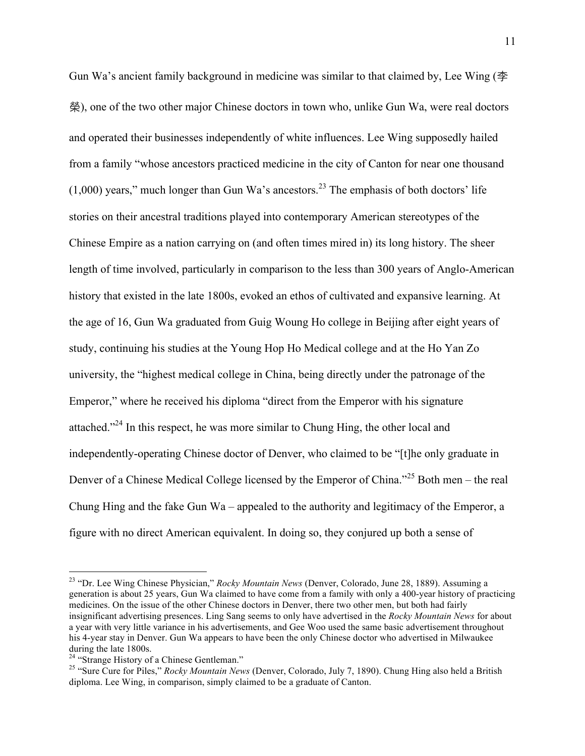Gun Wa's ancient family background in medicine was similar to that claimed by, Lee Wing ( $\triangleq$ 榮), one of the two other major Chinese doctors in town who, unlike Gun Wa, were real doctors and operated their businesses independently of white influences. Lee Wing supposedly hailed from a family "whose ancestors practiced medicine in the city of Canton for near one thousand  $(1,000)$  years," much longer than Gun Wa's ancestors.<sup>23</sup> The emphasis of both doctors' life stories on their ancestral traditions played into contemporary American stereotypes of the Chinese Empire as a nation carrying on (and often times mired in) its long history. The sheer length of time involved, particularly in comparison to the less than 300 years of Anglo-American history that existed in the late 1800s, evoked an ethos of cultivated and expansive learning. At the age of 16, Gun Wa graduated from Guig Woung Ho college in Beijing after eight years of study, continuing his studies at the Young Hop Ho Medical college and at the Ho Yan Zo university, the "highest medical college in China, being directly under the patronage of the Emperor," where he received his diploma "direct from the Emperor with his signature attached."24 In this respect, he was more similar to Chung Hing, the other local and independently-operating Chinese doctor of Denver, who claimed to be "[t]he only graduate in Denver of a Chinese Medical College licensed by the Emperor of China."<sup>25</sup> Both men – the real Chung Hing and the fake Gun Wa – appealed to the authority and legitimacy of the Emperor, a figure with no direct American equivalent. In doing so, they conjured up both a sense of

 <sup>23</sup> "Dr. Lee Wing Chinese Physician," *Rocky Mountain News* (Denver, Colorado, June 28, 1889). Assuming a generation is about 25 years, Gun Wa claimed to have come from a family with only a 400-year history of practicing medicines. On the issue of the other Chinese doctors in Denver, there two other men, but both had fairly insignificant advertising presences. Ling Sang seems to only have advertised in the *Rocky Mountain News* for about a year with very little variance in his advertisements, and Gee Woo used the same basic advertisement throughout his 4-year stay in Denver. Gun Wa appears to have been the only Chinese doctor who advertised in Milwaukee during the late 1800s.<br><sup>24</sup> "Strange History of a Chinese Gentleman."

<sup>&</sup>lt;sup>25</sup> "Sure Cure for Piles," *Rocky Mountain News* (Denver, Colorado, July 7, 1890). Chung Hing also held a British diploma. Lee Wing, in comparison, simply claimed to be a graduate of Canton.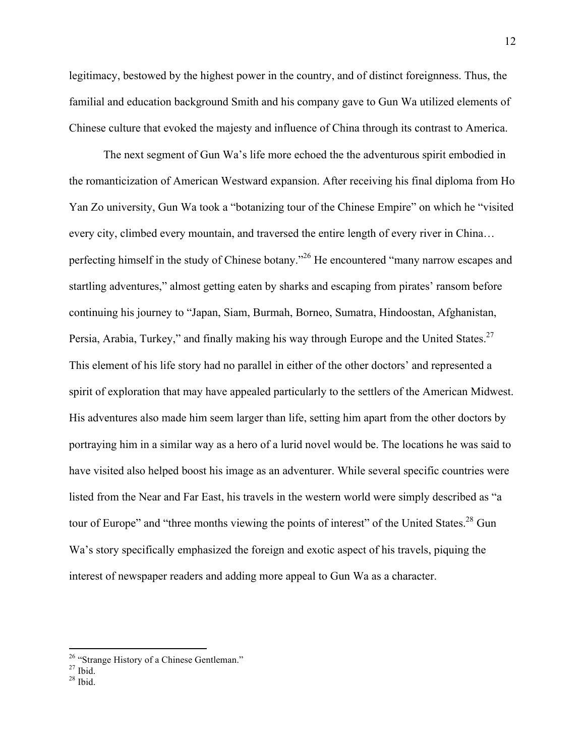legitimacy, bestowed by the highest power in the country, and of distinct foreignness. Thus, the familial and education background Smith and his company gave to Gun Wa utilized elements of Chinese culture that evoked the majesty and influence of China through its contrast to America.

The next segment of Gun Wa's life more echoed the the adventurous spirit embodied in the romanticization of American Westward expansion. After receiving his final diploma from Ho Yan Zo university, Gun Wa took a "botanizing tour of the Chinese Empire" on which he "visited every city, climbed every mountain, and traversed the entire length of every river in China… perfecting himself in the study of Chinese botany."<sup>26</sup> He encountered "many narrow escapes and startling adventures," almost getting eaten by sharks and escaping from pirates' ransom before continuing his journey to "Japan, Siam, Burmah, Borneo, Sumatra, Hindoostan, Afghanistan, Persia, Arabia, Turkey," and finally making his way through Europe and the United States.<sup>27</sup> This element of his life story had no parallel in either of the other doctors' and represented a spirit of exploration that may have appealed particularly to the settlers of the American Midwest. His adventures also made him seem larger than life, setting him apart from the other doctors by portraying him in a similar way as a hero of a lurid novel would be. The locations he was said to have visited also helped boost his image as an adventurer. While several specific countries were listed from the Near and Far East, his travels in the western world were simply described as "a tour of Europe" and "three months viewing the points of interest" of the United States.<sup>28</sup> Gun Wa's story specifically emphasized the foreign and exotic aspect of his travels, piquing the interest of newspaper readers and adding more appeal to Gun Wa as a character.

<sup>&</sup>lt;sup>26</sup> "Strange History of a Chinese Gentleman."<br><sup>27</sup> Ibid. <sup>28</sup> Ibid.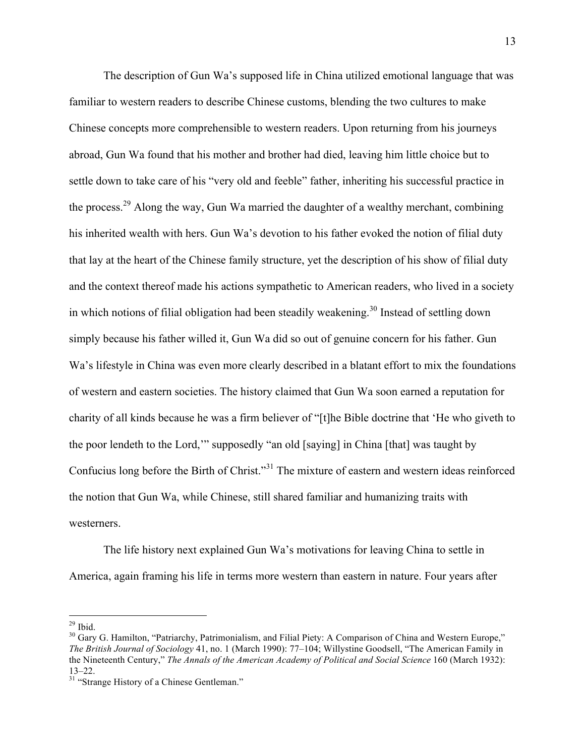The description of Gun Wa's supposed life in China utilized emotional language that was familiar to western readers to describe Chinese customs, blending the two cultures to make Chinese concepts more comprehensible to western readers. Upon returning from his journeys abroad, Gun Wa found that his mother and brother had died, leaving him little choice but to settle down to take care of his "very old and feeble" father, inheriting his successful practice in the process.<sup>29</sup> Along the way, Gun Wa married the daughter of a wealthy merchant, combining his inherited wealth with hers. Gun Wa's devotion to his father evoked the notion of filial duty that lay at the heart of the Chinese family structure, yet the description of his show of filial duty and the context thereof made his actions sympathetic to American readers, who lived in a society in which notions of filial obligation had been steadily weakening.<sup>30</sup> Instead of settling down simply because his father willed it, Gun Wa did so out of genuine concern for his father. Gun Wa's lifestyle in China was even more clearly described in a blatant effort to mix the foundations of western and eastern societies. The history claimed that Gun Wa soon earned a reputation for charity of all kinds because he was a firm believer of "[t]he Bible doctrine that 'He who giveth to the poor lendeth to the Lord,'" supposedly "an old [saying] in China [that] was taught by Confucius long before the Birth of Christ."<sup>31</sup> The mixture of eastern and western ideas reinforced the notion that Gun Wa, while Chinese, still shared familiar and humanizing traits with westerners.

The life history next explained Gun Wa's motivations for leaving China to settle in America, again framing his life in terms more western than eastern in nature. Four years after

 

<sup>&</sup>lt;sup>29</sup> Ibid.<br><sup>30</sup> Gary G. Hamilton, "Patriarchy, Patrimonialism, and Filial Piety: A Comparison of China and Western Europe," *The British Journal of Sociology* 41, no. 1 (March 1990): 77–104; Willystine Goodsell, "The American Family in the Nineteenth Century," *The Annals of the American Academy of Political and Social Science* 160 (March 1932): 13–22.<br><sup>31</sup> "Strange History of a Chinese Gentleman."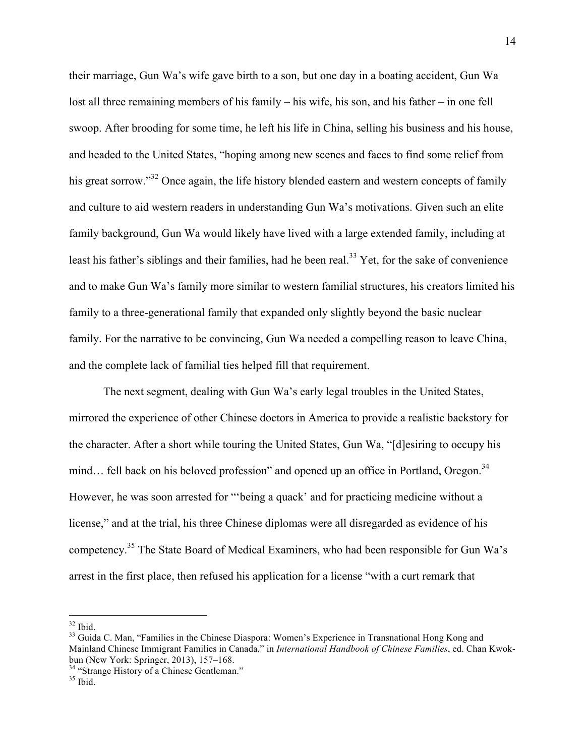their marriage, Gun Wa's wife gave birth to a son, but one day in a boating accident, Gun Wa lost all three remaining members of his family – his wife, his son, and his father – in one fell swoop. After brooding for some time, he left his life in China, selling his business and his house, and headed to the United States, "hoping among new scenes and faces to find some relief from his great sorrow."<sup>32</sup> Once again, the life history blended eastern and western concepts of family and culture to aid western readers in understanding Gun Wa's motivations. Given such an elite family background, Gun Wa would likely have lived with a large extended family, including at least his father's siblings and their families, had he been real.<sup>33</sup> Yet, for the sake of convenience and to make Gun Wa's family more similar to western familial structures, his creators limited his family to a three-generational family that expanded only slightly beyond the basic nuclear family. For the narrative to be convincing, Gun Wa needed a compelling reason to leave China, and the complete lack of familial ties helped fill that requirement.

The next segment, dealing with Gun Wa's early legal troubles in the United States, mirrored the experience of other Chinese doctors in America to provide a realistic backstory for the character. After a short while touring the United States, Gun Wa, "[d]esiring to occupy his mind... fell back on his beloved profession" and opened up an office in Portland, Oregon.<sup>34</sup> However, he was soon arrested for "'being a quack' and for practicing medicine without a license," and at the trial, his three Chinese diplomas were all disregarded as evidence of his competency.35 The State Board of Medical Examiners, who had been responsible for Gun Wa's arrest in the first place, then refused his application for a license "with a curt remark that

 $32$  Ibid.<br> $33$  Guida C. Man, "Families in the Chinese Diaspora: Women's Experience in Transnational Hong Kong and Mainland Chinese Immigrant Families in Canada," in *International Handbook of Chinese Families*, ed. Chan Kwokbun (New York: Springer, 2013), 157–168.<br><sup>34</sup> "Strange History of a Chinese Gentleman."<br><sup>35</sup> Ibid.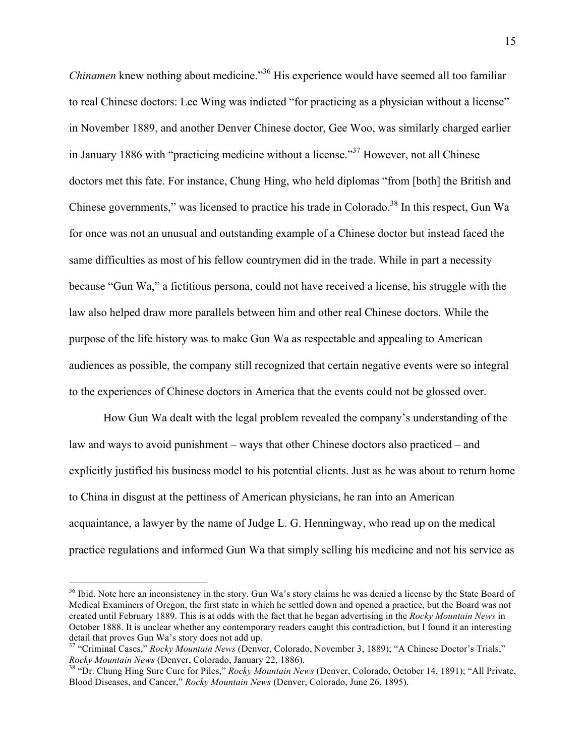*Chinamen* knew nothing about medicine."<sup>36</sup> His experience would have seemed all too familiar to real Chinese doctors: Lee Wing was indicted "for practicing as a physician without a license" in November 1889, and another Denver Chinese doctor, Gee Woo, was similarly charged earlier in January 1886 with "practicing medicine without a license."37 However, not all Chinese doctors met this fate. For instance, Chung Hing, who held diplomas "from [both] the British and Chinese governments," was licensed to practice his trade in Colorado.<sup>38</sup> In this respect, Gun Wa for once was not an unusual and outstanding example of a Chinese doctor but instead faced the same difficulties as most of his fellow countrymen did in the trade. While in part a necessity because "Gun Wa," a fictitious persona, could not have received a license, his struggle with the law also helped draw more parallels between him and other real Chinese doctors. While the purpose of the life history was to make Gun Wa as respectable and appealing to American audiences as possible, the company still recognized that certain negative events were so integral to the experiences of Chinese doctors in America that the events could not be glossed over.

How Gun Wa dealt with the legal problem revealed the company's understanding of the law and ways to avoid punishment – ways that other Chinese doctors also practiced – and explicitly justified his business model to his potential clients. Just as he was about to return home to China in disgust at the pettiness of American physicians, he ran into an American acquaintance, a lawyer by the name of Judge L. G. Henningway, who read up on the medical practice regulations and informed Gun Wa that simply selling his medicine and not his service as

<sup>&</sup>lt;sup>36</sup> Ibid. Note here an inconsistency in the story. Gun Wa's story claims he was denied a license by the State Board of Medical Examiners of Oregon, the first state in which he settled down and opened a practice, but the Board was not created until February 1889. This is at odds with the fact that he began advertising in the *Rocky Mountain News* in October 1888. It is unclear whether any contemporary readers caught this contradiction, but I found it an interesting detail that proves Gun Wa's story does not add up.

<sup>&</sup>lt;sup>37</sup> "Criminal Cases," *Rocky Mountain News* (Denver, Colorado, November 3, 1889); "A Chinese Doctor's Trials,"<br>*Rocky Mountain News* (Denver, Colorado, January 22, 1886).

<sup>&</sup>lt;sup>28</sup> "Dr. Chung Hing Sure Cure for Piles," *Rocky Mountain News* (Denver, Colorado, October 14, 1891); "All Private, Blood Diseases, and Cancer," *Rocky Mountain News* (Denver, Colorado, June 26, 1895).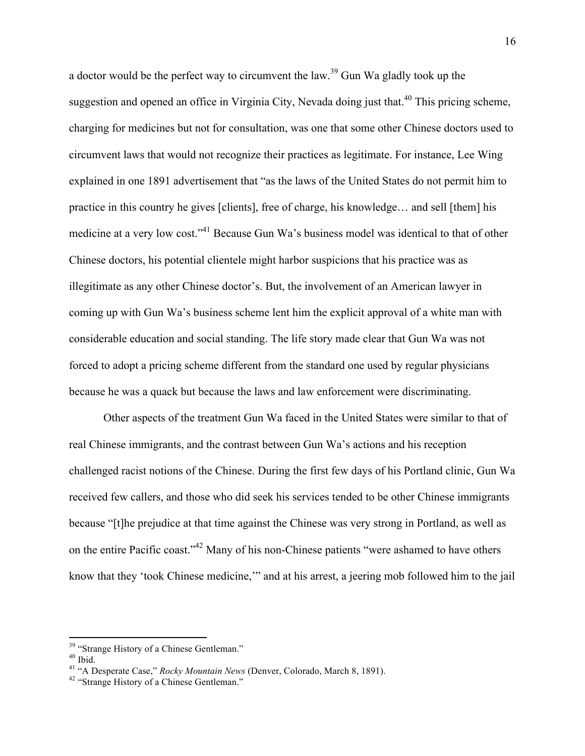a doctor would be the perfect way to circumvent the law.<sup>39</sup> Gun Wa gladly took up the suggestion and opened an office in Virginia City, Nevada doing just that.<sup>40</sup> This pricing scheme, charging for medicines but not for consultation, was one that some other Chinese doctors used to circumvent laws that would not recognize their practices as legitimate. For instance, Lee Wing explained in one 1891 advertisement that "as the laws of the United States do not permit him to practice in this country he gives [clients], free of charge, his knowledge… and sell [them] his medicine at a very low cost."<sup>41</sup> Because Gun Wa's business model was identical to that of other Chinese doctors, his potential clientele might harbor suspicions that his practice was as illegitimate as any other Chinese doctor's. But, the involvement of an American lawyer in coming up with Gun Wa's business scheme lent him the explicit approval of a white man with considerable education and social standing. The life story made clear that Gun Wa was not forced to adopt a pricing scheme different from the standard one used by regular physicians because he was a quack but because the laws and law enforcement were discriminating.

Other aspects of the treatment Gun Wa faced in the United States were similar to that of real Chinese immigrants, and the contrast between Gun Wa's actions and his reception challenged racist notions of the Chinese. During the first few days of his Portland clinic, Gun Wa received few callers, and those who did seek his services tended to be other Chinese immigrants because "[t]he prejudice at that time against the Chinese was very strong in Portland, as well as on the entire Pacific coast."42 Many of his non-Chinese patients "were ashamed to have others know that they 'took Chinese medicine,'" and at his arrest, a jeering mob followed him to the jail

<sup>&</sup>lt;sup>39</sup> "Strange History of a Chinese Gentleman."<br><sup>40</sup> Ibid.<br><sup>41</sup> "A Desperate Case," *Rocky Mountain News* (Denver, Colorado, March 8, 1891).<br><sup>42</sup> "Strange History of a Chinese Gentleman."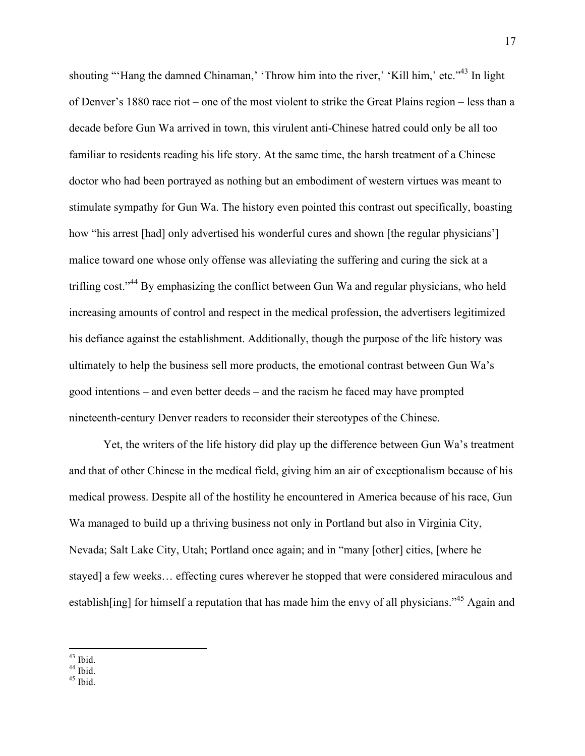shouting "'Hang the damned Chinaman,' 'Throw him into the river,' 'Kill him,' etc."<sup>43</sup> In light of Denver's 1880 race riot – one of the most violent to strike the Great Plains region – less than a decade before Gun Wa arrived in town, this virulent anti-Chinese hatred could only be all too familiar to residents reading his life story. At the same time, the harsh treatment of a Chinese doctor who had been portrayed as nothing but an embodiment of western virtues was meant to stimulate sympathy for Gun Wa. The history even pointed this contrast out specifically, boasting how "his arrest [had] only advertised his wonderful cures and shown [the regular physicians'] malice toward one whose only offense was alleviating the suffering and curing the sick at a trifling cost."<sup>44</sup> By emphasizing the conflict between Gun Wa and regular physicians, who held increasing amounts of control and respect in the medical profession, the advertisers legitimized his defiance against the establishment. Additionally, though the purpose of the life history was ultimately to help the business sell more products, the emotional contrast between Gun Wa's good intentions – and even better deeds – and the racism he faced may have prompted nineteenth-century Denver readers to reconsider their stereotypes of the Chinese.

Yet, the writers of the life history did play up the difference between Gun Wa's treatment and that of other Chinese in the medical field, giving him an air of exceptionalism because of his medical prowess. Despite all of the hostility he encountered in America because of his race, Gun Wa managed to build up a thriving business not only in Portland but also in Virginia City, Nevada; Salt Lake City, Utah; Portland once again; and in "many [other] cities, [where he stayed] a few weeks… effecting cures wherever he stopped that were considered miraculous and establish[ing] for himself a reputation that has made him the envy of all physicians."<sup>45</sup> Again and

 $^{43}$  Ibid.<br> $^{44}$  Ibid.<br> $^{45}$  Ibid.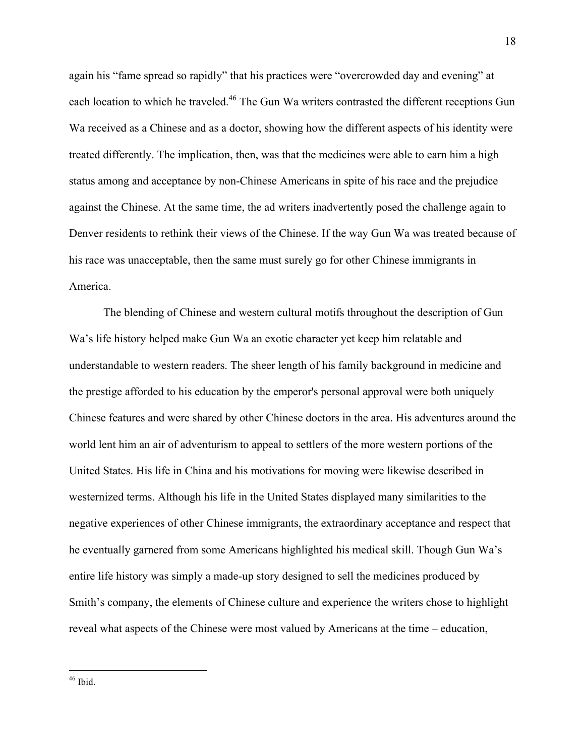again his "fame spread so rapidly" that his practices were "overcrowded day and evening" at each location to which he traveled.<sup>46</sup> The Gun Wa writers contrasted the different receptions Gun Wa received as a Chinese and as a doctor, showing how the different aspects of his identity were treated differently. The implication, then, was that the medicines were able to earn him a high status among and acceptance by non-Chinese Americans in spite of his race and the prejudice against the Chinese. At the same time, the ad writers inadvertently posed the challenge again to Denver residents to rethink their views of the Chinese. If the way Gun Wa was treated because of his race was unacceptable, then the same must surely go for other Chinese immigrants in America.

The blending of Chinese and western cultural motifs throughout the description of Gun Wa's life history helped make Gun Wa an exotic character yet keep him relatable and understandable to western readers. The sheer length of his family background in medicine and the prestige afforded to his education by the emperor's personal approval were both uniquely Chinese features and were shared by other Chinese doctors in the area. His adventures around the world lent him an air of adventurism to appeal to settlers of the more western portions of the United States. His life in China and his motivations for moving were likewise described in westernized terms. Although his life in the United States displayed many similarities to the negative experiences of other Chinese immigrants, the extraordinary acceptance and respect that he eventually garnered from some Americans highlighted his medical skill. Though Gun Wa's entire life history was simply a made-up story designed to sell the medicines produced by Smith's company, the elements of Chinese culture and experience the writers chose to highlight reveal what aspects of the Chinese were most valued by Americans at the time – education,

 $46$  Ibid.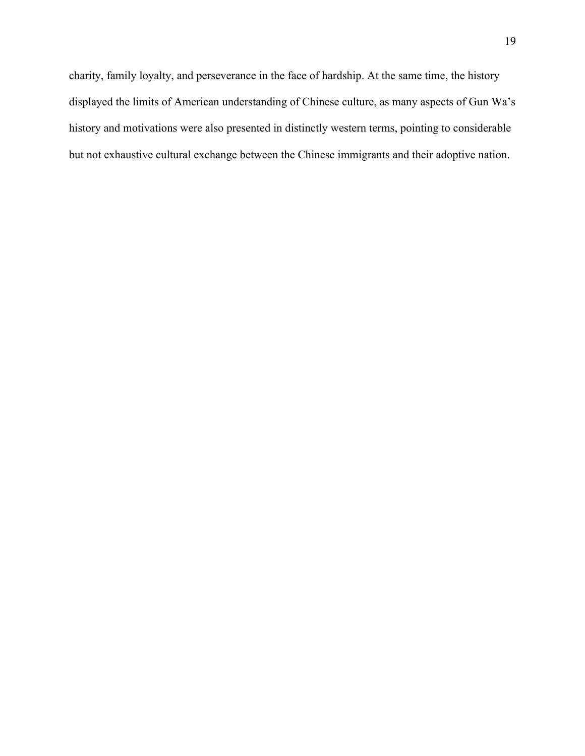charity, family loyalty, and perseverance in the face of hardship. At the same time, the history displayed the limits of American understanding of Chinese culture, as many aspects of Gun Wa's history and motivations were also presented in distinctly western terms, pointing to considerable but not exhaustive cultural exchange between the Chinese immigrants and their adoptive nation.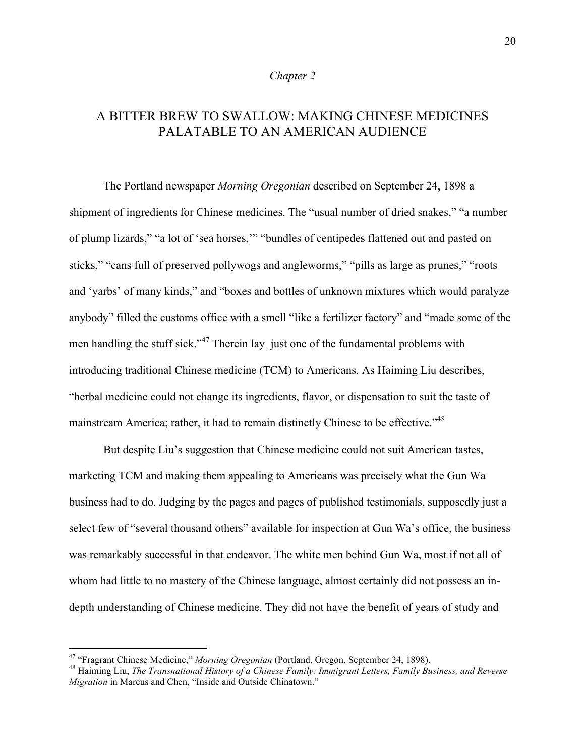## *Chapter 2*

# A BITTER BREW TO SWALLOW: MAKING CHINESE MEDICINES PALATABLE TO AN AMERICAN AUDIENCE

The Portland newspaper *Morning Oregonian* described on September 24, 1898 a shipment of ingredients for Chinese medicines. The "usual number of dried snakes," "a number of plump lizards," "a lot of 'sea horses,'" "bundles of centipedes flattened out and pasted on sticks," "cans full of preserved pollywogs and angleworms," "pills as large as prunes," "roots and 'yarbs' of many kinds," and "boxes and bottles of unknown mixtures which would paralyze anybody" filled the customs office with a smell "like a fertilizer factory" and "made some of the men handling the stuff sick."<sup>47</sup> Therein lay just one of the fundamental problems with introducing traditional Chinese medicine (TCM) to Americans. As Haiming Liu describes, "herbal medicine could not change its ingredients, flavor, or dispensation to suit the taste of mainstream America; rather, it had to remain distinctly Chinese to be effective."48

But despite Liu's suggestion that Chinese medicine could not suit American tastes, marketing TCM and making them appealing to Americans was precisely what the Gun Wa business had to do. Judging by the pages and pages of published testimonials, supposedly just a select few of "several thousand others" available for inspection at Gun Wa's office, the business was remarkably successful in that endeavor. The white men behind Gun Wa, most if not all of whom had little to no mastery of the Chinese language, almost certainly did not possess an indepth understanding of Chinese medicine. They did not have the benefit of years of study and

<sup>&</sup>lt;sup>47</sup> "Fragrant Chinese Medicine," *Morning Oregonian* (Portland, Oregon, September 24, 1898).<br><sup>48</sup> Haiming Liu, *The Transnational History of a Chinese Family: Immigrant Letters, Family Business, and Reverse Migration* in Marcus and Chen, "Inside and Outside Chinatown."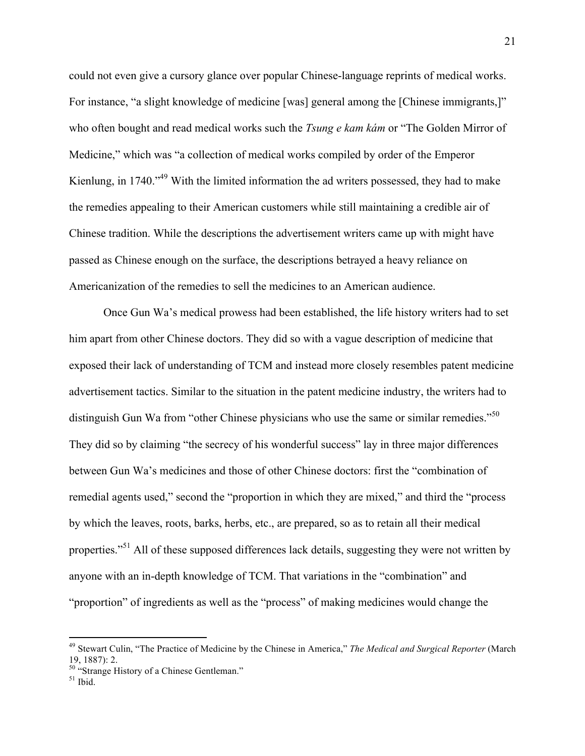could not even give a cursory glance over popular Chinese-language reprints of medical works. For instance, "a slight knowledge of medicine [was] general among the [Chinese immigrants,]" who often bought and read medical works such the *Tsung e kam kám* or "The Golden Mirror of Medicine," which was "a collection of medical works compiled by order of the Emperor Kienlung, in 1740."<sup>49</sup> With the limited information the ad writers possessed, they had to make the remedies appealing to their American customers while still maintaining a credible air of Chinese tradition. While the descriptions the advertisement writers came up with might have passed as Chinese enough on the surface, the descriptions betrayed a heavy reliance on Americanization of the remedies to sell the medicines to an American audience.

Once Gun Wa's medical prowess had been established, the life history writers had to set him apart from other Chinese doctors. They did so with a vague description of medicine that exposed their lack of understanding of TCM and instead more closely resembles patent medicine advertisement tactics. Similar to the situation in the patent medicine industry, the writers had to distinguish Gun Wa from "other Chinese physicians who use the same or similar remedies."<sup>50</sup> They did so by claiming "the secrecy of his wonderful success" lay in three major differences between Gun Wa's medicines and those of other Chinese doctors: first the "combination of remedial agents used," second the "proportion in which they are mixed," and third the "process by which the leaves, roots, barks, herbs, etc., are prepared, so as to retain all their medical properties."<sup>51</sup> All of these supposed differences lack details, suggesting they were not written by anyone with an in-depth knowledge of TCM. That variations in the "combination" and "proportion" of ingredients as well as the "process" of making medicines would change the

 <sup>49</sup> Stewart Culin, "The Practice of Medicine by the Chinese in America," *The Medical and Surgical Reporter* (March 19, 1887): 2.

 $50$  "Strange History of a Chinese Gentleman."<br> $51$  Ibid.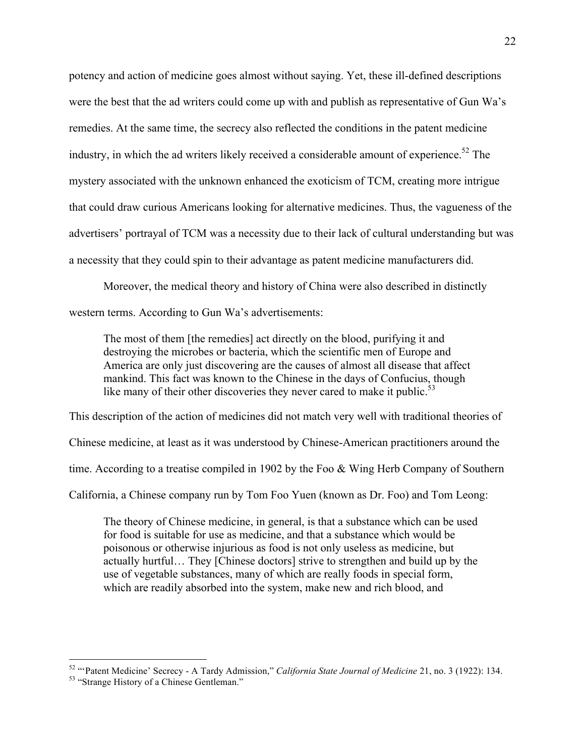potency and action of medicine goes almost without saying. Yet, these ill-defined descriptions were the best that the ad writers could come up with and publish as representative of Gun Wa's remedies. At the same time, the secrecy also reflected the conditions in the patent medicine industry, in which the ad writers likely received a considerable amount of experience.<sup>52</sup> The mystery associated with the unknown enhanced the exoticism of TCM, creating more intrigue that could draw curious Americans looking for alternative medicines. Thus, the vagueness of the advertisers' portrayal of TCM was a necessity due to their lack of cultural understanding but was a necessity that they could spin to their advantage as patent medicine manufacturers did.

Moreover, the medical theory and history of China were also described in distinctly western terms. According to Gun Wa's advertisements:

The most of them [the remedies] act directly on the blood, purifying it and destroying the microbes or bacteria, which the scientific men of Europe and America are only just discovering are the causes of almost all disease that affect mankind. This fact was known to the Chinese in the days of Confucius, though like many of their other discoveries they never cared to make it public.<sup>53</sup>

This description of the action of medicines did not match very well with traditional theories of Chinese medicine, at least as it was understood by Chinese-American practitioners around the time. According to a treatise compiled in 1902 by the Foo & Wing Herb Company of Southern California, a Chinese company run by Tom Foo Yuen (known as Dr. Foo) and Tom Leong:

The theory of Chinese medicine, in general, is that a substance which can be used for food is suitable for use as medicine, and that a substance which would be poisonous or otherwise injurious as food is not only useless as medicine, but actually hurtful… They [Chinese doctors] strive to strengthen and build up by the use of vegetable substances, many of which are really foods in special form, which are readily absorbed into the system, make new and rich blood, and

<sup>&</sup>lt;sup>52</sup> "Patent Medicine' Secrecy - A Tardy Admission," *California State Journal of Medicine* 21, no. 3 (1922): 134.<br><sup>53</sup> "Strange History of a Chinese Gentleman."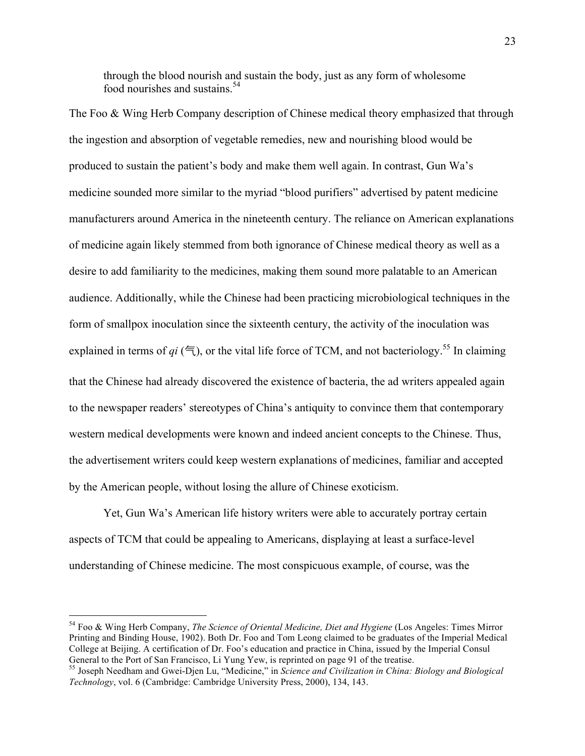through the blood nourish and sustain the body, just as any form of wholesome food nourishes and sustains  $54$ 

The Foo & Wing Herb Company description of Chinese medical theory emphasized that through the ingestion and absorption of vegetable remedies, new and nourishing blood would be produced to sustain the patient's body and make them well again. In contrast, Gun Wa's medicine sounded more similar to the myriad "blood purifiers" advertised by patent medicine manufacturers around America in the nineteenth century. The reliance on American explanations of medicine again likely stemmed from both ignorance of Chinese medical theory as well as a desire to add familiarity to the medicines, making them sound more palatable to an American audience. Additionally, while the Chinese had been practicing microbiological techniques in the form of smallpox inoculation since the sixteenth century, the activity of the inoculation was explained in terms of  $qi$  ( $\epsilon$ ), or the vital life force of TCM, and not bacteriology.<sup>55</sup> In claiming that the Chinese had already discovered the existence of bacteria, the ad writers appealed again to the newspaper readers' stereotypes of China's antiquity to convince them that contemporary western medical developments were known and indeed ancient concepts to the Chinese. Thus, the advertisement writers could keep western explanations of medicines, familiar and accepted by the American people, without losing the allure of Chinese exoticism.

Yet, Gun Wa's American life history writers were able to accurately portray certain aspects of TCM that could be appealing to Americans, displaying at least a surface-level understanding of Chinese medicine. The most conspicuous example, of course, was the

 

<sup>54</sup> Foo & Wing Herb Company, *The Science of Oriental Medicine, Diet and Hygiene* (Los Angeles: Times Mirror Printing and Binding House, 1902). Both Dr. Foo and Tom Leong claimed to be graduates of the Imperial Medical College at Beijing. A certification of Dr. Foo's education and practice in China, issued by the Imperial Consul<br>General to the Port of San Francisco, Li Yung Yew, is reprinted on page 91 of the treatise.

General to the Port of San Francisco, Li Yung Yew, is reprinted on page 91 of the treatise. <sup>55</sup> Joseph Needham and Gwei-Djen Lu, "Medicine," in *Science and Civilization in China: Biology and Biological Technology*, vol. 6 (Cambridge: Cambridge University Press, 2000), 134, 143.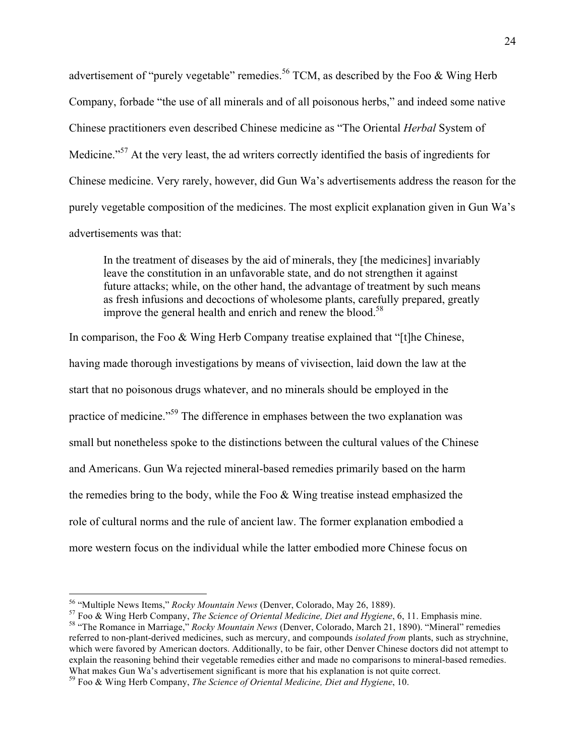advertisement of "purely vegetable" remedies.<sup>56</sup> TCM, as described by the Foo & Wing Herb Company, forbade "the use of all minerals and of all poisonous herbs," and indeed some native Chinese practitioners even described Chinese medicine as "The Oriental *Herbal* System of Medicine."<sup>57</sup> At the very least, the ad writers correctly identified the basis of ingredients for Chinese medicine. Very rarely, however, did Gun Wa's advertisements address the reason for the purely vegetable composition of the medicines. The most explicit explanation given in Gun Wa's advertisements was that:

In the treatment of diseases by the aid of minerals, they [the medicines] invariably leave the constitution in an unfavorable state, and do not strengthen it against future attacks; while, on the other hand, the advantage of treatment by such means as fresh infusions and decoctions of wholesome plants, carefully prepared, greatly improve the general health and enrich and renew the blood.<sup>58</sup>

In comparison, the Foo & Wing Herb Company treatise explained that "[t]he Chinese, having made thorough investigations by means of vivisection, laid down the law at the start that no poisonous drugs whatever, and no minerals should be employed in the practice of medicine."<sup>59</sup> The difference in emphases between the two explanation was small but nonetheless spoke to the distinctions between the cultural values of the Chinese and Americans. Gun Wa rejected mineral-based remedies primarily based on the harm the remedies bring to the body, while the Foo & Wing treatise instead emphasized the role of cultural norms and the rule of ancient law. The former explanation embodied a more western focus on the individual while the latter embodied more Chinese focus on

<sup>&</sup>lt;sup>56</sup> "Multiple News Items," *Rocky Mountain News* (Denver, Colorado, May 26, 1889).<br><sup>57</sup> Foo & Wing Herb Company, *The Science of Oriental Medicine, Diet and Hygiene*, 6, 11. Emphasis mine.<br><sup>58</sup> "The Romance in Marriage," referred to non-plant-derived medicines, such as mercury, and compounds *isolated from* plants, such as strychnine, which were favored by American doctors. Additionally, to be fair, other Denver Chinese doctors did not attempt to explain the reasoning behind their vegetable remedies either and made no comparisons to mineral-based remedies. What makes Gun Wa's advertisement significant is more that his explanation is not quite correct.<br><sup>59</sup> Foo & Wing Herb Company, *The Science of Oriental Medicine, Diet and Hygiene*, 10.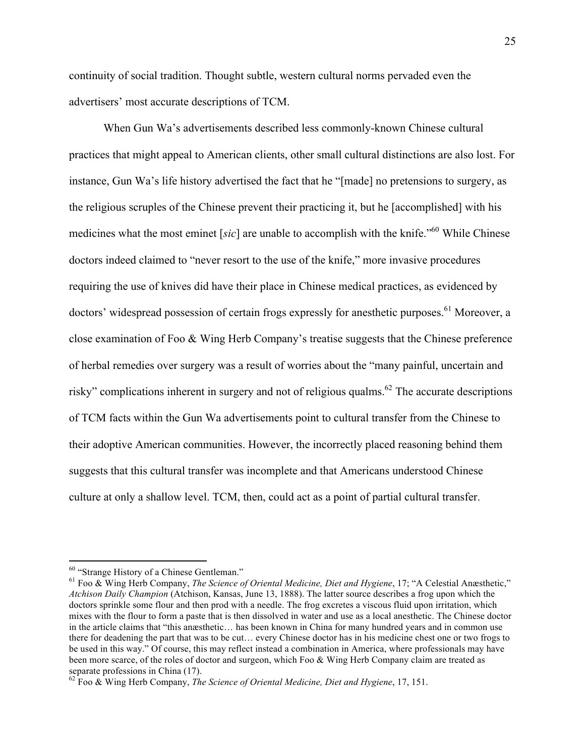continuity of social tradition. Thought subtle, western cultural norms pervaded even the advertisers' most accurate descriptions of TCM.

When Gun Wa's advertisements described less commonly-known Chinese cultural practices that might appeal to American clients, other small cultural distinctions are also lost. For instance, Gun Wa's life history advertised the fact that he "[made] no pretensions to surgery, as the religious scruples of the Chinese prevent their practicing it, but he [accomplished] with his medicines what the most eminet [*sic*] are unable to accomplish with the knife."60 While Chinese doctors indeed claimed to "never resort to the use of the knife," more invasive procedures requiring the use of knives did have their place in Chinese medical practices, as evidenced by doctors' widespread possession of certain frogs expressly for anesthetic purposes.<sup>61</sup> Moreover, a close examination of Foo & Wing Herb Company's treatise suggests that the Chinese preference of herbal remedies over surgery was a result of worries about the "many painful, uncertain and risky" complications inherent in surgery and not of religious qualms.<sup>62</sup> The accurate descriptions of TCM facts within the Gun Wa advertisements point to cultural transfer from the Chinese to their adoptive American communities. However, the incorrectly placed reasoning behind them suggests that this cultural transfer was incomplete and that Americans understood Chinese culture at only a shallow level. TCM, then, could act as a point of partial cultural transfer.

 <sup>60</sup> "Strange History of a Chinese Gentleman." <sup>61</sup> Foo & Wing Herb Company, *The Science of Oriental Medicine, Diet and Hygiene*, 17; "A Celestial Anæsthetic," *Atchison Daily Champion* (Atchison, Kansas, June 13, 1888). The latter source describes a frog upon which the doctors sprinkle some flour and then prod with a needle. The frog excretes a viscous fluid upon irritation, which mixes with the flour to form a paste that is then dissolved in water and use as a local anesthetic. The Chinese doctor in the article claims that "this anæsthetic… has been known in China for many hundred years and in common use there for deadening the part that was to be cut… every Chinese doctor has in his medicine chest one or two frogs to be used in this way." Of course, this may reflect instead a combination in America, where professionals may have been more scarce, of the roles of doctor and surgeon, which Foo & Wing Herb Company claim are treated as separate professions in China (17).

<sup>62</sup> Foo & Wing Herb Company, *The Science of Oriental Medicine, Diet and Hygiene*, 17, 151.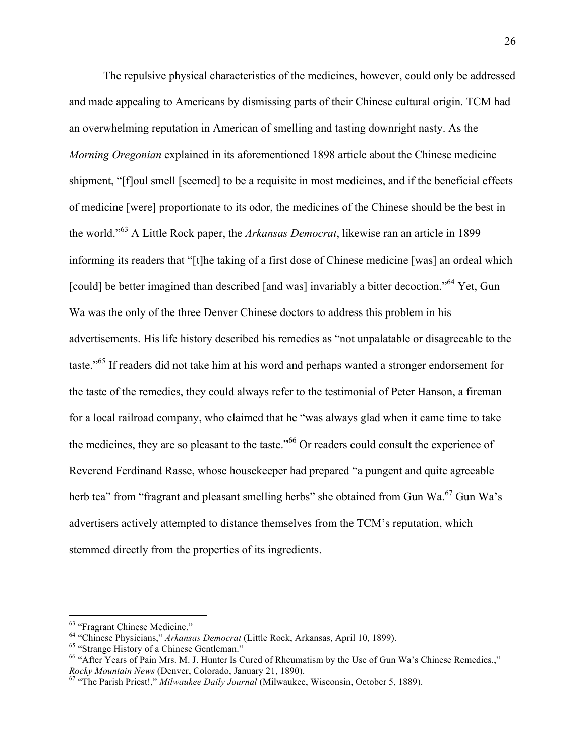The repulsive physical characteristics of the medicines, however, could only be addressed and made appealing to Americans by dismissing parts of their Chinese cultural origin. TCM had an overwhelming reputation in American of smelling and tasting downright nasty. As the *Morning Oregonian* explained in its aforementioned 1898 article about the Chinese medicine shipment, "[f]oul smell [seemed] to be a requisite in most medicines, and if the beneficial effects of medicine [were] proportionate to its odor, the medicines of the Chinese should be the best in the world."<sup>63</sup> A Little Rock paper, the *Arkansas Democrat*, likewise ran an article in 1899 informing its readers that "[t]he taking of a first dose of Chinese medicine [was] an ordeal which [could] be better imagined than described [and was] invariably a bitter decoction."<sup>64</sup> Yet, Gun Wa was the only of the three Denver Chinese doctors to address this problem in his advertisements. His life history described his remedies as "not unpalatable or disagreeable to the taste."65 If readers did not take him at his word and perhaps wanted a stronger endorsement for the taste of the remedies, they could always refer to the testimonial of Peter Hanson, a fireman for a local railroad company, who claimed that he "was always glad when it came time to take the medicines, they are so pleasant to the taste."<sup>66</sup> Or readers could consult the experience of Reverend Ferdinand Rasse, whose housekeeper had prepared "a pungent and quite agreeable herb tea" from "fragrant and pleasant smelling herbs" she obtained from Gun Wa.<sup>67</sup> Gun Wa's advertisers actively attempted to distance themselves from the TCM's reputation, which stemmed directly from the properties of its ingredients.

 

<sup>&</sup>lt;sup>63</sup> "Fragrant Chinese Medicine."<br>
<sup>64</sup> "Chinese Physicians," *Arkansas Democrat* (Little Rock, Arkansas, April 10, 1899).<br>
<sup>65</sup> "Strange History of a Chinese Gentleman."<br>
<sup>66</sup> "After Years of Pain Mrs. M. J. Hunter Is Cu

<sup>&</sup>lt;sup>67</sup> "The Parish Priest!," *Milwaukee Daily Journal* (Milwaukee, Wisconsin, October 5, 1889).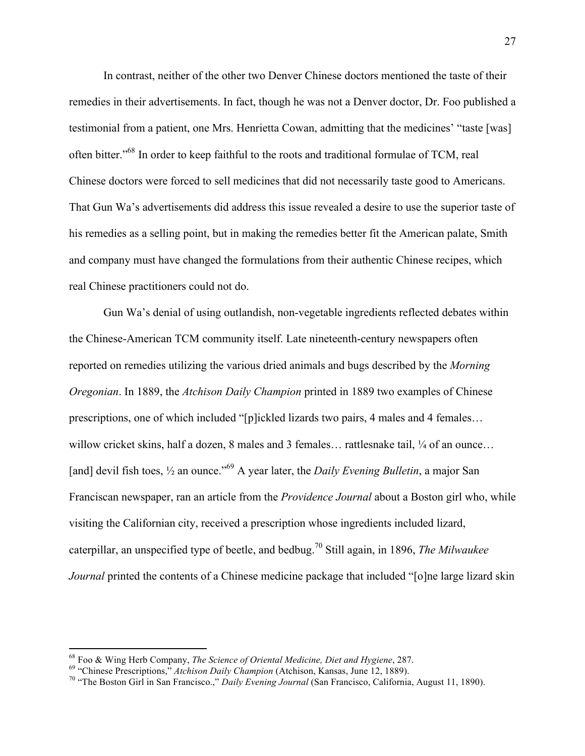In contrast, neither of the other two Denver Chinese doctors mentioned the taste of their remedies in their advertisements. In fact, though he was not a Denver doctor, Dr. Foo published a testimonial from a patient, one Mrs. Henrietta Cowan, admitting that the medicines' "taste [was] often bitter."68 In order to keep faithful to the roots and traditional formulae of TCM, real Chinese doctors were forced to sell medicines that did not necessarily taste good to Americans. That Gun Wa's advertisements did address this issue revealed a desire to use the superior taste of his remedies as a selling point, but in making the remedies better fit the American palate, Smith and company must have changed the formulations from their authentic Chinese recipes, which real Chinese practitioners could not do.

Gun Wa's denial of using outlandish, non-vegetable ingredients reflected debates within the Chinese-American TCM community itself. Late nineteenth-century newspapers often reported on remedies utilizing the various dried animals and bugs described by the *Morning Oregonian*. In 1889, the *Atchison Daily Champion* printed in 1889 two examples of Chinese prescriptions, one of which included "[p]ickled lizards two pairs, 4 males and 4 females… willow cricket skins, half a dozen, 8 males and 3 females… rattlesnake tail,  $\frac{1}{4}$  of an ounce… [and] devil fish toes,  $\frac{1}{2}$  an ounce."<sup>69</sup> A year later, the *Daily Evening Bulletin*, a major San Franciscan newspaper, ran an article from the *Providence Journal* about a Boston girl who, while visiting the Californian city, received a prescription whose ingredients included lizard, caterpillar, an unspecified type of beetle, and bedbug. <sup>70</sup> Still again, in 1896, *The Milwaukee Journal* printed the contents of a Chinese medicine package that included "[o]ne large lizard skin

<sup>&</sup>lt;sup>68</sup> Foo & Wing Herb Company, *The Science of Oriental Medicine, Diet and Hygiene*, 287.<br><sup>69</sup> "Chinese Prescriptions," *Atchison Daily Champion* (Atchison, Kansas, June 12, 1889).<br><sup>70</sup> "The Boston Girl in San Francisco.,"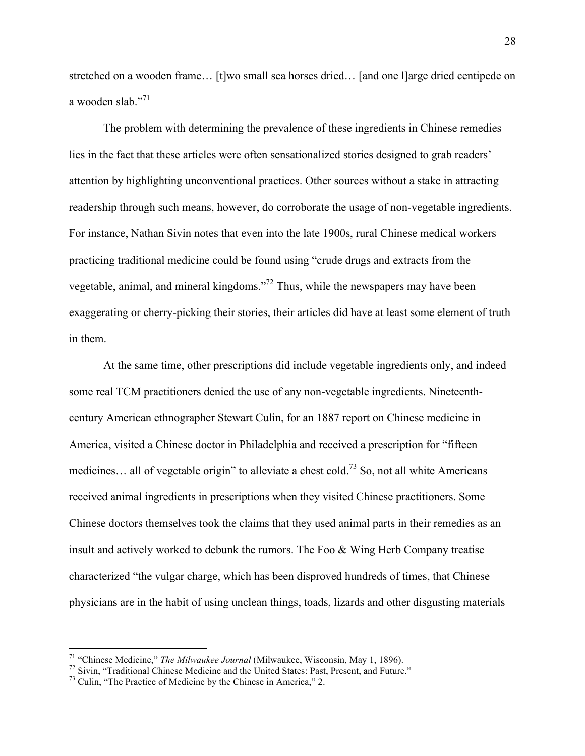stretched on a wooden frame… [t]wo small sea horses dried… [and one l]arge dried centipede on a wooden slab<sup>"71</sup>

The problem with determining the prevalence of these ingredients in Chinese remedies lies in the fact that these articles were often sensationalized stories designed to grab readers' attention by highlighting unconventional practices. Other sources without a stake in attracting readership through such means, however, do corroborate the usage of non-vegetable ingredients. For instance, Nathan Sivin notes that even into the late 1900s, rural Chinese medical workers practicing traditional medicine could be found using "crude drugs and extracts from the vegetable, animal, and mineral kingdoms."72 Thus, while the newspapers may have been exaggerating or cherry-picking their stories, their articles did have at least some element of truth in them.

At the same time, other prescriptions did include vegetable ingredients only, and indeed some real TCM practitioners denied the use of any non-vegetable ingredients. Nineteenthcentury American ethnographer Stewart Culin, for an 1887 report on Chinese medicine in America, visited a Chinese doctor in Philadelphia and received a prescription for "fifteen medicines... all of vegetable origin" to alleviate a chest cold.<sup>73</sup> So, not all white Americans received animal ingredients in prescriptions when they visited Chinese practitioners. Some Chinese doctors themselves took the claims that they used animal parts in their remedies as an insult and actively worked to debunk the rumors. The Foo & Wing Herb Company treatise characterized "the vulgar charge, which has been disproved hundreds of times, that Chinese physicians are in the habit of using unclean things, toads, lizards and other disgusting materials

<sup>&</sup>lt;sup>71</sup> "Chinese Medicine," *The Milwaukee Journal* (Milwaukee, Wisconsin, May 1, 1896).<br><sup>72</sup> Sivin, "Traditional Chinese Medicine and the United States: Past, Present, and Future."<br><sup>73</sup> Culin, "The Practice of Medicine by t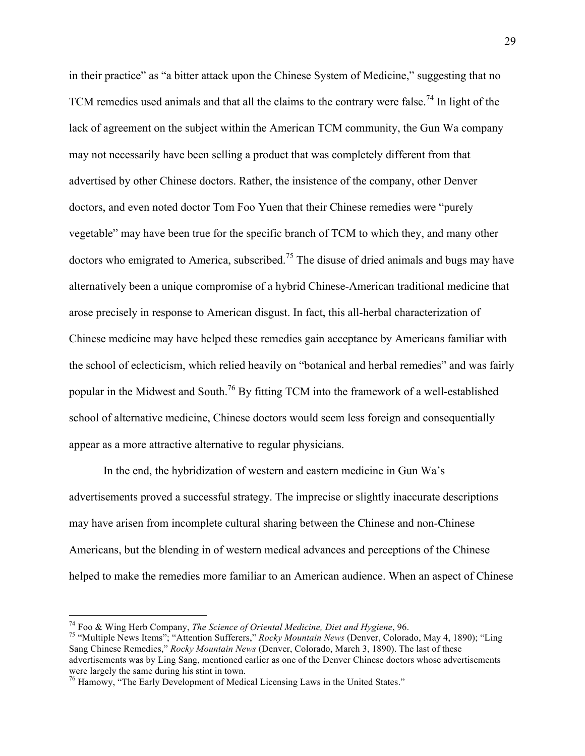in their practice" as "a bitter attack upon the Chinese System of Medicine," suggesting that no TCM remedies used animals and that all the claims to the contrary were false.<sup>74</sup> In light of the lack of agreement on the subject within the American TCM community, the Gun Wa company may not necessarily have been selling a product that was completely different from that advertised by other Chinese doctors. Rather, the insistence of the company, other Denver doctors, and even noted doctor Tom Foo Yuen that their Chinese remedies were "purely vegetable" may have been true for the specific branch of TCM to which they, and many other doctors who emigrated to America, subscribed.<sup>75</sup> The disuse of dried animals and bugs may have alternatively been a unique compromise of a hybrid Chinese-American traditional medicine that arose precisely in response to American disgust. In fact, this all-herbal characterization of Chinese medicine may have helped these remedies gain acceptance by Americans familiar with the school of eclecticism, which relied heavily on "botanical and herbal remedies" and was fairly popular in the Midwest and South.<sup>76</sup> By fitting TCM into the framework of a well-established school of alternative medicine, Chinese doctors would seem less foreign and consequentially appear as a more attractive alternative to regular physicians.

In the end, the hybridization of western and eastern medicine in Gun Wa's advertisements proved a successful strategy. The imprecise or slightly inaccurate descriptions may have arisen from incomplete cultural sharing between the Chinese and non-Chinese Americans, but the blending in of western medical advances and perceptions of the Chinese helped to make the remedies more familiar to an American audience. When an aspect of Chinese

 

<sup>&</sup>lt;sup>74</sup> Foo & Wing Herb Company, *The Science of Oriental Medicine, Diet and Hygiene*, 96.<br><sup>75</sup> "Multiple News Items"; "Attention Sufferers," *Rocky Mountain News* (Denver, Colorado, May 4, 1890); "Ling Sang Chinese Remedies," *Rocky Mountain News* (Denver, Colorado, March 3, 1890). The last of these advertisements was by Ling Sang, mentioned earlier as one of the Denver Chinese doctors whose advertisements were largely the same during his stint in town.

<sup>&</sup>lt;sup>76</sup> Hamowy, "The Early Development of Medical Licensing Laws in the United States."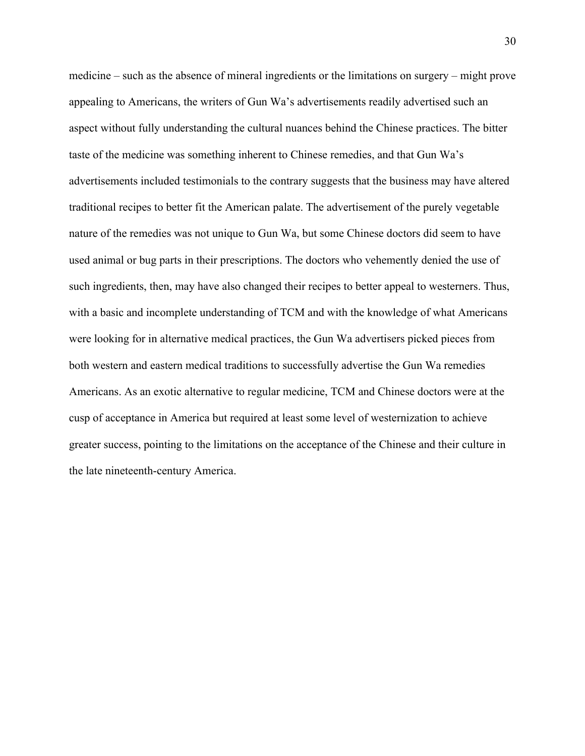medicine – such as the absence of mineral ingredients or the limitations on surgery – might prove appealing to Americans, the writers of Gun Wa's advertisements readily advertised such an aspect without fully understanding the cultural nuances behind the Chinese practices. The bitter taste of the medicine was something inherent to Chinese remedies, and that Gun Wa's advertisements included testimonials to the contrary suggests that the business may have altered traditional recipes to better fit the American palate. The advertisement of the purely vegetable nature of the remedies was not unique to Gun Wa, but some Chinese doctors did seem to have used animal or bug parts in their prescriptions. The doctors who vehemently denied the use of such ingredients, then, may have also changed their recipes to better appeal to westerners. Thus, with a basic and incomplete understanding of TCM and with the knowledge of what Americans were looking for in alternative medical practices, the Gun Wa advertisers picked pieces from both western and eastern medical traditions to successfully advertise the Gun Wa remedies Americans. As an exotic alternative to regular medicine, TCM and Chinese doctors were at the cusp of acceptance in America but required at least some level of westernization to achieve greater success, pointing to the limitations on the acceptance of the Chinese and their culture in the late nineteenth-century America.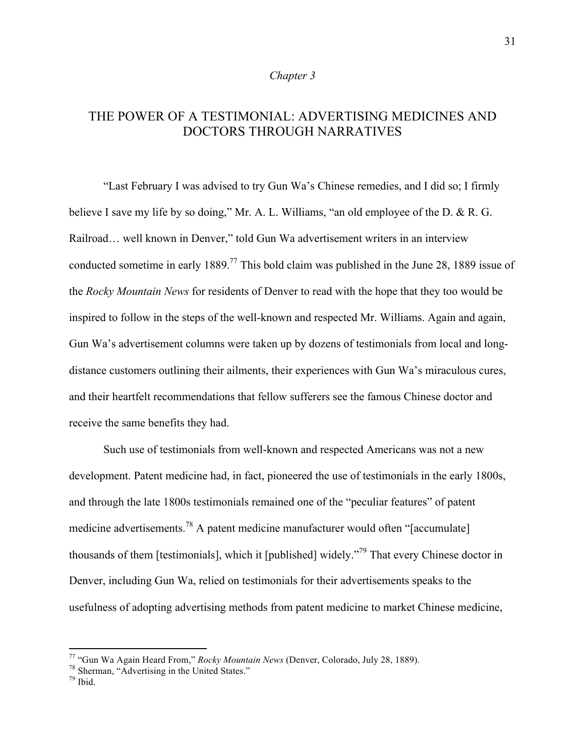## *Chapter 3*

# THE POWER OF A TESTIMONIAL: ADVERTISING MEDICINES AND DOCTORS THROUGH NARRATIVES

"Last February I was advised to try Gun Wa's Chinese remedies, and I did so; I firmly believe I save my life by so doing," Mr. A. L. Williams, "an old employee of the D. & R. G. Railroad… well known in Denver," told Gun Wa advertisement writers in an interview conducted sometime in early 1889.<sup>77</sup> This bold claim was published in the June 28, 1889 issue of the *Rocky Mountain News* for residents of Denver to read with the hope that they too would be inspired to follow in the steps of the well-known and respected Mr. Williams. Again and again, Gun Wa's advertisement columns were taken up by dozens of testimonials from local and longdistance customers outlining their ailments, their experiences with Gun Wa's miraculous cures, and their heartfelt recommendations that fellow sufferers see the famous Chinese doctor and receive the same benefits they had.

Such use of testimonials from well-known and respected Americans was not a new development. Patent medicine had, in fact, pioneered the use of testimonials in the early 1800s, and through the late 1800s testimonials remained one of the "peculiar features" of patent medicine advertisements.<sup>78</sup> A patent medicine manufacturer would often "[accumulate] thousands of them [testimonials], which it [published] widely."79 That every Chinese doctor in Denver, including Gun Wa, relied on testimonials for their advertisements speaks to the usefulness of adopting advertising methods from patent medicine to market Chinese medicine,

<sup>&</sup>lt;sup>77</sup> "Gun Wa Again Heard From," *Rocky Mountain News* (Denver, Colorado, July 28, 1889).<br><sup>78</sup> Sherman, "Advertising in the United States." <sup>79</sup> Ibid.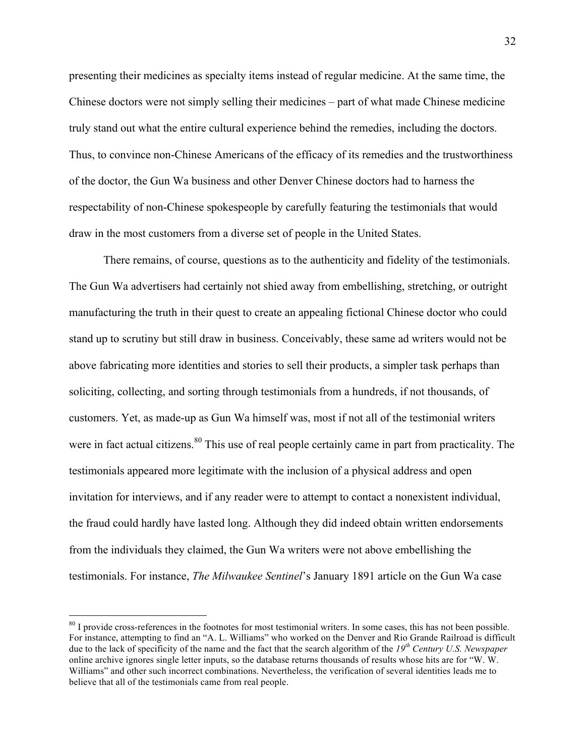presenting their medicines as specialty items instead of regular medicine. At the same time, the Chinese doctors were not simply selling their medicines – part of what made Chinese medicine truly stand out what the entire cultural experience behind the remedies, including the doctors. Thus, to convince non-Chinese Americans of the efficacy of its remedies and the trustworthiness of the doctor, the Gun Wa business and other Denver Chinese doctors had to harness the respectability of non-Chinese spokespeople by carefully featuring the testimonials that would draw in the most customers from a diverse set of people in the United States.

There remains, of course, questions as to the authenticity and fidelity of the testimonials. The Gun Wa advertisers had certainly not shied away from embellishing, stretching, or outright manufacturing the truth in their quest to create an appealing fictional Chinese doctor who could stand up to scrutiny but still draw in business. Conceivably, these same ad writers would not be above fabricating more identities and stories to sell their products, a simpler task perhaps than soliciting, collecting, and sorting through testimonials from a hundreds, if not thousands, of customers. Yet, as made-up as Gun Wa himself was, most if not all of the testimonial writers were in fact actual citizens.<sup>80</sup> This use of real people certainly came in part from practicality. The testimonials appeared more legitimate with the inclusion of a physical address and open invitation for interviews, and if any reader were to attempt to contact a nonexistent individual, the fraud could hardly have lasted long. Although they did indeed obtain written endorsements from the individuals they claimed, the Gun Wa writers were not above embellishing the testimonials. For instance, *The Milwaukee Sentinel*'s January 1891 article on the Gun Wa case

 

<sup>&</sup>lt;sup>80</sup> I provide cross-references in the footnotes for most testimonial writers. In some cases, this has not been possible. For instance, attempting to find an "A. L. Williams" who worked on the Denver and Rio Grande Railroad is difficult due to the lack of specificity of the name and the fact that the search algorithm of the *19th Century U.S. Newspaper* online archive ignores single letter inputs, so the database returns thousands of results whose hits are for "W. W. Williams" and other such incorrect combinations. Nevertheless, the verification of several identities leads me to believe that all of the testimonials came from real people.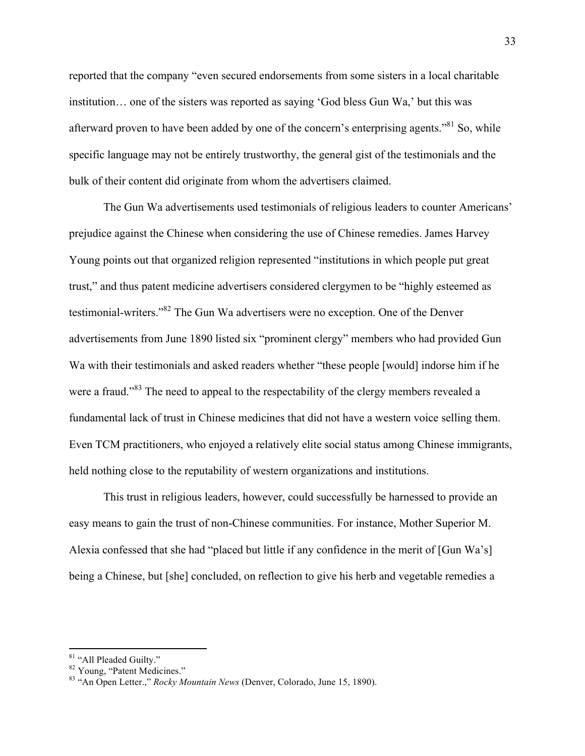reported that the company "even secured endorsements from some sisters in a local charitable institution… one of the sisters was reported as saying 'God bless Gun Wa,' but this was afterward proven to have been added by one of the concern's enterprising agents."<sup>81</sup> So, while specific language may not be entirely trustworthy, the general gist of the testimonials and the bulk of their content did originate from whom the advertisers claimed.

The Gun Wa advertisements used testimonials of religious leaders to counter Americans' prejudice against the Chinese when considering the use of Chinese remedies. James Harvey Young points out that organized religion represented "institutions in which people put great trust," and thus patent medicine advertisers considered clergymen to be "highly esteemed as testimonial-writers."<sup>82</sup> The Gun Wa advertisers were no exception. One of the Denver advertisements from June 1890 listed six "prominent clergy" members who had provided Gun Wa with their testimonials and asked readers whether "these people [would] indorse him if he were a fraud."<sup>83</sup> The need to appeal to the respectability of the clergy members revealed a fundamental lack of trust in Chinese medicines that did not have a western voice selling them. Even TCM practitioners, who enjoyed a relatively elite social status among Chinese immigrants, held nothing close to the reputability of western organizations and institutions.

This trust in religious leaders, however, could successfully be harnessed to provide an easy means to gain the trust of non-Chinese communities. For instance, Mother Superior M. Alexia confessed that she had "placed but little if any confidence in the merit of [Gun Wa's] being a Chinese, but [she] concluded, on reflection to give his herb and vegetable remedies a

<sup>&</sup>lt;sup>81</sup> "All Pleaded Guilty."<br><sup>82</sup> Young, "Patent Medicines."<br><sup>83</sup> "An Open Letter.," *Rocky Mountain News* (Denver, Colorado, June 15, 1890).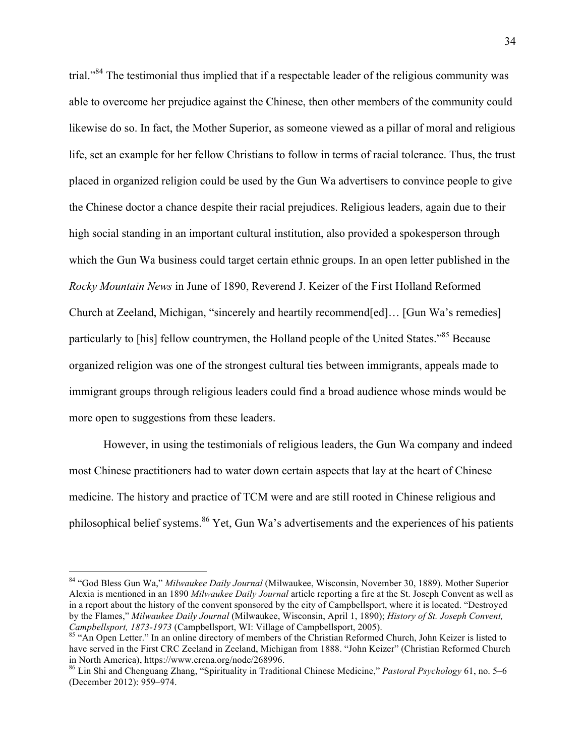trial."84 The testimonial thus implied that if a respectable leader of the religious community was able to overcome her prejudice against the Chinese, then other members of the community could likewise do so. In fact, the Mother Superior, as someone viewed as a pillar of moral and religious life, set an example for her fellow Christians to follow in terms of racial tolerance. Thus, the trust placed in organized religion could be used by the Gun Wa advertisers to convince people to give the Chinese doctor a chance despite their racial prejudices. Religious leaders, again due to their high social standing in an important cultural institution, also provided a spokesperson through which the Gun Wa business could target certain ethnic groups. In an open letter published in the *Rocky Mountain News* in June of 1890, Reverend J. Keizer of the First Holland Reformed Church at Zeeland, Michigan, "sincerely and heartily recommend[ed]… [Gun Wa's remedies] particularly to [his] fellow countrymen, the Holland people of the United States."<sup>85</sup> Because organized religion was one of the strongest cultural ties between immigrants, appeals made to immigrant groups through religious leaders could find a broad audience whose minds would be more open to suggestions from these leaders.

However, in using the testimonials of religious leaders, the Gun Wa company and indeed most Chinese practitioners had to water down certain aspects that lay at the heart of Chinese medicine. The history and practice of TCM were and are still rooted in Chinese religious and philosophical belief systems.<sup>86</sup> Yet, Gun Wa's advertisements and the experiences of his patients

 <sup>84</sup> "God Bless Gun Wa," *Milwaukee Daily Journal* (Milwaukee, Wisconsin, November 30, 1889). Mother Superior Alexia is mentioned in an 1890 *Milwaukee Daily Journal* article reporting a fire at the St. Joseph Convent as well as in a report about the history of the convent sponsored by the city of Campbellsport, where it is located. "Destroyed by the Flames," *Milwaukee Daily Journal* (Milwaukee, Wisconsin, April 1, 1890); *History of St. Joseph Convent,* 

<sup>&</sup>lt;sup>85</sup> "An Open Letter." In an online directory of members of the Christian Reformed Church, John Keizer is listed to have served in the First CRC Zeeland in Zeeland, Michigan from 1888. "John Keizer" (Christian Reformed Church in North America), https://www.crcna.org/node/268996.

<sup>86</sup> Lin Shi and Chenguang Zhang, "Spirituality in Traditional Chinese Medicine," *Pastoral Psychology* 61, no. 5–6 (December 2012): 959–974.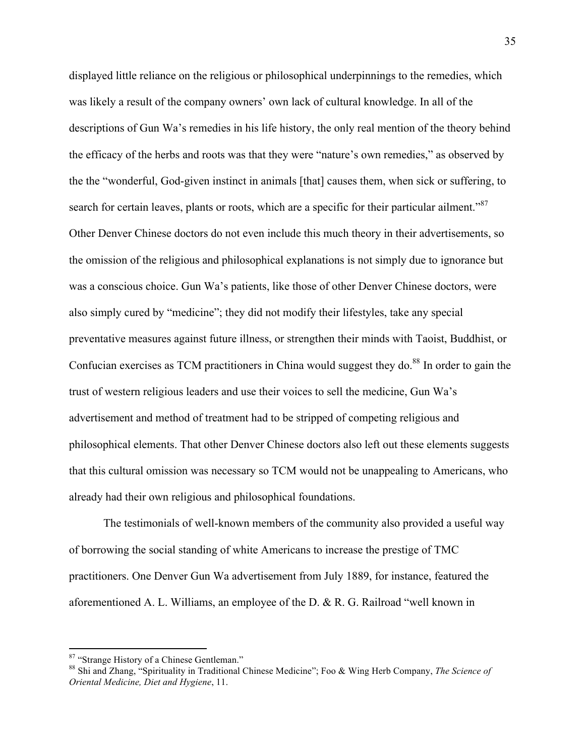displayed little reliance on the religious or philosophical underpinnings to the remedies, which was likely a result of the company owners' own lack of cultural knowledge. In all of the descriptions of Gun Wa's remedies in his life history, the only real mention of the theory behind the efficacy of the herbs and roots was that they were "nature's own remedies," as observed by the the "wonderful, God-given instinct in animals [that] causes them, when sick or suffering, to search for certain leaves, plants or roots, which are a specific for their particular ailment."<sup>87</sup> Other Denver Chinese doctors do not even include this much theory in their advertisements, so the omission of the religious and philosophical explanations is not simply due to ignorance but was a conscious choice. Gun Wa's patients, like those of other Denver Chinese doctors, were also simply cured by "medicine"; they did not modify their lifestyles, take any special preventative measures against future illness, or strengthen their minds with Taoist, Buddhist, or Confucian exercises as TCM practitioners in China would suggest they do.<sup>88</sup> In order to gain the trust of western religious leaders and use their voices to sell the medicine, Gun Wa's advertisement and method of treatment had to be stripped of competing religious and philosophical elements. That other Denver Chinese doctors also left out these elements suggests that this cultural omission was necessary so TCM would not be unappealing to Americans, who already had their own religious and philosophical foundations.

The testimonials of well-known members of the community also provided a useful way of borrowing the social standing of white Americans to increase the prestige of TMC practitioners. One Denver Gun Wa advertisement from July 1889, for instance, featured the aforementioned A. L. Williams, an employee of the D. & R. G. Railroad "well known in

<sup>&</sup>lt;sup>87</sup> "Strange History of a Chinese Gentleman."<br><sup>88</sup> Shi and Zhang, "Spirituality in Traditional Chinese Medicine"; Foo & Wing Herb Company, *The Science of Oriental Medicine, Diet and Hygiene*, 11.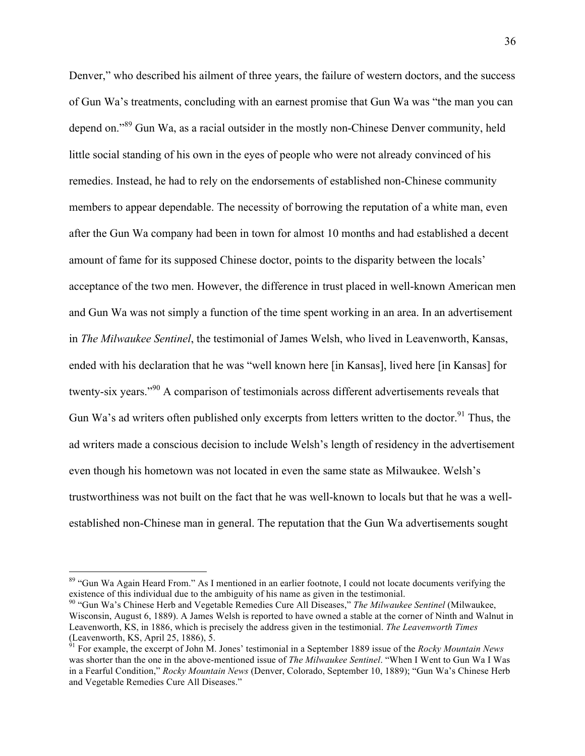Denver," who described his ailment of three years, the failure of western doctors, and the success of Gun Wa's treatments, concluding with an earnest promise that Gun Wa was "the man you can depend on."<sup>89</sup> Gun Wa, as a racial outsider in the mostly non-Chinese Denver community, held little social standing of his own in the eyes of people who were not already convinced of his remedies. Instead, he had to rely on the endorsements of established non-Chinese community members to appear dependable. The necessity of borrowing the reputation of a white man, even after the Gun Wa company had been in town for almost 10 months and had established a decent amount of fame for its supposed Chinese doctor, points to the disparity between the locals' acceptance of the two men. However, the difference in trust placed in well-known American men and Gun Wa was not simply a function of the time spent working in an area. In an advertisement in *The Milwaukee Sentinel*, the testimonial of James Welsh, who lived in Leavenworth, Kansas, ended with his declaration that he was "well known here [in Kansas], lived here [in Kansas] for twenty-six years."<sup>90</sup> A comparison of testimonials across different advertisements reveals that Gun Wa's ad writers often published only excerpts from letters written to the doctor.<sup>91</sup> Thus, the ad writers made a conscious decision to include Welsh's length of residency in the advertisement even though his hometown was not located in even the same state as Milwaukee. Welsh's trustworthiness was not built on the fact that he was well-known to locals but that he was a wellestablished non-Chinese man in general. The reputation that the Gun Wa advertisements sought

<sup>&</sup>lt;sup>89</sup> "Gun Wa Again Heard From." As I mentioned in an earlier footnote, I could not locate documents verifying the existence of this individual due to the ambiguity of his name as given in the testimonial.

<sup>&</sup>lt;sup>90</sup> "Gun Wa's Chinese Herb and Vegetable Remedies Cure All Diseases," *The Milwaukee Sentinel* (Milwaukee, Wisconsin, August 6, 1889). A James Welsh is reported to have owned a stable at the corner of Ninth and Walnut in Leavenworth, KS, in 1886, which is precisely the address given in the testimonial. *The Leavenworth Times* (Leavenworth, KS, April 25, 1886), 5.

<sup>91</sup> For example, the excerpt of John M. Jones' testimonial in a September 1889 issue of the *Rocky Mountain News* was shorter than the one in the above-mentioned issue of *The Milwaukee Sentinel*. "When I Went to Gun Wa I Was in a Fearful Condition," *Rocky Mountain News* (Denver, Colorado, September 10, 1889); "Gun Wa's Chinese Herb and Vegetable Remedies Cure All Diseases."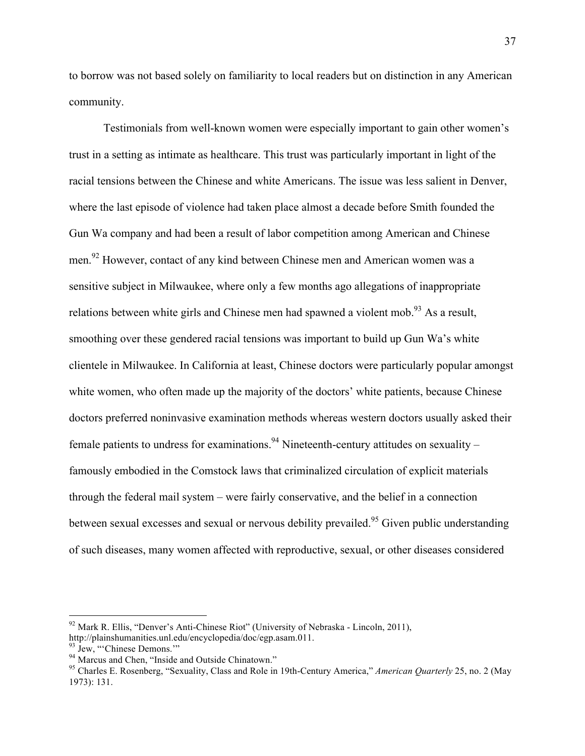to borrow was not based solely on familiarity to local readers but on distinction in any American community.

Testimonials from well-known women were especially important to gain other women's trust in a setting as intimate as healthcare. This trust was particularly important in light of the racial tensions between the Chinese and white Americans. The issue was less salient in Denver, where the last episode of violence had taken place almost a decade before Smith founded the Gun Wa company and had been a result of labor competition among American and Chinese men.<sup>92</sup> However, contact of any kind between Chinese men and American women was a sensitive subject in Milwaukee, where only a few months ago allegations of inappropriate relations between white girls and Chinese men had spawned a violent mob.<sup>93</sup> As a result, smoothing over these gendered racial tensions was important to build up Gun Wa's white clientele in Milwaukee. In California at least, Chinese doctors were particularly popular amongst white women, who often made up the majority of the doctors' white patients, because Chinese doctors preferred noninvasive examination methods whereas western doctors usually asked their female patients to undress for examinations.<sup>94</sup> Nineteenth-century attitudes on sexuality – famously embodied in the Comstock laws that criminalized circulation of explicit materials through the federal mail system – were fairly conservative, and the belief in a connection between sexual excesses and sexual or nervous debility prevailed.<sup>95</sup> Given public understanding of such diseases, many women affected with reproductive, sexual, or other diseases considered

 

<sup>&</sup>lt;sup>92</sup> Mark R. Ellis, "Denver's Anti-Chinese Riot" (University of Nebraska - Lincoln, 2011), http://plainshumanities.unl.edu/encyclopedia/doc/egp.asam.011.

<sup>&</sup>lt;sup>93</sup> Jew, "Chinese Demons."<br><sup>94</sup> Marcus and Chen, "Inside and Outside Chinatown."<br><sup>95</sup> Charles E. Rosenberg, "Sexuality, Class and Role in 19th-Century America," *American Ouarterly* 25, no. 2 (May 1973): 131.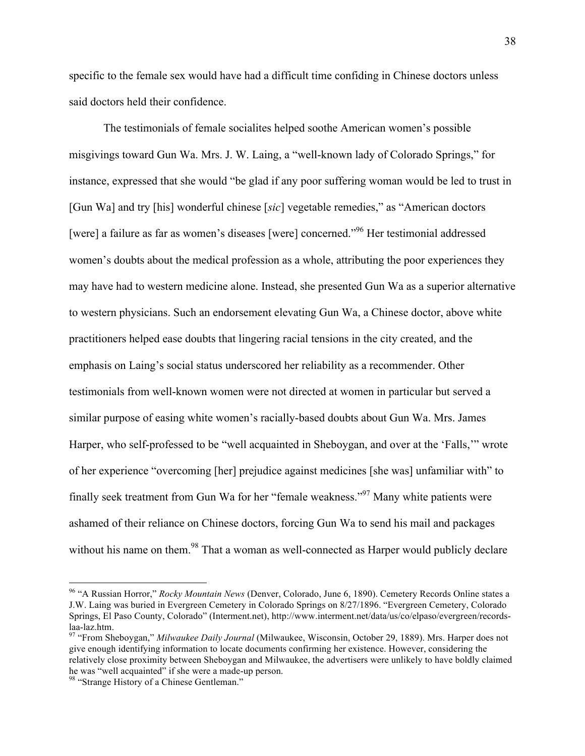specific to the female sex would have had a difficult time confiding in Chinese doctors unless said doctors held their confidence.

The testimonials of female socialites helped soothe American women's possible misgivings toward Gun Wa. Mrs. J. W. Laing, a "well-known lady of Colorado Springs," for instance, expressed that she would "be glad if any poor suffering woman would be led to trust in [Gun Wa] and try [his] wonderful chinese [*sic*] vegetable remedies," as "American doctors [were] a failure as far as women's diseases [were] concerned."96 Her testimonial addressed women's doubts about the medical profession as a whole, attributing the poor experiences they may have had to western medicine alone. Instead, she presented Gun Wa as a superior alternative to western physicians. Such an endorsement elevating Gun Wa, a Chinese doctor, above white practitioners helped ease doubts that lingering racial tensions in the city created, and the emphasis on Laing's social status underscored her reliability as a recommender. Other testimonials from well-known women were not directed at women in particular but served a similar purpose of easing white women's racially-based doubts about Gun Wa. Mrs. James Harper, who self-professed to be "well acquainted in Sheboygan, and over at the 'Falls,'" wrote of her experience "overcoming [her] prejudice against medicines [she was] unfamiliar with" to finally seek treatment from Gun Wa for her "female weakness."<sup>97</sup> Many white patients were ashamed of their reliance on Chinese doctors, forcing Gun Wa to send his mail and packages without his name on them.<sup>98</sup> That a woman as well-connected as Harper would publicly declare

 <sup>96</sup> "A Russian Horror," *Rocky Mountain News* (Denver, Colorado, June 6, 1890). Cemetery Records Online states a J.W. Laing was buried in Evergreen Cemetery in Colorado Springs on 8/27/1896. "Evergreen Cemetery, Colorado Springs, El Paso County, Colorado" (Interment.net), http://www.interment.net/data/us/co/elpaso/evergreen/recordslaa-laz.htm. <sup>97</sup> "From Sheboygan," *Milwaukee Daily Journal* (Milwaukee, Wisconsin, October 29, 1889). Mrs. Harper does not

give enough identifying information to locate documents confirming her existence. However, considering the relatively close proximity between Sheboygan and Milwaukee, the advertisers were unlikely to have boldly claimed he was "well acquainted" if she were a made-up person.<br><sup>98</sup> "Strange History of a Chinese Gentleman."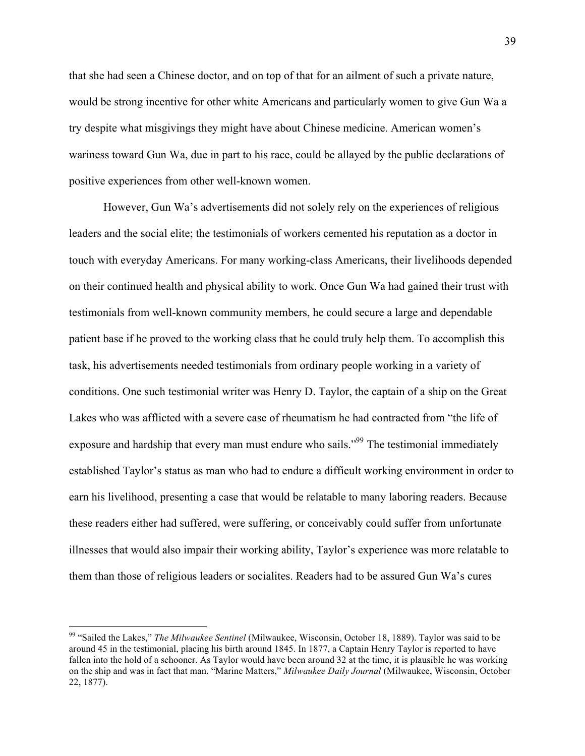that she had seen a Chinese doctor, and on top of that for an ailment of such a private nature, would be strong incentive for other white Americans and particularly women to give Gun Wa a try despite what misgivings they might have about Chinese medicine. American women's wariness toward Gun Wa, due in part to his race, could be allayed by the public declarations of positive experiences from other well-known women.

However, Gun Wa's advertisements did not solely rely on the experiences of religious leaders and the social elite; the testimonials of workers cemented his reputation as a doctor in touch with everyday Americans. For many working-class Americans, their livelihoods depended on their continued health and physical ability to work. Once Gun Wa had gained their trust with testimonials from well-known community members, he could secure a large and dependable patient base if he proved to the working class that he could truly help them. To accomplish this task, his advertisements needed testimonials from ordinary people working in a variety of conditions. One such testimonial writer was Henry D. Taylor, the captain of a ship on the Great Lakes who was afflicted with a severe case of rheumatism he had contracted from "the life of exposure and hardship that every man must endure who sails."<sup>99</sup> The testimonial immediately established Taylor's status as man who had to endure a difficult working environment in order to earn his livelihood, presenting a case that would be relatable to many laboring readers. Because these readers either had suffered, were suffering, or conceivably could suffer from unfortunate illnesses that would also impair their working ability, Taylor's experience was more relatable to them than those of religious leaders or socialites. Readers had to be assured Gun Wa's cures

 <sup>99</sup> "Sailed the Lakes," *The Milwaukee Sentinel* (Milwaukee, Wisconsin, October 18, 1889). Taylor was said to be around 45 in the testimonial, placing his birth around 1845. In 1877, a Captain Henry Taylor is reported to have fallen into the hold of a schooner. As Taylor would have been around 32 at the time, it is plausible he was working on the ship and was in fact that man. "Marine Matters," *Milwaukee Daily Journal* (Milwaukee, Wisconsin, October 22, 1877).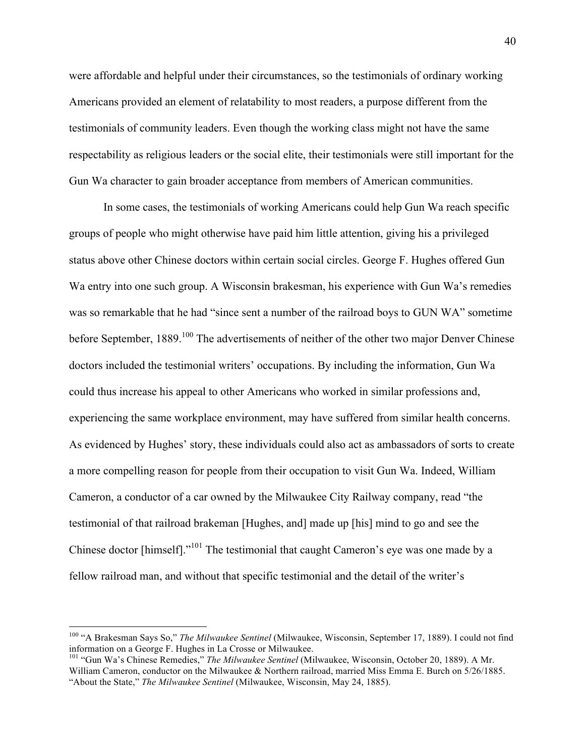were affordable and helpful under their circumstances, so the testimonials of ordinary working Americans provided an element of relatability to most readers, a purpose different from the testimonials of community leaders. Even though the working class might not have the same respectability as religious leaders or the social elite, their testimonials were still important for the Gun Wa character to gain broader acceptance from members of American communities.

In some cases, the testimonials of working Americans could help Gun Wa reach specific groups of people who might otherwise have paid him little attention, giving his a privileged status above other Chinese doctors within certain social circles. George F. Hughes offered Gun Wa entry into one such group. A Wisconsin brakesman, his experience with Gun Wa's remedies was so remarkable that he had "since sent a number of the railroad boys to GUN WA" sometime before September, 1889.<sup>100</sup> The advertisements of neither of the other two major Denver Chinese doctors included the testimonial writers' occupations. By including the information, Gun Wa could thus increase his appeal to other Americans who worked in similar professions and, experiencing the same workplace environment, may have suffered from similar health concerns. As evidenced by Hughes' story, these individuals could also act as ambassadors of sorts to create a more compelling reason for people from their occupation to visit Gun Wa. Indeed, William Cameron, a conductor of a car owned by the Milwaukee City Railway company, read "the testimonial of that railroad brakeman [Hughes, and] made up [his] mind to go and see the Chinese doctor [himself]."<sup>101</sup> The testimonial that caught Cameron's eye was one made by a fellow railroad man, and without that specific testimonial and the detail of the writer's

 <sup>100</sup> "A Brakesman Says So," *The Milwaukee Sentinel* (Milwaukee, Wisconsin, September 17, 1889). I could not find information on a George F. Hughes in La Crosse or Milwaukee.<br><sup>101</sup> "Gun Wa's Chinese Remedies," *The Milwaukee Sentinel* (Milwaukee, Wisconsin, October 20, 1889). A Mr.

William Cameron, conductor on the Milwaukee & Northern railroad, married Miss Emma E. Burch on 5/26/1885. "About the State," *The Milwaukee Sentinel* (Milwaukee, Wisconsin, May 24, 1885).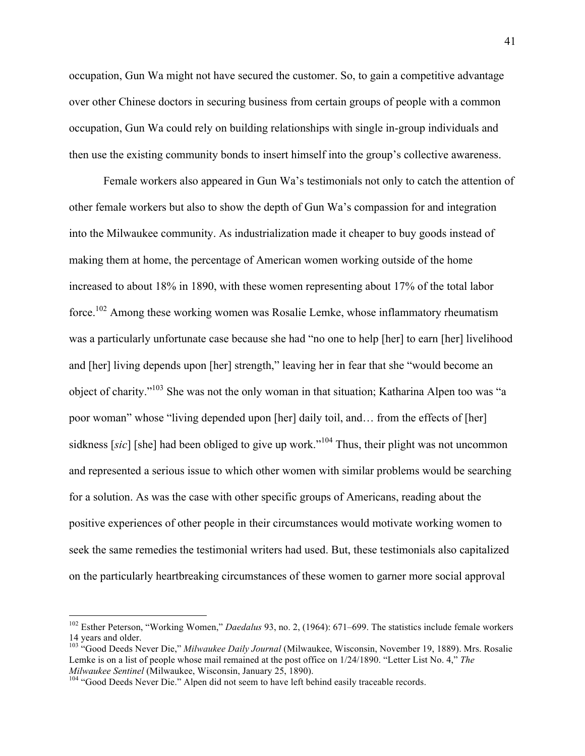occupation, Gun Wa might not have secured the customer. So, to gain a competitive advantage over other Chinese doctors in securing business from certain groups of people with a common occupation, Gun Wa could rely on building relationships with single in-group individuals and then use the existing community bonds to insert himself into the group's collective awareness.

Female workers also appeared in Gun Wa's testimonials not only to catch the attention of other female workers but also to show the depth of Gun Wa's compassion for and integration into the Milwaukee community. As industrialization made it cheaper to buy goods instead of making them at home, the percentage of American women working outside of the home increased to about 18% in 1890, with these women representing about 17% of the total labor force.102 Among these working women was Rosalie Lemke, whose inflammatory rheumatism was a particularly unfortunate case because she had "no one to help [her] to earn [her] livelihood and [her] living depends upon [her] strength," leaving her in fear that she "would become an object of charity."<sup>103</sup> She was not the only woman in that situation; Katharina Alpen too was "a poor woman" whose "living depended upon [her] daily toil, and… from the effects of [her] sidkness [sic] [she] had been obliged to give up work.<sup>"104</sup> Thus, their plight was not uncommon and represented a serious issue to which other women with similar problems would be searching for a solution. As was the case with other specific groups of Americans, reading about the positive experiences of other people in their circumstances would motivate working women to seek the same remedies the testimonial writers had used. But, these testimonials also capitalized on the particularly heartbreaking circumstances of these women to garner more social approval

 

<sup>102</sup> Esther Peterson, "Working Women," *Daedalus* 93, no. 2, (1964): 671–699. The statistics include female workers 14 years and older.

<sup>103</sup> "Good Deeds Never Die," *Milwaukee Daily Journal* (Milwaukee, Wisconsin, November 19, 1889). Mrs. Rosalie Lemke is on a list of people whose mail remained at the post office on 1/24/1890. "Letter List No. 4," *The Milwaukee Sentinel* (Milwaukee, Wisconsin, January 25, 1890).<br><sup>104</sup> "Good Deeds Never Die." Alpen did not seem to have left behind easily traceable records.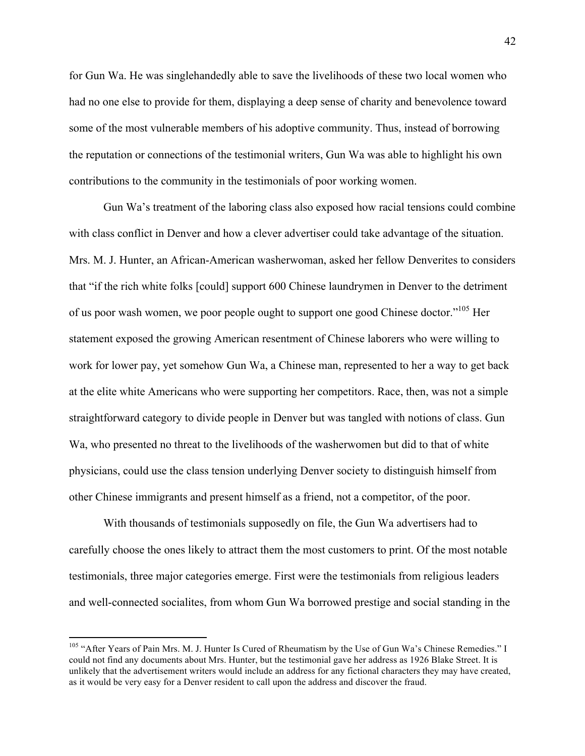for Gun Wa. He was singlehandedly able to save the livelihoods of these two local women who had no one else to provide for them, displaying a deep sense of charity and benevolence toward some of the most vulnerable members of his adoptive community. Thus, instead of borrowing the reputation or connections of the testimonial writers, Gun Wa was able to highlight his own contributions to the community in the testimonials of poor working women.

Gun Wa's treatment of the laboring class also exposed how racial tensions could combine with class conflict in Denver and how a clever advertiser could take advantage of the situation. Mrs. M. J. Hunter, an African-American washerwoman, asked her fellow Denverites to considers that "if the rich white folks [could] support 600 Chinese laundrymen in Denver to the detriment of us poor wash women, we poor people ought to support one good Chinese doctor."<sup>105</sup> Her statement exposed the growing American resentment of Chinese laborers who were willing to work for lower pay, yet somehow Gun Wa, a Chinese man, represented to her a way to get back at the elite white Americans who were supporting her competitors. Race, then, was not a simple straightforward category to divide people in Denver but was tangled with notions of class. Gun Wa, who presented no threat to the livelihoods of the washerwomen but did to that of white physicians, could use the class tension underlying Denver society to distinguish himself from other Chinese immigrants and present himself as a friend, not a competitor, of the poor.

With thousands of testimonials supposedly on file, the Gun Wa advertisers had to carefully choose the ones likely to attract them the most customers to print. Of the most notable testimonials, three major categories emerge. First were the testimonials from religious leaders and well-connected socialites, from whom Gun Wa borrowed prestige and social standing in the

<sup>&</sup>lt;sup>105</sup> "After Years of Pain Mrs. M. J. Hunter Is Cured of Rheumatism by the Use of Gun Wa's Chinese Remedies." I could not find any documents about Mrs. Hunter, but the testimonial gave her address as 1926 Blake Street. It is unlikely that the advertisement writers would include an address for any fictional characters they may have created, as it would be very easy for a Denver resident to call upon the address and discover the fraud.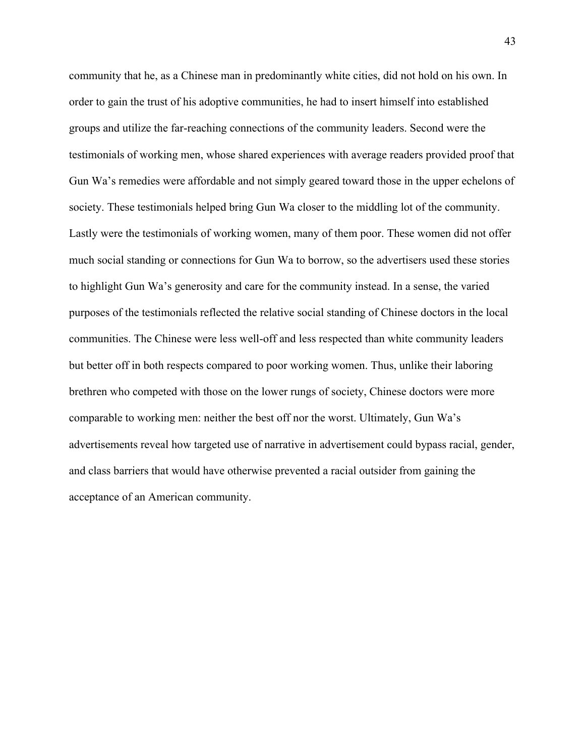community that he, as a Chinese man in predominantly white cities, did not hold on his own. In order to gain the trust of his adoptive communities, he had to insert himself into established groups and utilize the far-reaching connections of the community leaders. Second were the testimonials of working men, whose shared experiences with average readers provided proof that Gun Wa's remedies were affordable and not simply geared toward those in the upper echelons of society. These testimonials helped bring Gun Wa closer to the middling lot of the community. Lastly were the testimonials of working women, many of them poor. These women did not offer much social standing or connections for Gun Wa to borrow, so the advertisers used these stories to highlight Gun Wa's generosity and care for the community instead. In a sense, the varied purposes of the testimonials reflected the relative social standing of Chinese doctors in the local communities. The Chinese were less well-off and less respected than white community leaders but better off in both respects compared to poor working women. Thus, unlike their laboring brethren who competed with those on the lower rungs of society, Chinese doctors were more comparable to working men: neither the best off nor the worst. Ultimately, Gun Wa's advertisements reveal how targeted use of narrative in advertisement could bypass racial, gender, and class barriers that would have otherwise prevented a racial outsider from gaining the acceptance of an American community.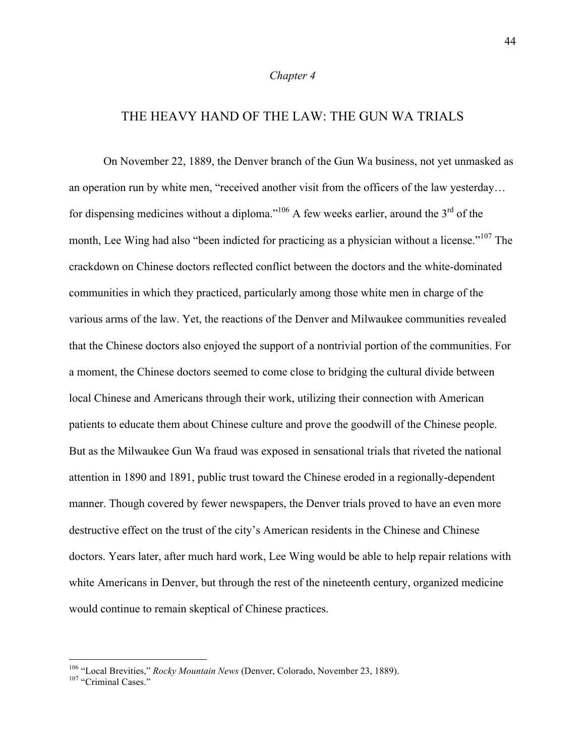#### *Chapter 4*

## THE HEAVY HAND OF THE LAW: THE GUN WA TRIALS

On November 22, 1889, the Denver branch of the Gun Wa business, not yet unmasked as an operation run by white men, "received another visit from the officers of the law yesterday… for dispensing medicines without a diploma."<sup>106</sup> A few weeks earlier, around the  $3<sup>rd</sup>$  of the month, Lee Wing had also "been indicted for practicing as a physician without a license."<sup>107</sup> The crackdown on Chinese doctors reflected conflict between the doctors and the white-dominated communities in which they practiced, particularly among those white men in charge of the various arms of the law. Yet, the reactions of the Denver and Milwaukee communities revealed that the Chinese doctors also enjoyed the support of a nontrivial portion of the communities. For a moment, the Chinese doctors seemed to come close to bridging the cultural divide between local Chinese and Americans through their work, utilizing their connection with American patients to educate them about Chinese culture and prove the goodwill of the Chinese people. But as the Milwaukee Gun Wa fraud was exposed in sensational trials that riveted the national attention in 1890 and 1891, public trust toward the Chinese eroded in a regionally-dependent manner. Though covered by fewer newspapers, the Denver trials proved to have an even more destructive effect on the trust of the city's American residents in the Chinese and Chinese doctors. Years later, after much hard work, Lee Wing would be able to help repair relations with white Americans in Denver, but through the rest of the nineteenth century, organized medicine would continue to remain skeptical of Chinese practices.

<sup>&</sup>lt;sup>106</sup> "Local Brevities," *Rocky Mountain News* (Denver, Colorado, November 23, 1889).<br><sup>107</sup> "Criminal Cases."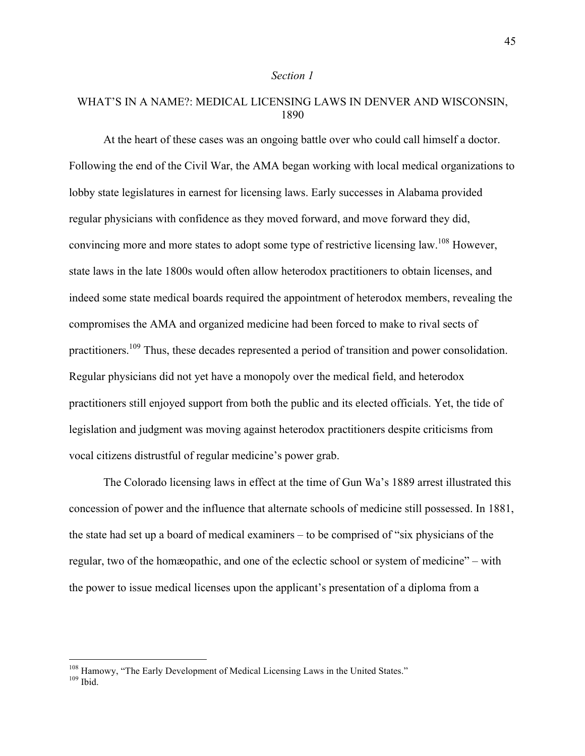#### *Section 1*

### WHAT'S IN A NAME?: MEDICAL LICENSING LAWS IN DENVER AND WISCONSIN, 1890

At the heart of these cases was an ongoing battle over who could call himself a doctor. Following the end of the Civil War, the AMA began working with local medical organizations to lobby state legislatures in earnest for licensing laws. Early successes in Alabama provided regular physicians with confidence as they moved forward, and move forward they did, convincing more and more states to adopt some type of restrictive licensing law.<sup>108</sup> However, state laws in the late 1800s would often allow heterodox practitioners to obtain licenses, and indeed some state medical boards required the appointment of heterodox members, revealing the compromises the AMA and organized medicine had been forced to make to rival sects of practitioners.<sup>109</sup> Thus, these decades represented a period of transition and power consolidation. Regular physicians did not yet have a monopoly over the medical field, and heterodox practitioners still enjoyed support from both the public and its elected officials. Yet, the tide of legislation and judgment was moving against heterodox practitioners despite criticisms from vocal citizens distrustful of regular medicine's power grab.

The Colorado licensing laws in effect at the time of Gun Wa's 1889 arrest illustrated this concession of power and the influence that alternate schools of medicine still possessed. In 1881, the state had set up a board of medical examiners – to be comprised of "six physicians of the regular, two of the homæopathic, and one of the eclectic school or system of medicine" – with the power to issue medical licenses upon the applicant's presentation of a diploma from a

 $^{108}$  Hamowy, "The Early Development of Medical Licensing Laws in the United States."  $^{109}$  Ibid.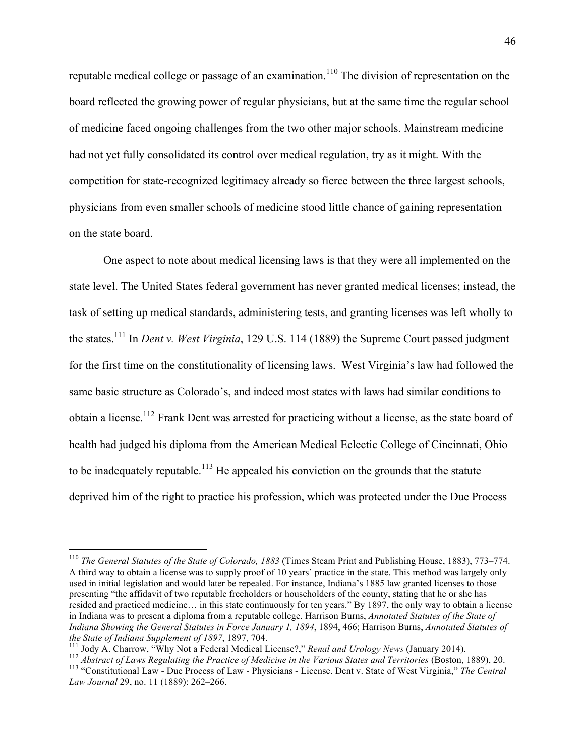reputable medical college or passage of an examination.<sup>110</sup> The division of representation on the board reflected the growing power of regular physicians, but at the same time the regular school of medicine faced ongoing challenges from the two other major schools. Mainstream medicine had not yet fully consolidated its control over medical regulation, try as it might. With the competition for state-recognized legitimacy already so fierce between the three largest schools, physicians from even smaller schools of medicine stood little chance of gaining representation on the state board.

One aspect to note about medical licensing laws is that they were all implemented on the state level. The United States federal government has never granted medical licenses; instead, the task of setting up medical standards, administering tests, and granting licenses was left wholly to the states.111 In *Dent v. West Virginia*, 129 U.S. 114 (1889) the Supreme Court passed judgment for the first time on the constitutionality of licensing laws. West Virginia's law had followed the same basic structure as Colorado's, and indeed most states with laws had similar conditions to obtain a license.<sup>112</sup> Frank Dent was arrested for practicing without a license, as the state board of health had judged his diploma from the American Medical Eclectic College of Cincinnati, Ohio to be inadequately reputable.<sup>113</sup> He appealed his conviction on the grounds that the statute deprived him of the right to practice his profession, which was protected under the Due Process

 <sup>110</sup> *The General Statutes of the State of Colorado, 1883* (Times Steam Print and Publishing House, 1883), 773–774. A third way to obtain a license was to supply proof of 10 years' practice in the state. This method was largely only used in initial legislation and would later be repealed. For instance, Indiana's 1885 law granted licenses to those presenting "the affidavit of two reputable freeholders or householders of the county, stating that he or she has resided and practiced medicine… in this state continuously for ten years." By 1897, the only way to obtain a license in Indiana was to present a diploma from a reputable college. Harrison Burns, *Annotated Statutes of the State of Indiana Showing the General Statutes in Force January 1, 1894*, 1894, 466; Harrison Burns, *Annotated Statutes of* 

the State of Indiana Supplement of 1897, 1897, 704.<br><sup>111</sup> Jody A. Charrow, "Why Not a Federal Medical License?," Renal and Urology News (January 2014).<br><sup>112</sup> Abstract of Laws Regulating the Practice of Medicine in the Vari *Law Journal* 29, no. 11 (1889): 262–266.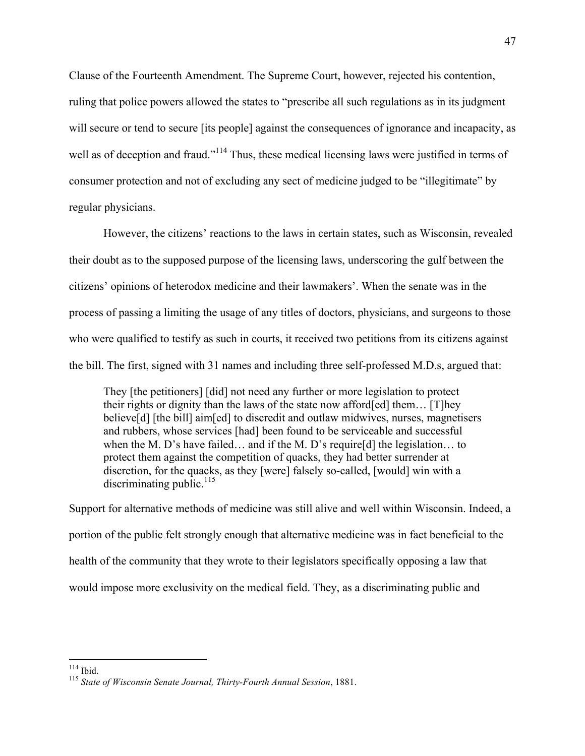Clause of the Fourteenth Amendment. The Supreme Court, however, rejected his contention, ruling that police powers allowed the states to "prescribe all such regulations as in its judgment will secure or tend to secure *its people* against the consequences of ignorance and incapacity, as well as of deception and fraud."<sup>114</sup> Thus, these medical licensing laws were justified in terms of consumer protection and not of excluding any sect of medicine judged to be "illegitimate" by regular physicians.

However, the citizens' reactions to the laws in certain states, such as Wisconsin, revealed their doubt as to the supposed purpose of the licensing laws, underscoring the gulf between the citizens' opinions of heterodox medicine and their lawmakers'. When the senate was in the process of passing a limiting the usage of any titles of doctors, physicians, and surgeons to those who were qualified to testify as such in courts, it received two petitions from its citizens against the bill. The first, signed with 31 names and including three self-professed M.D.s, argued that:

They [the petitioners] [did] not need any further or more legislation to protect their rights or dignity than the laws of the state now afford[ed] them… [T]hey believe[d] [the bill] aim[ed] to discredit and outlaw midwives, nurses, magnetisers and rubbers, whose services [had] been found to be serviceable and successful when the M. D's have failed... and if the M. D's require [d] the legislation... to protect them against the competition of quacks, they had better surrender at discretion, for the quacks, as they [were] falsely so-called, [would] win with a discriminating public. $^{115}$ 

Support for alternative methods of medicine was still alive and well within Wisconsin. Indeed, a portion of the public felt strongly enough that alternative medicine was in fact beneficial to the health of the community that they wrote to their legislators specifically opposing a law that would impose more exclusivity on the medical field. They, as a discriminating public and

<sup>&</sup>lt;sup>114</sup> Ibid.<br><sup>115</sup> *State of Wisconsin Senate Journal, Thirty-Fourth Annual Session*, 1881.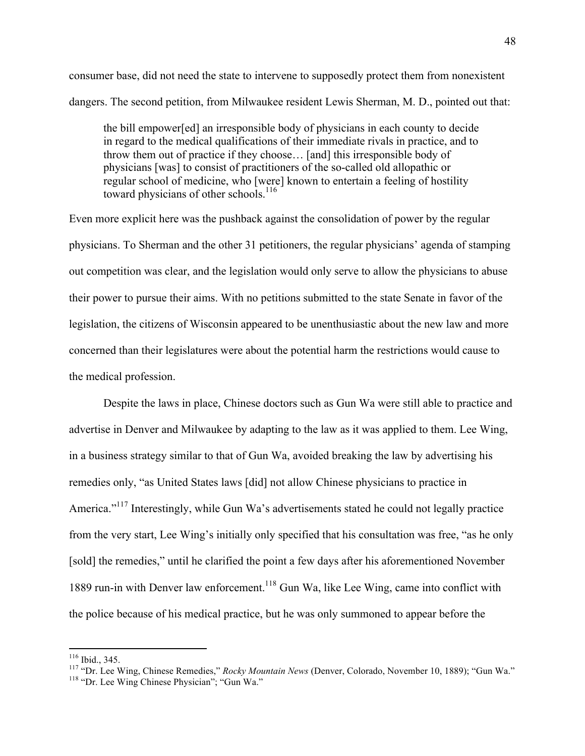consumer base, did not need the state to intervene to supposedly protect them from nonexistent dangers. The second petition, from Milwaukee resident Lewis Sherman, M. D., pointed out that:

the bill empower[ed] an irresponsible body of physicians in each county to decide in regard to the medical qualifications of their immediate rivals in practice, and to throw them out of practice if they choose… [and] this irresponsible body of physicians [was] to consist of practitioners of the so-called old allopathic or regular school of medicine, who [were] known to entertain a feeling of hostility toward physicians of other schools. 116

Even more explicit here was the pushback against the consolidation of power by the regular physicians. To Sherman and the other 31 petitioners, the regular physicians' agenda of stamping out competition was clear, and the legislation would only serve to allow the physicians to abuse their power to pursue their aims. With no petitions submitted to the state Senate in favor of the legislation, the citizens of Wisconsin appeared to be unenthusiastic about the new law and more concerned than their legislatures were about the potential harm the restrictions would cause to the medical profession.

Despite the laws in place, Chinese doctors such as Gun Wa were still able to practice and advertise in Denver and Milwaukee by adapting to the law as it was applied to them. Lee Wing, in a business strategy similar to that of Gun Wa, avoided breaking the law by advertising his remedies only, "as United States laws [did] not allow Chinese physicians to practice in America."<sup>117</sup> Interestingly, while Gun Wa's advertisements stated he could not legally practice from the very start, Lee Wing's initially only specified that his consultation was free, "as he only [sold] the remedies," until he clarified the point a few days after his aforementioned November 1889 run-in with Denver law enforcement.<sup>118</sup> Gun Wa, like Lee Wing, came into conflict with the police because of his medical practice, but he was only summoned to appear before the

<sup>&</sup>lt;sup>116</sup> Ibid., 345.<br><sup>117</sup> "Dr. Lee Wing, Chinese Remedies," *Rocky Mountain News* (Denver, Colorado, November 10, 1889); "Gun Wa." <sup>118</sup> "Dr. Lee Wing Chinese Physician"; "Gun Wa."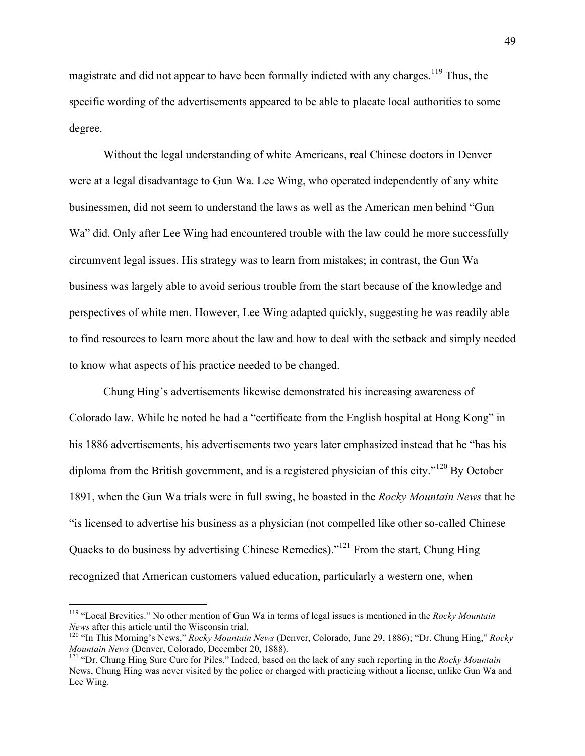magistrate and did not appear to have been formally indicted with any charges.<sup>119</sup> Thus, the specific wording of the advertisements appeared to be able to placate local authorities to some degree.

Without the legal understanding of white Americans, real Chinese doctors in Denver were at a legal disadvantage to Gun Wa. Lee Wing, who operated independently of any white businessmen, did not seem to understand the laws as well as the American men behind "Gun Wa" did. Only after Lee Wing had encountered trouble with the law could he more successfully circumvent legal issues. His strategy was to learn from mistakes; in contrast, the Gun Wa business was largely able to avoid serious trouble from the start because of the knowledge and perspectives of white men. However, Lee Wing adapted quickly, suggesting he was readily able to find resources to learn more about the law and how to deal with the setback and simply needed to know what aspects of his practice needed to be changed.

Chung Hing's advertisements likewise demonstrated his increasing awareness of Colorado law. While he noted he had a "certificate from the English hospital at Hong Kong" in his 1886 advertisements, his advertisements two years later emphasized instead that he "has his diploma from the British government, and is a registered physician of this city."<sup>120</sup> By October 1891, when the Gun Wa trials were in full swing, he boasted in the *Rocky Mountain News* that he "is licensed to advertise his business as a physician (not compelled like other so-called Chinese Quacks to do business by advertising Chinese Remedies)."<sup>121</sup> From the start, Chung Hing recognized that American customers valued education, particularly a western one, when

<sup>&</sup>lt;sup>119</sup> "Local Brevities." No other mention of Gun Wa in terms of legal issues is mentioned in the *Rocky Mountain News* after this article until the Wisconsin trial.

<sup>&</sup>lt;sup>120</sup> "In This Morning's News," *Rocky Mountain News* (Denver, Colorado, June 29, 1886); "Dr. Chung Hing," *Rocky Mountain News* (Denver, Colorado, December 20, 1888).

<sup>&</sup>lt;sup>121</sup> "Dr. Chung Hing Sure Cure for Piles." Indeed, based on the lack of any such reporting in the *Rocky Mountain* News, Chung Hing was never visited by the police or charged with practicing without a license, unlike Gun Wa and Lee Wing.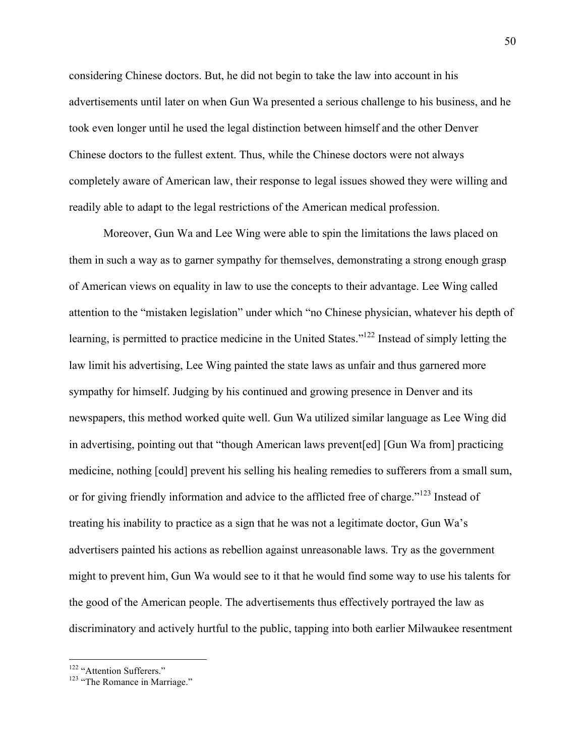considering Chinese doctors. But, he did not begin to take the law into account in his advertisements until later on when Gun Wa presented a serious challenge to his business, and he took even longer until he used the legal distinction between himself and the other Denver Chinese doctors to the fullest extent. Thus, while the Chinese doctors were not always completely aware of American law, their response to legal issues showed they were willing and readily able to adapt to the legal restrictions of the American medical profession.

Moreover, Gun Wa and Lee Wing were able to spin the limitations the laws placed on them in such a way as to garner sympathy for themselves, demonstrating a strong enough grasp of American views on equality in law to use the concepts to their advantage. Lee Wing called attention to the "mistaken legislation" under which "no Chinese physician, whatever his depth of learning, is permitted to practice medicine in the United States."122 Instead of simply letting the law limit his advertising, Lee Wing painted the state laws as unfair and thus garnered more sympathy for himself. Judging by his continued and growing presence in Denver and its newspapers, this method worked quite well. Gun Wa utilized similar language as Lee Wing did in advertising, pointing out that "though American laws prevent[ed] [Gun Wa from] practicing medicine, nothing [could] prevent his selling his healing remedies to sufferers from a small sum, or for giving friendly information and advice to the afflicted free of charge."<sup>123</sup> Instead of treating his inability to practice as a sign that he was not a legitimate doctor, Gun Wa's advertisers painted his actions as rebellion against unreasonable laws. Try as the government might to prevent him, Gun Wa would see to it that he would find some way to use his talents for the good of the American people. The advertisements thus effectively portrayed the law as discriminatory and actively hurtful to the public, tapping into both earlier Milwaukee resentment

<sup>&</sup>lt;sup>122</sup> "Attention Sufferers."<br><sup>123</sup> "The Romance in Marriage."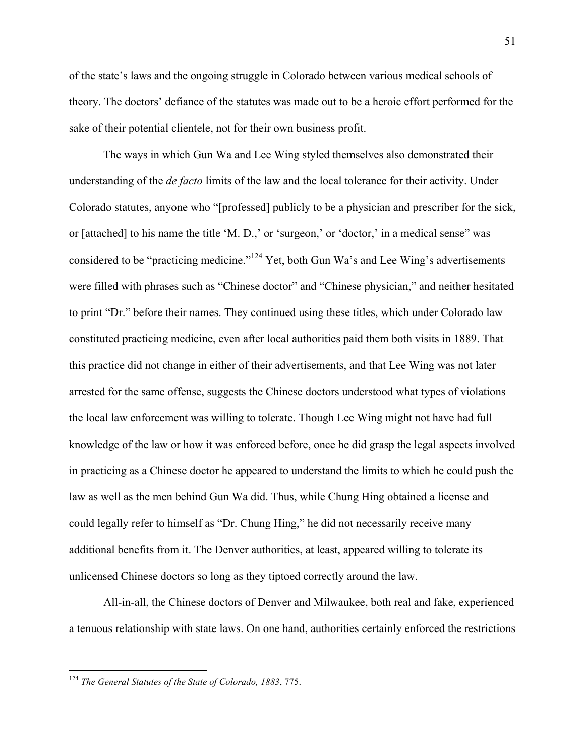of the state's laws and the ongoing struggle in Colorado between various medical schools of theory. The doctors' defiance of the statutes was made out to be a heroic effort performed for the sake of their potential clientele, not for their own business profit.

The ways in which Gun Wa and Lee Wing styled themselves also demonstrated their understanding of the *de facto* limits of the law and the local tolerance for their activity. Under Colorado statutes, anyone who "[professed] publicly to be a physician and prescriber for the sick, or [attached] to his name the title 'M. D.,' or 'surgeon,' or 'doctor,' in a medical sense" was considered to be "practicing medicine."<sup>124</sup> Yet, both Gun Wa's and Lee Wing's advertisements were filled with phrases such as "Chinese doctor" and "Chinese physician," and neither hesitated to print "Dr." before their names. They continued using these titles, which under Colorado law constituted practicing medicine, even after local authorities paid them both visits in 1889. That this practice did not change in either of their advertisements, and that Lee Wing was not later arrested for the same offense, suggests the Chinese doctors understood what types of violations the local law enforcement was willing to tolerate. Though Lee Wing might not have had full knowledge of the law or how it was enforced before, once he did grasp the legal aspects involved in practicing as a Chinese doctor he appeared to understand the limits to which he could push the law as well as the men behind Gun Wa did. Thus, while Chung Hing obtained a license and could legally refer to himself as "Dr. Chung Hing," he did not necessarily receive many additional benefits from it. The Denver authorities, at least, appeared willing to tolerate its unlicensed Chinese doctors so long as they tiptoed correctly around the law.

All-in-all, the Chinese doctors of Denver and Milwaukee, both real and fake, experienced a tenuous relationship with state laws. On one hand, authorities certainly enforced the restrictions

 <sup>124</sup> *The General Statutes of the State of Colorado, 1883*, 775.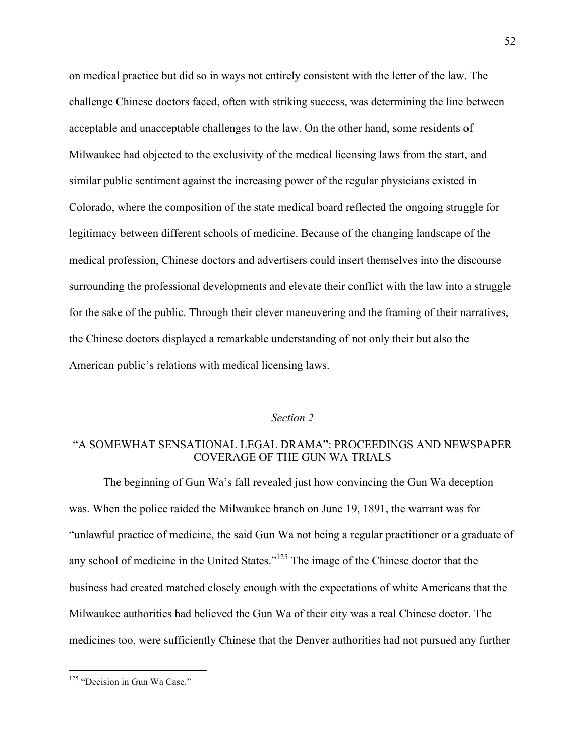on medical practice but did so in ways not entirely consistent with the letter of the law. The challenge Chinese doctors faced, often with striking success, was determining the line between acceptable and unacceptable challenges to the law. On the other hand, some residents of Milwaukee had objected to the exclusivity of the medical licensing laws from the start, and similar public sentiment against the increasing power of the regular physicians existed in Colorado, where the composition of the state medical board reflected the ongoing struggle for legitimacy between different schools of medicine. Because of the changing landscape of the medical profession, Chinese doctors and advertisers could insert themselves into the discourse surrounding the professional developments and elevate their conflict with the law into a struggle for the sake of the public. Through their clever maneuvering and the framing of their narratives, the Chinese doctors displayed a remarkable understanding of not only their but also the American public's relations with medical licensing laws.

### *Section 2*

### "A SOMEWHAT SENSATIONAL LEGAL DRAMA": PROCEEDINGS AND NEWSPAPER COVERAGE OF THE GUN WA TRIALS

The beginning of Gun Wa's fall revealed just how convincing the Gun Wa deception was. When the police raided the Milwaukee branch on June 19, 1891, the warrant was for "unlawful practice of medicine, the said Gun Wa not being a regular practitioner or a graduate of any school of medicine in the United States."125 The image of the Chinese doctor that the business had created matched closely enough with the expectations of white Americans that the Milwaukee authorities had believed the Gun Wa of their city was a real Chinese doctor. The medicines too, were sufficiently Chinese that the Denver authorities had not pursued any further

<sup>&</sup>lt;sup>125</sup> "Decision in Gun Wa Case."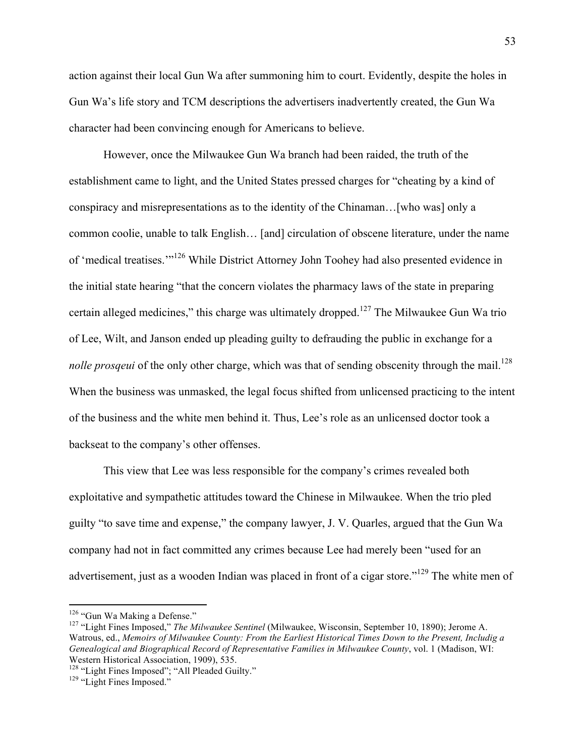action against their local Gun Wa after summoning him to court. Evidently, despite the holes in Gun Wa's life story and TCM descriptions the advertisers inadvertently created, the Gun Wa character had been convincing enough for Americans to believe.

However, once the Milwaukee Gun Wa branch had been raided, the truth of the establishment came to light, and the United States pressed charges for "cheating by a kind of conspiracy and misrepresentations as to the identity of the Chinaman…[who was] only a common coolie, unable to talk English… [and] circulation of obscene literature, under the name of 'medical treatises.'"<sup>126</sup> While District Attorney John Toohey had also presented evidence in the initial state hearing "that the concern violates the pharmacy laws of the state in preparing certain alleged medicines," this charge was ultimately dropped.<sup>127</sup> The Milwaukee Gun Wa trio of Lee, Wilt, and Janson ended up pleading guilty to defrauding the public in exchange for a *nolle prosqeui* of the only other charge, which was that of sending obscenity through the mail.<sup>128</sup> When the business was unmasked, the legal focus shifted from unlicensed practicing to the intent of the business and the white men behind it. Thus, Lee's role as an unlicensed doctor took a backseat to the company's other offenses.

This view that Lee was less responsible for the company's crimes revealed both exploitative and sympathetic attitudes toward the Chinese in Milwaukee. When the trio pled guilty "to save time and expense," the company lawyer, J. V. Quarles, argued that the Gun Wa company had not in fact committed any crimes because Lee had merely been "used for an advertisement, just as a wooden Indian was placed in front of a cigar store."<sup>129</sup> The white men of

<sup>&</sup>lt;sup>126</sup> "Gun Wa Making a Defense."<br><sup>127</sup> "Light Fines Imposed," *The Milwaukee Sentinel* (Milwaukee, Wisconsin, September 10, 1890); Jerome A. Watrous, ed., *Memoirs of Milwaukee County: From the Earliest Historical Times Down to the Present, Includig a Genealogical and Biographical Record of Representative Families in Milwaukee County*, vol. 1 (Madison, WI: Western Historical Association, 1909), 535.

<sup>&</sup>lt;sup>128</sup> "Light Fines Imposed"; "All Pleaded Guilty."<br><sup>129</sup> "Light Fines Imposed."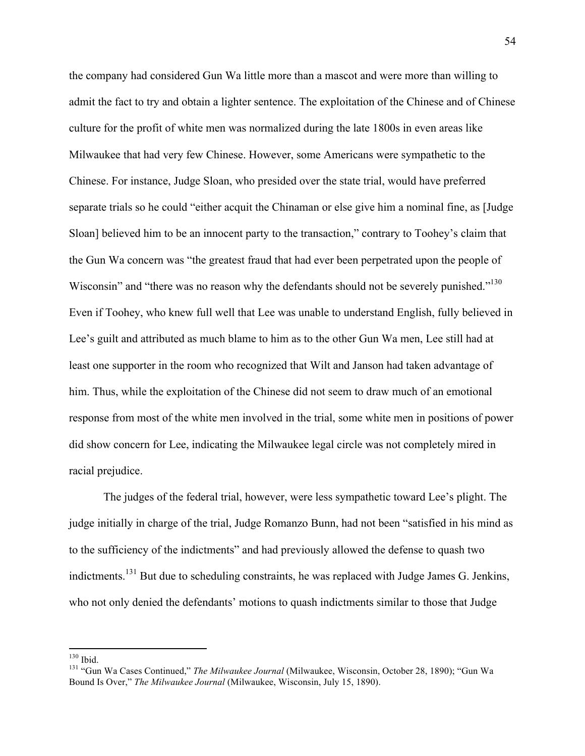the company had considered Gun Wa little more than a mascot and were more than willing to admit the fact to try and obtain a lighter sentence. The exploitation of the Chinese and of Chinese culture for the profit of white men was normalized during the late 1800s in even areas like Milwaukee that had very few Chinese. However, some Americans were sympathetic to the Chinese. For instance, Judge Sloan, who presided over the state trial, would have preferred separate trials so he could "either acquit the Chinaman or else give him a nominal fine, as [Judge Sloan] believed him to be an innocent party to the transaction," contrary to Toohey's claim that the Gun Wa concern was "the greatest fraud that had ever been perpetrated upon the people of Wisconsin" and "there was no reason why the defendants should not be severely punished."<sup>130</sup> Even if Toohey, who knew full well that Lee was unable to understand English, fully believed in Lee's guilt and attributed as much blame to him as to the other Gun Wa men, Lee still had at least one supporter in the room who recognized that Wilt and Janson had taken advantage of him. Thus, while the exploitation of the Chinese did not seem to draw much of an emotional response from most of the white men involved in the trial, some white men in positions of power did show concern for Lee, indicating the Milwaukee legal circle was not completely mired in racial prejudice.

The judges of the federal trial, however, were less sympathetic toward Lee's plight. The judge initially in charge of the trial, Judge Romanzo Bunn, had not been "satisfied in his mind as to the sufficiency of the indictments" and had previously allowed the defense to quash two indictments.<sup>131</sup> But due to scheduling constraints, he was replaced with Judge James G. Jenkins, who not only denied the defendants' motions to quash indictments similar to those that Judge

<sup>&</sup>lt;sup>130</sup> Ibid.<br><sup>131</sup> "Gun Wa Cases Continued," *The Milwaukee Journal* (Milwaukee, Wisconsin, October 28, 1890); "Gun Wa Bound Is Over," *The Milwaukee Journal* (Milwaukee, Wisconsin, July 15, 1890).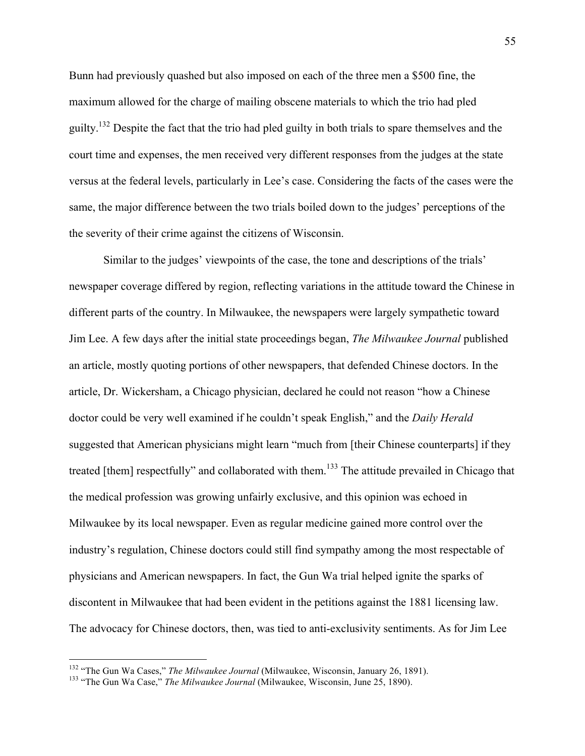Bunn had previously quashed but also imposed on each of the three men a \$500 fine, the maximum allowed for the charge of mailing obscene materials to which the trio had pled guilty.<sup>132</sup> Despite the fact that the trio had pled guilty in both trials to spare themselves and the court time and expenses, the men received very different responses from the judges at the state versus at the federal levels, particularly in Lee's case. Considering the facts of the cases were the same, the major difference between the two trials boiled down to the judges' perceptions of the the severity of their crime against the citizens of Wisconsin.

Similar to the judges' viewpoints of the case, the tone and descriptions of the trials' newspaper coverage differed by region, reflecting variations in the attitude toward the Chinese in different parts of the country. In Milwaukee, the newspapers were largely sympathetic toward Jim Lee. A few days after the initial state proceedings began, *The Milwaukee Journal* published an article, mostly quoting portions of other newspapers, that defended Chinese doctors. In the article, Dr. Wickersham, a Chicago physician, declared he could not reason "how a Chinese doctor could be very well examined if he couldn't speak English," and the *Daily Herald* suggested that American physicians might learn "much from [their Chinese counterparts] if they treated [them] respectfully" and collaborated with them.<sup>133</sup> The attitude prevailed in Chicago that the medical profession was growing unfairly exclusive, and this opinion was echoed in Milwaukee by its local newspaper. Even as regular medicine gained more control over the industry's regulation, Chinese doctors could still find sympathy among the most respectable of physicians and American newspapers. In fact, the Gun Wa trial helped ignite the sparks of discontent in Milwaukee that had been evident in the petitions against the 1881 licensing law. The advocacy for Chinese doctors, then, was tied to anti-exclusivity sentiments. As for Jim Lee

<sup>&</sup>lt;sup>132</sup> "The Gun Wa Cases," *The Milwaukee Journal* (Milwaukee, Wisconsin, January 26, 1891).<br><sup>133</sup> "The Gun Wa Case," *The Milwaukee Journal* (Milwaukee, Wisconsin, June 25, 1890).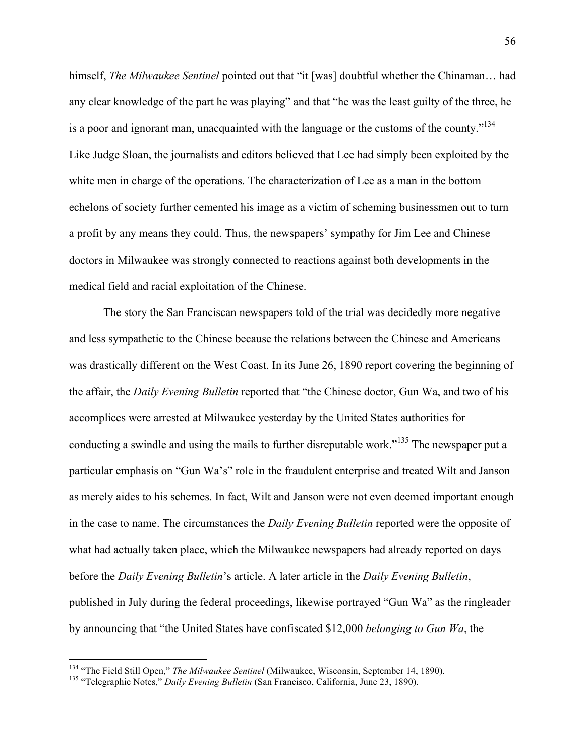himself, *The Milwaukee Sentinel* pointed out that "it [was] doubtful whether the Chinaman… had any clear knowledge of the part he was playing" and that "he was the least guilty of the three, he is a poor and ignorant man, unacquainted with the language or the customs of the county.<sup> $134$ </sup> Like Judge Sloan, the journalists and editors believed that Lee had simply been exploited by the white men in charge of the operations. The characterization of Lee as a man in the bottom echelons of society further cemented his image as a victim of scheming businessmen out to turn a profit by any means they could. Thus, the newspapers' sympathy for Jim Lee and Chinese doctors in Milwaukee was strongly connected to reactions against both developments in the medical field and racial exploitation of the Chinese.

The story the San Franciscan newspapers told of the trial was decidedly more negative and less sympathetic to the Chinese because the relations between the Chinese and Americans was drastically different on the West Coast. In its June 26, 1890 report covering the beginning of the affair, the *Daily Evening Bulletin* reported that "the Chinese doctor, Gun Wa, and two of his accomplices were arrested at Milwaukee yesterday by the United States authorities for conducting a swindle and using the mails to further disreputable work."<sup>135</sup> The newspaper put a particular emphasis on "Gun Wa's" role in the fraudulent enterprise and treated Wilt and Janson as merely aides to his schemes. In fact, Wilt and Janson were not even deemed important enough in the case to name. The circumstances the *Daily Evening Bulletin* reported were the opposite of what had actually taken place, which the Milwaukee newspapers had already reported on days before the *Daily Evening Bulletin*'s article. A later article in the *Daily Evening Bulletin*, published in July during the federal proceedings, likewise portrayed "Gun Wa" as the ringleader by announcing that "the United States have confiscated \$12,000 *belonging to Gun Wa*, the

<sup>&</sup>lt;sup>134</sup> "The Field Still Open," *The Milwaukee Sentinel* (Milwaukee, Wisconsin, September 14, 1890).<br><sup>135</sup> "Telegraphic Notes," *Daily Evening Bulletin* (San Francisco, California, June 23, 1890).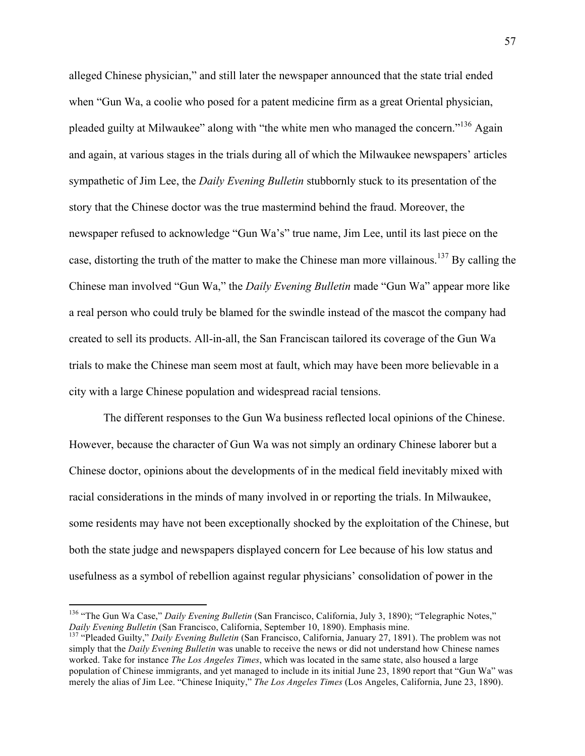alleged Chinese physician," and still later the newspaper announced that the state trial ended when "Gun Wa, a coolie who posed for a patent medicine firm as a great Oriental physician, pleaded guilty at Milwaukee" along with "the white men who managed the concern."136 Again and again, at various stages in the trials during all of which the Milwaukee newspapers' articles sympathetic of Jim Lee, the *Daily Evening Bulletin* stubbornly stuck to its presentation of the story that the Chinese doctor was the true mastermind behind the fraud. Moreover, the newspaper refused to acknowledge "Gun Wa's" true name, Jim Lee, until its last piece on the case, distorting the truth of the matter to make the Chinese man more villainous.<sup>137</sup> By calling the Chinese man involved "Gun Wa," the *Daily Evening Bulletin* made "Gun Wa" appear more like a real person who could truly be blamed for the swindle instead of the mascot the company had created to sell its products. All-in-all, the San Franciscan tailored its coverage of the Gun Wa trials to make the Chinese man seem most at fault, which may have been more believable in a city with a large Chinese population and widespread racial tensions.

The different responses to the Gun Wa business reflected local opinions of the Chinese. However, because the character of Gun Wa was not simply an ordinary Chinese laborer but a Chinese doctor, opinions about the developments of in the medical field inevitably mixed with racial considerations in the minds of many involved in or reporting the trials. In Milwaukee, some residents may have not been exceptionally shocked by the exploitation of the Chinese, but both the state judge and newspapers displayed concern for Lee because of his low status and usefulness as a symbol of rebellion against regular physicians' consolidation of power in the

<sup>&</sup>lt;sup>136</sup> "The Gun Wa Case," *Daily Evening Bulletin* (San Francisco, California, July 3, 1890); "Telegraphic Notes,"<br>*Daily Evening Bulletin* (San Francisco, California, September 10, 1890). Emphasis mine.

<sup>&</sup>lt;sup>137</sup> "Pleaded Guilty," *Daily Evening Bulletin* (San Francisco, California, January 27, 1891). The problem was not simply that the *Daily Evening Bulletin* was unable to receive the news or did not understand how Chinese names worked. Take for instance *The Los Angeles Times*, which was located in the same state, also housed a large population of Chinese immigrants, and yet managed to include in its initial June 23, 1890 report that "Gun Wa" was merely the alias of Jim Lee. "Chinese Iniquity," *The Los Angeles Times* (Los Angeles, California, June 23, 1890).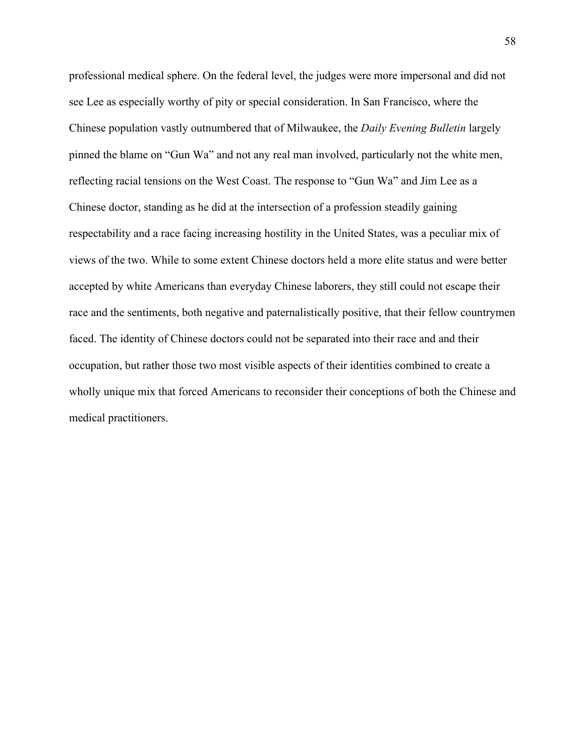professional medical sphere. On the federal level, the judges were more impersonal and did not see Lee as especially worthy of pity or special consideration. In San Francisco, where the Chinese population vastly outnumbered that of Milwaukee, the *Daily Evening Bulletin* largely pinned the blame on "Gun Wa" and not any real man involved, particularly not the white men, reflecting racial tensions on the West Coast. The response to "Gun Wa" and Jim Lee as a Chinese doctor, standing as he did at the intersection of a profession steadily gaining respectability and a race facing increasing hostility in the United States, was a peculiar mix of views of the two. While to some extent Chinese doctors held a more elite status and were better accepted by white Americans than everyday Chinese laborers, they still could not escape their race and the sentiments, both negative and paternalistically positive, that their fellow countrymen faced. The identity of Chinese doctors could not be separated into their race and and their occupation, but rather those two most visible aspects of their identities combined to create a wholly unique mix that forced Americans to reconsider their conceptions of both the Chinese and medical practitioners.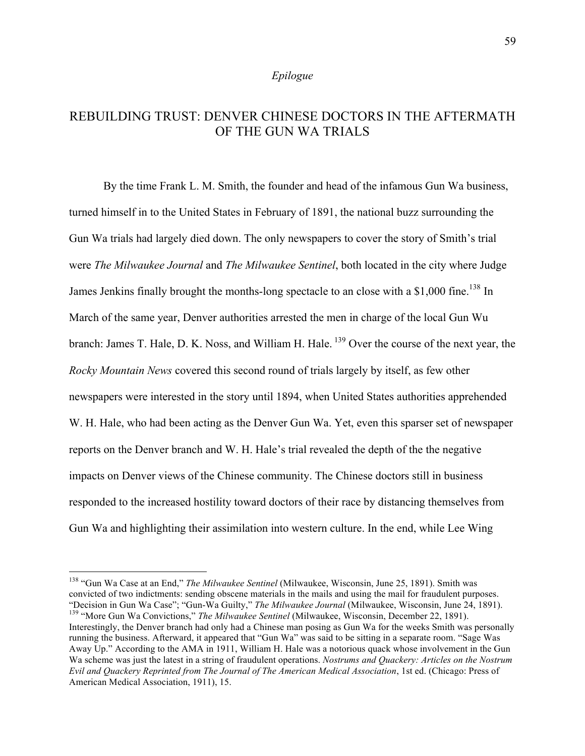#### *Epilogue*

# REBUILDING TRUST: DENVER CHINESE DOCTORS IN THE AFTERMATH OF THE GUN WA TRIALS

By the time Frank L. M. Smith, the founder and head of the infamous Gun Wa business, turned himself in to the United States in February of 1891, the national buzz surrounding the Gun Wa trials had largely died down. The only newspapers to cover the story of Smith's trial were *The Milwaukee Journal* and *The Milwaukee Sentinel*, both located in the city where Judge James Jenkins finally brought the months-long spectacle to an close with a \$1,000 fine.<sup>138</sup> In March of the same year, Denver authorities arrested the men in charge of the local Gun Wu branch: James T. Hale, D. K. Noss, and William H. Hale.<sup>139</sup> Over the course of the next year, the *Rocky Mountain News* covered this second round of trials largely by itself, as few other newspapers were interested in the story until 1894, when United States authorities apprehended W. H. Hale, who had been acting as the Denver Gun Wa. Yet, even this sparser set of newspaper reports on the Denver branch and W. H. Hale's trial revealed the depth of the the negative impacts on Denver views of the Chinese community. The Chinese doctors still in business responded to the increased hostility toward doctors of their race by distancing themselves from Gun Wa and highlighting their assimilation into western culture. In the end, while Lee Wing

 <sup>138</sup> "Gun Wa Case at an End," *The Milwaukee Sentinel* (Milwaukee, Wisconsin, June 25, 1891). Smith was convicted of two indictments: sending obscene materials in the mails and using the mail for fraudulent purposes. "Decision in Gun Wa Case"; "Gun-Wa Guilty," *The Milwaukee Journal* (Milwaukee, Wisconsin, June 24, 1891).<br><sup>139</sup> "More Gun Wa Convictions," *The Milwaukee Sentinel* (Milwaukee, Wisconsin, December 22, 1891).

Interestingly, the Denver branch had only had a Chinese man posing as Gun Wa for the weeks Smith was personally running the business. Afterward, it appeared that "Gun Wa" was said to be sitting in a separate room. "Sage Was Away Up." According to the AMA in 1911, William H. Hale was a notorious quack whose involvement in the Gun Wa scheme was just the latest in a string of fraudulent operations. *Nostrums and Quackery: Articles on the Nostrum Evil and Quackery Reprinted from The Journal of The American Medical Association*, 1st ed. (Chicago: Press of American Medical Association, 1911), 15.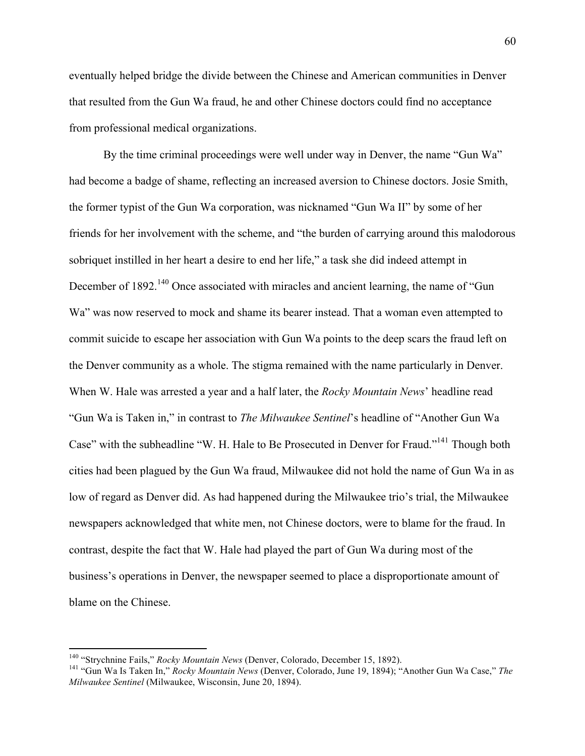eventually helped bridge the divide between the Chinese and American communities in Denver that resulted from the Gun Wa fraud, he and other Chinese doctors could find no acceptance from professional medical organizations.

By the time criminal proceedings were well under way in Denver, the name "Gun Wa" had become a badge of shame, reflecting an increased aversion to Chinese doctors. Josie Smith, the former typist of the Gun Wa corporation, was nicknamed "Gun Wa II" by some of her friends for her involvement with the scheme, and "the burden of carrying around this malodorous sobriquet instilled in her heart a desire to end her life," a task she did indeed attempt in December of 1892.<sup>140</sup> Once associated with miracles and ancient learning, the name of "Gun Wa" was now reserved to mock and shame its bearer instead. That a woman even attempted to commit suicide to escape her association with Gun Wa points to the deep scars the fraud left on the Denver community as a whole. The stigma remained with the name particularly in Denver. When W. Hale was arrested a year and a half later, the *Rocky Mountain News*' headline read "Gun Wa is Taken in," in contrast to *The Milwaukee Sentinel*'s headline of "Another Gun Wa Case" with the subheadline "W. H. Hale to Be Prosecuted in Denver for Fraud."141 Though both cities had been plagued by the Gun Wa fraud, Milwaukee did not hold the name of Gun Wa in as low of regard as Denver did. As had happened during the Milwaukee trio's trial, the Milwaukee newspapers acknowledged that white men, not Chinese doctors, were to blame for the fraud. In contrast, despite the fact that W. Hale had played the part of Gun Wa during most of the business's operations in Denver, the newspaper seemed to place a disproportionate amount of blame on the Chinese.

<sup>&</sup>lt;sup>140</sup> "Strychnine Fails," *Rocky Mountain News* (Denver, Colorado, December 15, 1892).<br><sup>141</sup> "Gun Wa Is Taken In," *Rocky Mountain News* (Denver, Colorado, June 19, 1894); "Another Gun Wa Case," *The Milwaukee Sentinel* (Milwaukee, Wisconsin, June 20, 1894).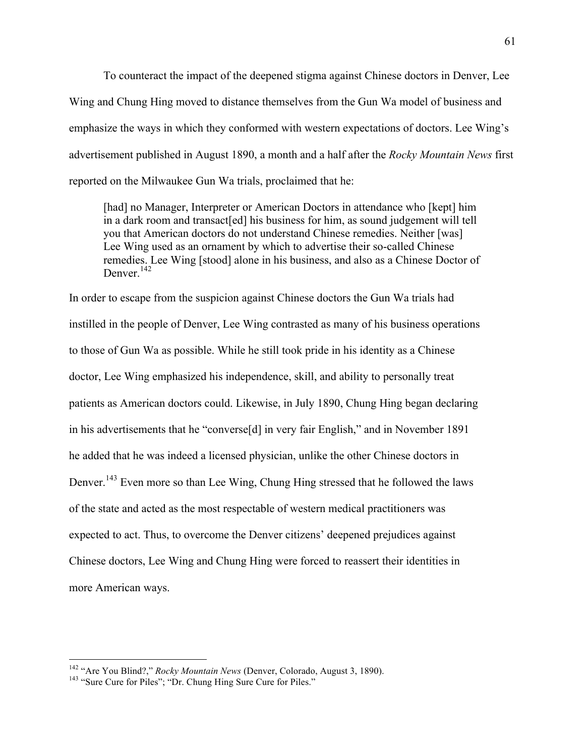To counteract the impact of the deepened stigma against Chinese doctors in Denver, Lee Wing and Chung Hing moved to distance themselves from the Gun Wa model of business and emphasize the ways in which they conformed with western expectations of doctors. Lee Wing's advertisement published in August 1890, a month and a half after the *Rocky Mountain News* first reported on the Milwaukee Gun Wa trials, proclaimed that he:

[had] no Manager, Interpreter or American Doctors in attendance who [kept] him in a dark room and transact[ed] his business for him, as sound judgement will tell you that American doctors do not understand Chinese remedies. Neither [was] Lee Wing used as an ornament by which to advertise their so-called Chinese remedies. Lee Wing [stood] alone in his business, and also as a Chinese Doctor of Denver.<sup>142</sup>

In order to escape from the suspicion against Chinese doctors the Gun Wa trials had instilled in the people of Denver, Lee Wing contrasted as many of his business operations to those of Gun Wa as possible. While he still took pride in his identity as a Chinese doctor, Lee Wing emphasized his independence, skill, and ability to personally treat patients as American doctors could. Likewise, in July 1890, Chung Hing began declaring in his advertisements that he "converse[d] in very fair English," and in November 1891 he added that he was indeed a licensed physician, unlike the other Chinese doctors in Denver.<sup>143</sup> Even more so than Lee Wing, Chung Hing stressed that he followed the laws of the state and acted as the most respectable of western medical practitioners was expected to act. Thus, to overcome the Denver citizens' deepened prejudices against Chinese doctors, Lee Wing and Chung Hing were forced to reassert their identities in more American ways.

<sup>&</sup>lt;sup>142</sup> "Are You Blind?," *Rocky Mountain News* (Denver, Colorado, August 3, 1890).<br><sup>143</sup> "Sure Cure for Piles"; "Dr. Chung Hing Sure Cure for Piles."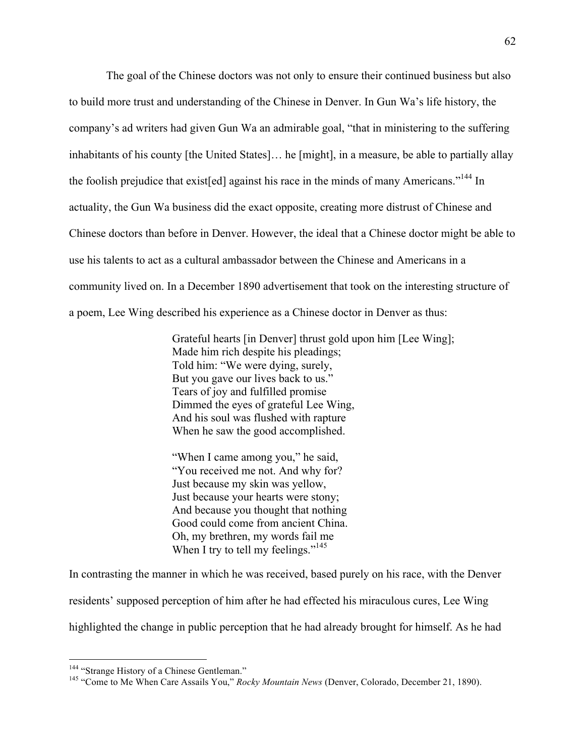The goal of the Chinese doctors was not only to ensure their continued business but also to build more trust and understanding of the Chinese in Denver. In Gun Wa's life history, the company's ad writers had given Gun Wa an admirable goal, "that in ministering to the suffering inhabitants of his county [the United States]… he [might], in a measure, be able to partially allay the foolish prejudice that existed against his race in the minds of many Americans."<sup>144</sup> In actuality, the Gun Wa business did the exact opposite, creating more distrust of Chinese and Chinese doctors than before in Denver. However, the ideal that a Chinese doctor might be able to use his talents to act as a cultural ambassador between the Chinese and Americans in a community lived on. In a December 1890 advertisement that took on the interesting structure of a poem, Lee Wing described his experience as a Chinese doctor in Denver as thus:

> Grateful hearts [in Denver] thrust gold upon him [Lee Wing]; Made him rich despite his pleadings; Told him: "We were dying, surely, But you gave our lives back to us." Tears of joy and fulfilled promise Dimmed the eyes of grateful Lee Wing, And his soul was flushed with rapture When he saw the good accomplished.

"When I came among you," he said, "You received me not. And why for? Just because my skin was yellow, Just because your hearts were stony; And because you thought that nothing Good could come from ancient China. Oh, my brethren, my words fail me When I try to tell my feelings."<sup>145</sup>

In contrasting the manner in which he was received, based purely on his race, with the Denver residents' supposed perception of him after he had effected his miraculous cures, Lee Wing

highlighted the change in public perception that he had already brought for himself. As he had

<sup>&</sup>lt;sup>144</sup> "Strange History of a Chinese Gentleman."<br><sup>145</sup> "Come to Me When Care Assails You," *Rocky Mountain News* (Denver, Colorado, December 21, 1890).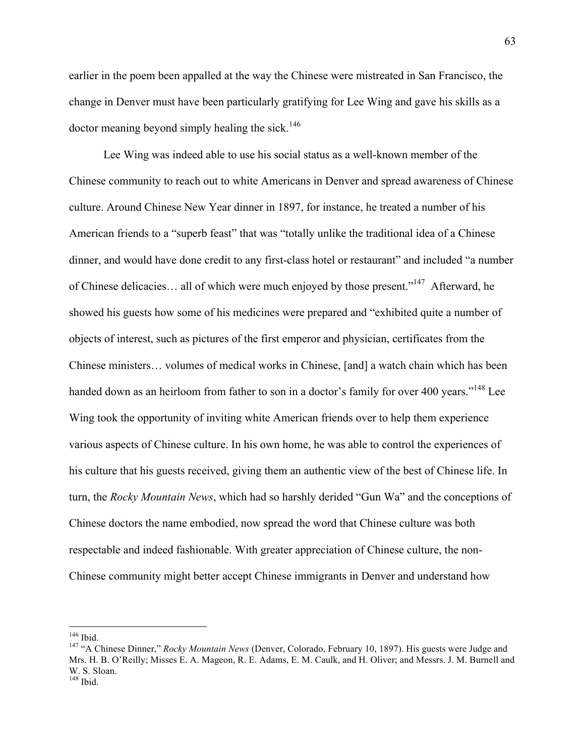earlier in the poem been appalled at the way the Chinese were mistreated in San Francisco, the change in Denver must have been particularly gratifying for Lee Wing and gave his skills as a doctor meaning beyond simply healing the sick.<sup>146</sup>

Lee Wing was indeed able to use his social status as a well-known member of the Chinese community to reach out to white Americans in Denver and spread awareness of Chinese culture. Around Chinese New Year dinner in 1897, for instance, he treated a number of his American friends to a "superb feast" that was "totally unlike the traditional idea of a Chinese dinner, and would have done credit to any first-class hotel or restaurant" and included "a number of Chinese delicacies… all of which were much enjoyed by those present."147 Afterward, he showed his guests how some of his medicines were prepared and "exhibited quite a number of objects of interest, such as pictures of the first emperor and physician, certificates from the Chinese ministers… volumes of medical works in Chinese, [and] a watch chain which has been handed down as an heirloom from father to son in a doctor's family for over 400 years."<sup>148</sup> Lee Wing took the opportunity of inviting white American friends over to help them experience various aspects of Chinese culture. In his own home, he was able to control the experiences of his culture that his guests received, giving them an authentic view of the best of Chinese life. In turn, the *Rocky Mountain News*, which had so harshly derided "Gun Wa" and the conceptions of Chinese doctors the name embodied, now spread the word that Chinese culture was both respectable and indeed fashionable. With greater appreciation of Chinese culture, the non-Chinese community might better accept Chinese immigrants in Denver and understand how

<sup>&</sup>lt;sup>146</sup> Ibid.<br><sup>147</sup> "A Chinese Dinner," *Rocky Mountain News* (Denver, Colorado, February 10, 1897). His guests were Judge and Mrs. H. B. O'Reilly; Misses E. A. Mageon, R. E. Adams, E. M. Caulk, and H. Oliver; and Messrs. J. M. Burnell and W. S. Sloan.

 $148$  Ibid.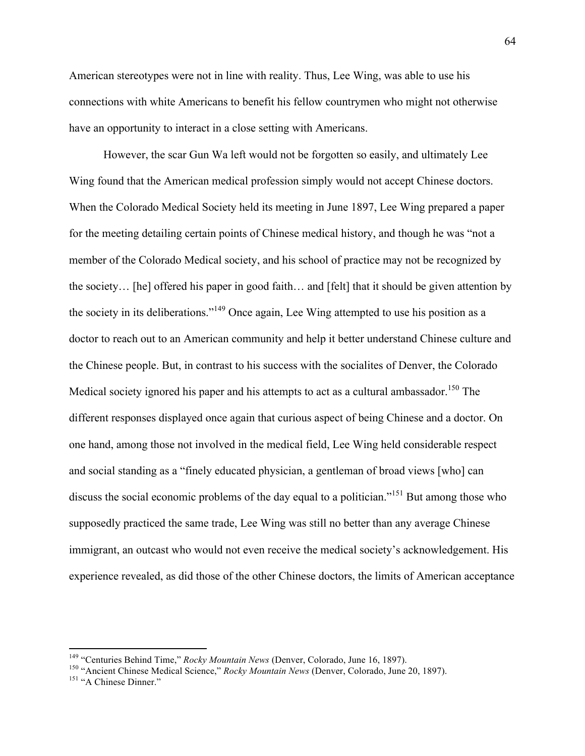American stereotypes were not in line with reality. Thus, Lee Wing, was able to use his connections with white Americans to benefit his fellow countrymen who might not otherwise have an opportunity to interact in a close setting with Americans.

However, the scar Gun Wa left would not be forgotten so easily, and ultimately Lee Wing found that the American medical profession simply would not accept Chinese doctors. When the Colorado Medical Society held its meeting in June 1897, Lee Wing prepared a paper for the meeting detailing certain points of Chinese medical history, and though he was "not a member of the Colorado Medical society, and his school of practice may not be recognized by the society… [he] offered his paper in good faith… and [felt] that it should be given attention by the society in its deliberations."<sup>149</sup> Once again, Lee Wing attempted to use his position as a doctor to reach out to an American community and help it better understand Chinese culture and the Chinese people. But, in contrast to his success with the socialites of Denver, the Colorado Medical society ignored his paper and his attempts to act as a cultural ambassador.<sup>150</sup> The different responses displayed once again that curious aspect of being Chinese and a doctor. On one hand, among those not involved in the medical field, Lee Wing held considerable respect and social standing as a "finely educated physician, a gentleman of broad views [who] can discuss the social economic problems of the day equal to a politician."<sup>151</sup> But among those who supposedly practiced the same trade, Lee Wing was still no better than any average Chinese immigrant, an outcast who would not even receive the medical society's acknowledgement. His experience revealed, as did those of the other Chinese doctors, the limits of American acceptance

<sup>&</sup>lt;sup>149</sup> "Centuries Behind Time," *Rocky Mountain News* (Denver, Colorado, June 16, 1897).<br><sup>150</sup> "Ancient Chinese Medical Science," *Rocky Mountain News* (Denver, Colorado, June 20, 1897).<br><sup>151</sup> "A Chinese Dinner."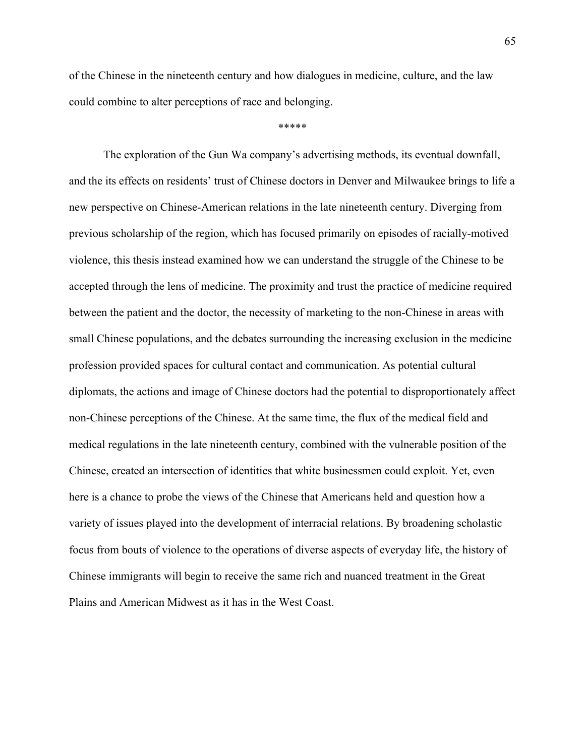of the Chinese in the nineteenth century and how dialogues in medicine, culture, and the law could combine to alter perceptions of race and belonging.

\*\*\*\*\*

The exploration of the Gun Wa company's advertising methods, its eventual downfall, and the its effects on residents' trust of Chinese doctors in Denver and Milwaukee brings to life a new perspective on Chinese-American relations in the late nineteenth century. Diverging from previous scholarship of the region, which has focused primarily on episodes of racially-motived violence, this thesis instead examined how we can understand the struggle of the Chinese to be accepted through the lens of medicine. The proximity and trust the practice of medicine required between the patient and the doctor, the necessity of marketing to the non-Chinese in areas with small Chinese populations, and the debates surrounding the increasing exclusion in the medicine profession provided spaces for cultural contact and communication. As potential cultural diplomats, the actions and image of Chinese doctors had the potential to disproportionately affect non-Chinese perceptions of the Chinese. At the same time, the flux of the medical field and medical regulations in the late nineteenth century, combined with the vulnerable position of the Chinese, created an intersection of identities that white businessmen could exploit. Yet, even here is a chance to probe the views of the Chinese that Americans held and question how a variety of issues played into the development of interracial relations. By broadening scholastic focus from bouts of violence to the operations of diverse aspects of everyday life, the history of Chinese immigrants will begin to receive the same rich and nuanced treatment in the Great Plains and American Midwest as it has in the West Coast.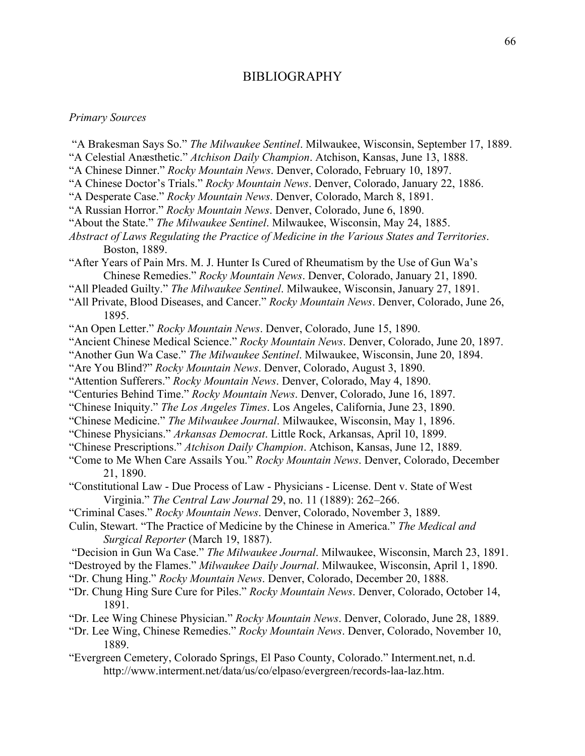### BIBLIOGRAPHY

### *Primary Sources*

- "A Brakesman Says So." *The Milwaukee Sentinel*. Milwaukee, Wisconsin, September 17, 1889.
- "A Celestial Anæsthetic." *Atchison Daily Champion*. Atchison, Kansas, June 13, 1888.
- "A Chinese Dinner." *Rocky Mountain News*. Denver, Colorado, February 10, 1897.
- "A Chinese Doctor's Trials." *Rocky Mountain News*. Denver, Colorado, January 22, 1886.
- "A Desperate Case." *Rocky Mountain News*. Denver, Colorado, March 8, 1891.
- "A Russian Horror." *Rocky Mountain News*. Denver, Colorado, June 6, 1890.
- "About the State." *The Milwaukee Sentinel*. Milwaukee, Wisconsin, May 24, 1885.
- *Abstract of Laws Regulating the Practice of Medicine in the Various States and Territories*. Boston, 1889.
- "After Years of Pain Mrs. M. J. Hunter Is Cured of Rheumatism by the Use of Gun Wa's Chinese Remedies." *Rocky Mountain News*. Denver, Colorado, January 21, 1890.
- "All Pleaded Guilty." *The Milwaukee Sentinel*. Milwaukee, Wisconsin, January 27, 1891.
- "All Private, Blood Diseases, and Cancer." *Rocky Mountain News*. Denver, Colorado, June 26, 1895.
- "An Open Letter." *Rocky Mountain News*. Denver, Colorado, June 15, 1890.
- "Ancient Chinese Medical Science." *Rocky Mountain News*. Denver, Colorado, June 20, 1897.
- "Another Gun Wa Case." *The Milwaukee Sentinel*. Milwaukee, Wisconsin, June 20, 1894.
- "Are You Blind?" *Rocky Mountain News*. Denver, Colorado, August 3, 1890.
- "Attention Sufferers." *Rocky Mountain News*. Denver, Colorado, May 4, 1890.
- "Centuries Behind Time." *Rocky Mountain News*. Denver, Colorado, June 16, 1897.
- "Chinese Iniquity." *The Los Angeles Times*. Los Angeles, California, June 23, 1890.
- "Chinese Medicine." *The Milwaukee Journal*. Milwaukee, Wisconsin, May 1, 1896.
- "Chinese Physicians." *Arkansas Democrat*. Little Rock, Arkansas, April 10, 1899.
- "Chinese Prescriptions." *Atchison Daily Champion*. Atchison, Kansas, June 12, 1889.
- "Come to Me When Care Assails You." *Rocky Mountain News*. Denver, Colorado, December 21, 1890.
- "Constitutional Law Due Process of Law Physicians License. Dent v. State of West Virginia." *The Central Law Journal* 29, no. 11 (1889): 262–266.
- "Criminal Cases." *Rocky Mountain News*. Denver, Colorado, November 3, 1889.
- Culin, Stewart. "The Practice of Medicine by the Chinese in America." *The Medical and Surgical Reporter* (March 19, 1887).
- "Decision in Gun Wa Case." *The Milwaukee Journal*. Milwaukee, Wisconsin, March 23, 1891.
- "Destroyed by the Flames." *Milwaukee Daily Journal*. Milwaukee, Wisconsin, April 1, 1890.
- "Dr. Chung Hing." *Rocky Mountain News*. Denver, Colorado, December 20, 1888.
- "Dr. Chung Hing Sure Cure for Piles." *Rocky Mountain News*. Denver, Colorado, October 14, 1891.
- "Dr. Lee Wing Chinese Physician." *Rocky Mountain News*. Denver, Colorado, June 28, 1889.
- "Dr. Lee Wing, Chinese Remedies." *Rocky Mountain News*. Denver, Colorado, November 10, 1889.
- "Evergreen Cemetery, Colorado Springs, El Paso County, Colorado." Interment.net, n.d. http://www.interment.net/data/us/co/elpaso/evergreen/records-laa-laz.htm.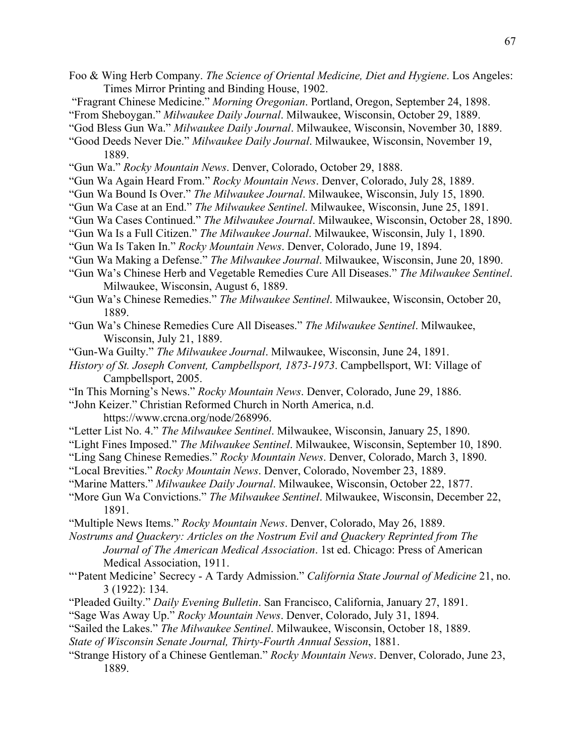- Foo & Wing Herb Company. *The Science of Oriental Medicine, Diet and Hygiene*. Los Angeles: Times Mirror Printing and Binding House, 1902.
- "Fragrant Chinese Medicine." *Morning Oregonian*. Portland, Oregon, September 24, 1898.
- "From Sheboygan." *Milwaukee Daily Journal*. Milwaukee, Wisconsin, October 29, 1889.
- "God Bless Gun Wa." *Milwaukee Daily Journal*. Milwaukee, Wisconsin, November 30, 1889.
- "Good Deeds Never Die." *Milwaukee Daily Journal*. Milwaukee, Wisconsin, November 19, 1889.
- "Gun Wa." *Rocky Mountain News*. Denver, Colorado, October 29, 1888.
- "Gun Wa Again Heard From." *Rocky Mountain News*. Denver, Colorado, July 28, 1889.
- "Gun Wa Bound Is Over." *The Milwaukee Journal*. Milwaukee, Wisconsin, July 15, 1890.
- "Gun Wa Case at an End." *The Milwaukee Sentinel*. Milwaukee, Wisconsin, June 25, 1891.
- "Gun Wa Cases Continued." *The Milwaukee Journal*. Milwaukee, Wisconsin, October 28, 1890.
- "Gun Wa Is a Full Citizen." *The Milwaukee Journal*. Milwaukee, Wisconsin, July 1, 1890.
- "Gun Wa Is Taken In." *Rocky Mountain News*. Denver, Colorado, June 19, 1894.
- "Gun Wa Making a Defense." *The Milwaukee Journal*. Milwaukee, Wisconsin, June 20, 1890.
- "Gun Wa's Chinese Herb and Vegetable Remedies Cure All Diseases." *The Milwaukee Sentinel*. Milwaukee, Wisconsin, August 6, 1889.
- "Gun Wa's Chinese Remedies." *The Milwaukee Sentinel*. Milwaukee, Wisconsin, October 20, 1889.
- "Gun Wa's Chinese Remedies Cure All Diseases." *The Milwaukee Sentinel*. Milwaukee, Wisconsin, July 21, 1889.
- "Gun-Wa Guilty." *The Milwaukee Journal*. Milwaukee, Wisconsin, June 24, 1891.
- *History of St. Joseph Convent, Campbellsport, 1873-1973*. Campbellsport, WI: Village of Campbellsport, 2005.
- "In This Morning's News." *Rocky Mountain News*. Denver, Colorado, June 29, 1886.
- "John Keizer." Christian Reformed Church in North America, n.d.

https://www.crcna.org/node/268996.

- "Letter List No. 4." *The Milwaukee Sentinel*. Milwaukee, Wisconsin, January 25, 1890.
- "Light Fines Imposed." *The Milwaukee Sentinel*. Milwaukee, Wisconsin, September 10, 1890.
- "Ling Sang Chinese Remedies." *Rocky Mountain News*. Denver, Colorado, March 3, 1890.
- "Local Brevities." *Rocky Mountain News*. Denver, Colorado, November 23, 1889.
- "Marine Matters." *Milwaukee Daily Journal*. Milwaukee, Wisconsin, October 22, 1877.
- "More Gun Wa Convictions." *The Milwaukee Sentinel*. Milwaukee, Wisconsin, December 22, 1891.
- "Multiple News Items." *Rocky Mountain News*. Denver, Colorado, May 26, 1889.
- *Nostrums and Quackery: Articles on the Nostrum Evil and Quackery Reprinted from The Journal of The American Medical Association*. 1st ed. Chicago: Press of American Medical Association, 1911.
- "'Patent Medicine' Secrecy A Tardy Admission." *California State Journal of Medicine* 21, no. 3 (1922): 134.
- "Pleaded Guilty." *Daily Evening Bulletin*. San Francisco, California, January 27, 1891.
- "Sage Was Away Up." *Rocky Mountain News*. Denver, Colorado, July 31, 1894.
- "Sailed the Lakes." *The Milwaukee Sentinel*. Milwaukee, Wisconsin, October 18, 1889.
- *State of Wisconsin Senate Journal, Thirty-Fourth Annual Session*, 1881.
- "Strange History of a Chinese Gentleman." *Rocky Mountain News*. Denver, Colorado, June 23, 1889.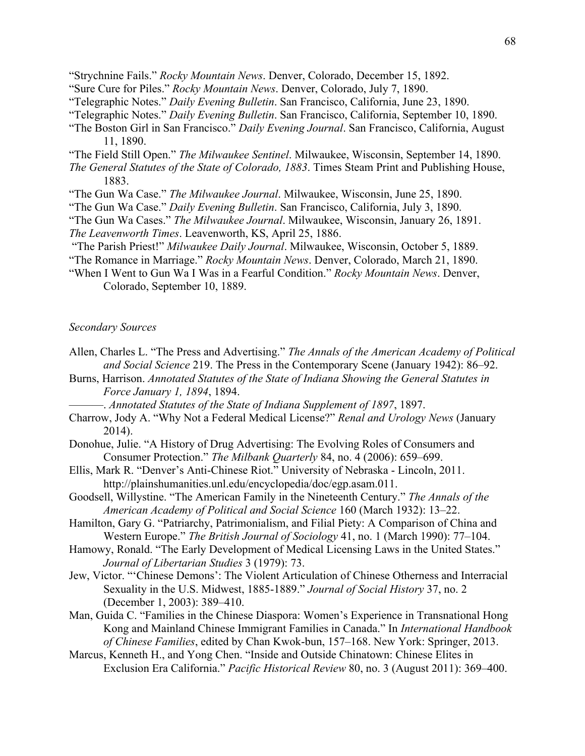- "Sure Cure for Piles." *Rocky Mountain News*. Denver, Colorado, July 7, 1890.
- "Telegraphic Notes." *Daily Evening Bulletin*. San Francisco, California, June 23, 1890.
- "Telegraphic Notes." *Daily Evening Bulletin*. San Francisco, California, September 10, 1890.
- "The Boston Girl in San Francisco." *Daily Evening Journal*. San Francisco, California, August 11, 1890.
- "The Field Still Open." *The Milwaukee Sentinel*. Milwaukee, Wisconsin, September 14, 1890.
- *The General Statutes of the State of Colorado, 1883*. Times Steam Print and Publishing House, 1883.
- "The Gun Wa Case." *The Milwaukee Journal*. Milwaukee, Wisconsin, June 25, 1890.
- "The Gun Wa Case." *Daily Evening Bulletin*. San Francisco, California, July 3, 1890.
- "The Gun Wa Cases." *The Milwaukee Journal*. Milwaukee, Wisconsin, January 26, 1891. *The Leavenworth Times*. Leavenworth, KS, April 25, 1886.
- "The Parish Priest!" *Milwaukee Daily Journal*. Milwaukee, Wisconsin, October 5, 1889.
- "The Romance in Marriage." *Rocky Mountain News*. Denver, Colorado, March 21, 1890.
- "When I Went to Gun Wa I Was in a Fearful Condition." *Rocky Mountain News*. Denver, Colorado, September 10, 1889.

## *Secondary Sources*

- Allen, Charles L. "The Press and Advertising." *The Annals of the American Academy of Political and Social Science* 219. The Press in the Contemporary Scene (January 1942): 86–92.
- Burns, Harrison. *Annotated Statutes of the State of Indiana Showing the General Statutes in Force January 1, 1894*, 1894.
	- ———. *Annotated Statutes of the State of Indiana Supplement of 1897*, 1897.
- Charrow, Jody A. "Why Not a Federal Medical License?" *Renal and Urology News* (January 2014).
- Donohue, Julie. "A History of Drug Advertising: The Evolving Roles of Consumers and Consumer Protection." *The Milbank Quarterly* 84, no. 4 (2006): 659–699.
- Ellis, Mark R. "Denver's Anti-Chinese Riot." University of Nebraska Lincoln, 2011. http://plainshumanities.unl.edu/encyclopedia/doc/egp.asam.011.
- Goodsell, Willystine. "The American Family in the Nineteenth Century." *The Annals of the American Academy of Political and Social Science* 160 (March 1932): 13–22.
- Hamilton, Gary G. "Patriarchy, Patrimonialism, and Filial Piety: A Comparison of China and Western Europe." *The British Journal of Sociology* 41, no. 1 (March 1990): 77–104.
- Hamowy, Ronald. "The Early Development of Medical Licensing Laws in the United States." *Journal of Libertarian Studies* 3 (1979): 73.
- Jew, Victor. "'Chinese Demons': The Violent Articulation of Chinese Otherness and Interracial Sexuality in the U.S. Midwest, 1885-1889." *Journal of Social History* 37, no. 2 (December 1, 2003): 389–410.
- Man, Guida C. "Families in the Chinese Diaspora: Women's Experience in Transnational Hong Kong and Mainland Chinese Immigrant Families in Canada." In *International Handbook of Chinese Families*, edited by Chan Kwok-bun, 157–168. New York: Springer, 2013.
- Marcus, Kenneth H., and Yong Chen. "Inside and Outside Chinatown: Chinese Elites in Exclusion Era California." *Pacific Historical Review* 80, no. 3 (August 2011): 369–400.